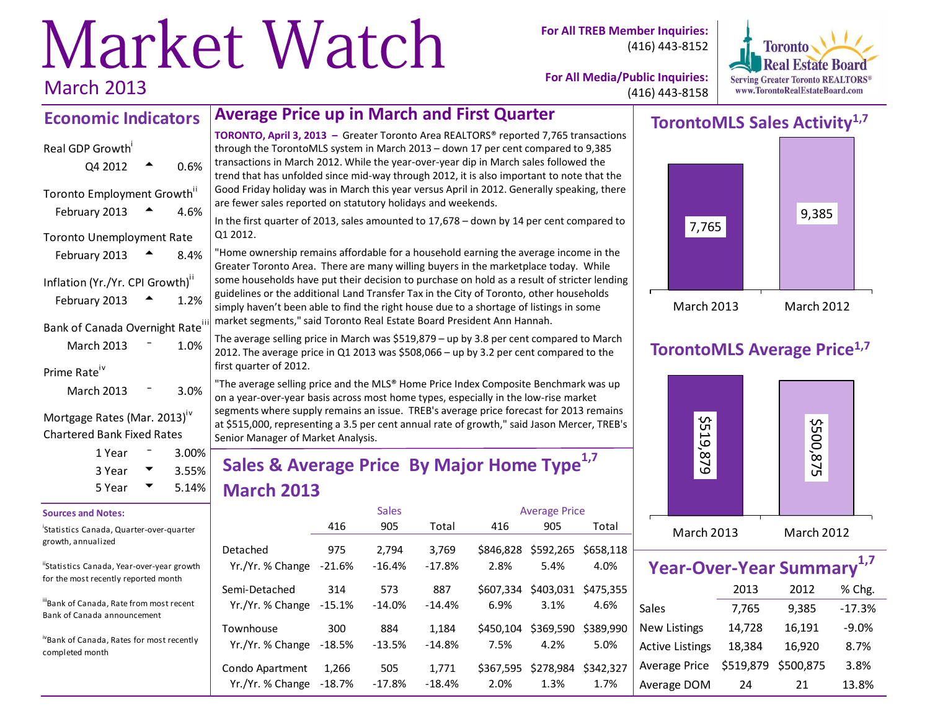# Market Watch March 2013

**For All TREB Member Inquiries:** (416) 443-8152



**For All Media/Public Inquiries:** (416) 443-8158

#### **Economic Indicators Average Price up in March and First Quarter**

| Real GDP Growth                  |      |
|----------------------------------|------|
| Q4 2012                          | 0.6% |
| Toronto Employment Growth"       |      |
| February 2013                    | 4.6% |
| <b>Toronto Unemployment Rate</b> |      |
| February 2013                    | 8.4% |
| Inflation (Yr./Yr. CPI Growth)"  |      |
| February 2013                    | 1.2% |
| Bank of Canada Overnight Rate'   |      |
| March 2013                       | 1.0% |
| Prime Rate                       |      |
| March 2013                       | 3.0% |

#### Mortgage Rates (Mar. 2013)<sup>iv</sup> Chartered Bank Fixed Rates

| 1 Year | $3.00\%$          |
|--------|-------------------|
| 3 Year | $3.55\%$<br>5.14% |
| 5 Year |                   |

#### **Sources and Notes:**

| 'Statistics Canada, Quarter-over-quarter |  |
|------------------------------------------|--|
| growth, annualized                       |  |

"Statistics Canada, Year-over-year growth for the most recently reported month

iiiBank of Canada, Rate from most recent Bank of Canada announcement

ivBank of Canada, Rates for most recently completed month

**TORONTO, April 3, 2013 –** Greater Toronto Area REALTORS® reported 7,765 transactions through the TorontoMLS system in March 2013 – down 17 per cent compared to 9,385 transactions in March 2012. While the year-over-year dip in March sales followed the trend that has unfolded since mid-way through 2012, it is also important to note that the Good Friday holiday was in March this year versus April in 2012. Generally speaking, there are fewer sales reported on statutory holidays and weekends.

In the first quarter of 2013, sales amounted to 17,678 – down by 14 per cent compared to Q1 2012.

"Home ownership remains affordable for a household earning the average income in the Greater Toronto Area. There are many willing buyers in the marketplace today. While some households have put their decision to purchase on hold as a result of stricter lending guidelines or the additional Land Transfer Tax in the City of Toronto, other households simply haven't been able to find the right house due to a shortage of listings in some market segments," said Toronto Real Estate Board President Ann Hannah.

The average selling price in March was \$519,879 – up by 3.8 per cent compared to March 2012. The average price in Q1 2013 was \$508,066 – up by 3.2 per cent compared to the first quarter of 2012.

"The average selling price and the MLS® Home Price Index Composite Benchmark was up on a year-over-year basis across most home types, especially in the low-rise market segments where supply remains an issue. TREB's average price forecast for 2013 remains at \$515,000, representing a 3.5 per cent annual rate of growth," said Jason Mercer, TREB's Senior Manager of Market Analysis.

# **Sales & Average Price By Major Home Type1,7 March 2013**

|                                            |               | <b>Sales</b>      |                   | <b>Average Price</b> |                   |                   |  |  |
|--------------------------------------------|---------------|-------------------|-------------------|----------------------|-------------------|-------------------|--|--|
|                                            | 416           | 905               | Total             | 416                  | 905               | Total             |  |  |
| Detached<br>Yr./Yr. % Change               | 975<br>-21.6% | 2.794<br>$-16.4%$ | 3,769<br>$-17.8%$ | \$846,828<br>2.8%    | \$592,265<br>5.4% | \$658.118<br>4.0% |  |  |
| Semi-Detached<br>Yr./Yr. % Change -15.1%   | 314           | 573<br>$-14.0%$   | 887<br>$-14.4%$   | \$607.334<br>6.9%    | \$403,031<br>3.1% | \$475.355<br>4.6% |  |  |
| Townhouse<br>Yr./Yr. % Change -18.5%       | 300           | 884<br>$-13.5%$   | 1,184<br>$-14.8%$ | \$450.104<br>7.5%    | \$369,590<br>4.2% | \$389,990<br>5.0% |  |  |
| Condo Apartment<br>Yr./Yr. % Change -18.7% | 1.266         | 505<br>$-17.8%$   | 1,771<br>$-18.4%$ | \$367.595<br>2.0%    | \$278,984<br>1.3% | \$342.327<br>1.7% |  |  |

# **TorontoMLS Sales Activity1,7**



## **TorontoMLS Average Price1,7**



| Year-Over-Year Summary <sup>1,7</sup> |           |           |          |  |  |  |  |  |  |  |
|---------------------------------------|-----------|-----------|----------|--|--|--|--|--|--|--|
|                                       | 2013      | 2012      | % Chg.   |  |  |  |  |  |  |  |
| Sales                                 | 7,765     | 9,385     | $-17.3%$ |  |  |  |  |  |  |  |
| <b>New Listings</b>                   | 14,728    | 16,191    | $-9.0%$  |  |  |  |  |  |  |  |
| <b>Active Listings</b>                | 18,384    | 16,920    | 8.7%     |  |  |  |  |  |  |  |
| <b>Average Price</b>                  | \$519,879 | \$500,875 | 3.8%     |  |  |  |  |  |  |  |
| Average DOM                           | 24        | 21        | 13.8%    |  |  |  |  |  |  |  |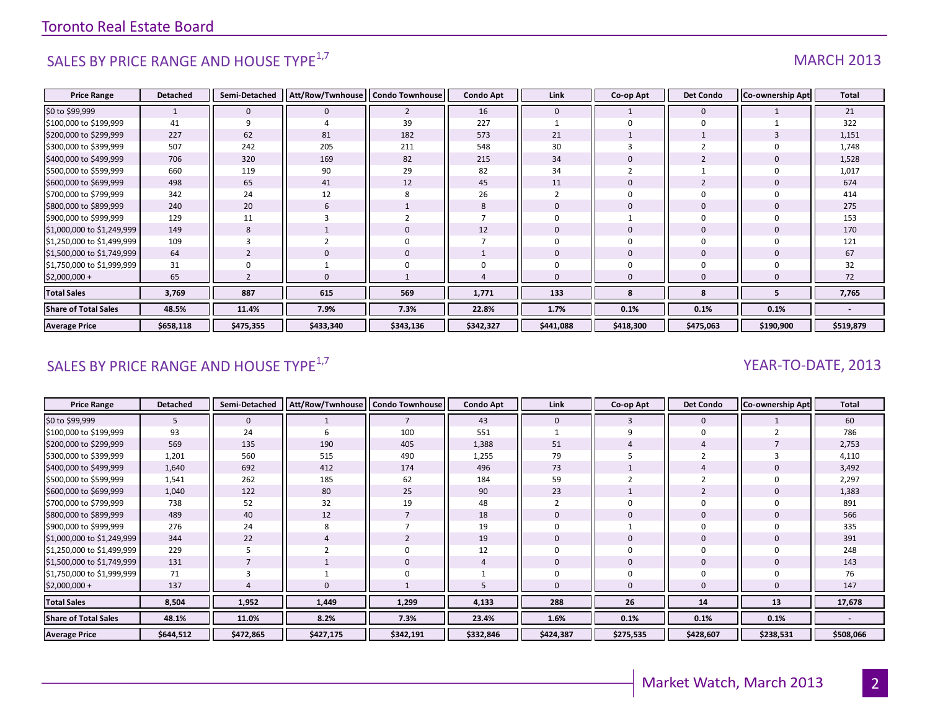# SALES BY PRICE RANGE AND HOUSE TYPE $^{1,7}$  MARCH 2013

| <b>Price Range</b>          | <b>Detached</b> | Semi-Detached  | Att/Row/Twnhouse | <b>Condo Townhouse</b> | <b>Condo Apt</b> | Link         | Co-op Apt    | <b>Det Condo</b> | Co-ownership Apt | <b>Total</b> |
|-----------------------------|-----------------|----------------|------------------|------------------------|------------------|--------------|--------------|------------------|------------------|--------------|
| \$0 to \$99,999             |                 | $\mathbf{0}$   | $\mathbf{0}$     | $\overline{2}$         | 16               | $\mathbf{0}$ |              | $\mathbf{0}$     |                  | 21           |
| \$100,000 to \$199,999      | 41              | 9              |                  | 39                     | 227              |              |              | $\Omega$         |                  | 322          |
| \$200,000 to \$299,999      | 227             | 62             | 81               | 182                    | 573              | 21           |              |                  |                  | 1,151        |
| \$300,000 to \$399,999      | 507             | 242            | 205              | 211                    | 548              | 30           |              |                  |                  | 1,748        |
| \$400,000 to \$499,999      | 706             | 320            | 169              | 82                     | 215              | 34           |              |                  |                  | 1,528        |
| \$500,000 to \$599,999      | 660             | 119            | 90               | 29                     | 82               | 34           |              |                  |                  | 1,017        |
| \$600,000 to \$699,999      | 498             | 65             | 41               | 12                     | 45               | 11           | 0            |                  |                  | 674          |
| \$700,000 to \$799,999      | 342             | 24             | 12               | 8                      | 26               |              | $\Omega$     | $\Omega$         |                  | 414          |
| \$800,000 to \$899,999      | 240             | 20             | 6                |                        | 8                | $\Omega$     | $\mathbf 0$  | $\mathbf{0}$     |                  | 275          |
| \$900,000 to \$999,999      | 129             | 11             |                  |                        |                  |              |              |                  |                  | 153          |
| \$1,000,000 to \$1,249,999  | 149             | 8              |                  | $\mathbf 0$            | 12               | $\Omega$     | $\mathbf 0$  | $\mathbf{0}$     |                  | 170          |
| \$1,250,000 to \$1,499,999  | 109             | 3              |                  | $\mathbf 0$            |                  | $\Omega$     | $\Omega$     | $\Omega$         |                  | 121          |
| \$1,500,000 to \$1,749,999  | 64              | $\overline{2}$ | $\mathbf{0}$     | $\mathbf 0$            |                  | $\mathbf{0}$ | $\mathbf{0}$ | $\mathbf{0}$     | $\Omega$         | 67           |
| \$1,750,000 to \$1,999,999  | 31              |                |                  | $\Omega$               |                  |              | $\Omega$     |                  |                  | 32           |
| \$2,000,000 +               | 65              |                |                  |                        |                  |              | $\Omega$     |                  |                  | 72           |
| <b>Total Sales</b>          | 3,769           | 887            | 615              | 569                    | 1,771            | 133          | 8            | 8                |                  | 7,765        |
| <b>Share of Total Sales</b> | 48.5%           | 11.4%          | 7.9%             | 7.3%                   | 22.8%            | 1.7%         | 0.1%         | 0.1%             | 0.1%             |              |
| <b>Average Price</b>        | \$658,118       | \$475,355      | \$433,340        | \$343,136              | \$342,327        | \$441,088    | \$418,300    | \$475,063        | \$190,900        | \$519,879    |

# SALES BY PRICE RANGE AND HOUSE TYPE<sup>1,7</sup>  $\sqrt{2}$  and  $\sqrt{2}$  and  $\sqrt{2}$  and  $\sqrt{2}$  and  $\sqrt{2}$  and  $\sqrt{2}$  and  $\sqrt{2}$  and  $\sqrt{2}$  and  $\sqrt{2}$  and  $\sqrt{2}$  and  $\sqrt{2}$  and  $\sqrt{2}$  and  $\sqrt{2}$  and  $\sqrt{2}$  and  $\sqrt{2}$  and

| <b>Price Range</b>          | <b>Detached</b> | Semi-Detached | Att/Row/Twnhouse   Condo Townhouse |           | <b>Condo Apt</b> | Link         | Co-op Apt | <b>Det Condo</b> | Co-ownership Apt | Total     |
|-----------------------------|-----------------|---------------|------------------------------------|-----------|------------------|--------------|-----------|------------------|------------------|-----------|
| \$0 to \$99,999             | 5               | $\mathbf 0$   |                                    |           | 43               | $\mathbf{0}$ | 3         | $\mathbf 0$      |                  | 60        |
| \$100,000 to \$199,999      | 93              | 24            |                                    | 100       | 551              |              |           | $\mathbf 0$      |                  | 786       |
| \$200,000 to \$299,999      | 569             | 135           | 190                                | 405       | 1,388            | 51           |           |                  |                  | 2,753     |
| \$300,000 to \$399,999      | 1,201           | 560           | 515                                | 490       | 1,255            | 79           |           |                  |                  | 4,110     |
| \$400,000 to \$499,999      | 1,640           | 692           | 412                                | 174       | 496              | 73           |           |                  |                  | 3,492     |
| \$500,000 to \$599,999      | 1,541           | 262           | 185                                | 62        | 184              | 59           |           |                  |                  | 2,297     |
| \$600,000 to \$699,999      | 1,040           | 122           | 80                                 | 25        | 90               | 23           |           | 2                |                  | 1,383     |
| \$700,000 to \$799,999      | 738             | 52            | 32                                 | 19        | 48               |              | $\Omega$  | 0                |                  | 891       |
| \$800,000 to \$899,999      | 489             | 40            | 12                                 |           | 18               | $\Omega$     | 0         | 0                |                  | 566       |
| \$900,000 to \$999,999      | 276             | 24            |                                    |           | 19               |              |           | 0                |                  | 335       |
| \$1,000,000 to \$1,249,999  | 344             | 22            |                                    |           | 19               | $\Omega$     | 0         | 0                |                  | 391       |
| \$1,250,000 to \$1,499,999  | 229             | 5             |                                    | 0         | 12               |              | $\Omega$  | $\mathbf 0$      |                  | 248       |
| \$1,500,000 to \$1,749,999  | 131             |               |                                    | 0         |                  | $\Omega$     | 0         | 0                |                  | 143       |
| \$1,750,000 to \$1,999,999  | 71              |               |                                    |           |                  |              |           | 0                |                  | 76        |
| \$2,000,000 +               | 137             |               |                                    |           |                  |              | 0         | 0                |                  | 147       |
| <b>Total Sales</b>          | 8,504           | 1,952         | 1,449                              | 1,299     | 4,133            | 288          | 26        | 14               | 13               | 17,678    |
| <b>Share of Total Sales</b> | 48.1%           | 11.0%         | 8.2%                               | 7.3%      | 23.4%            | 1.6%         | 0.1%      | 0.1%             | 0.1%             |           |
| <b>Average Price</b>        | \$644,512       | \$472,865     | \$427,175                          | \$342,191 | \$332,846        | \$424,387    | \$275,535 | \$428,607        | \$238,531        | \$508,066 |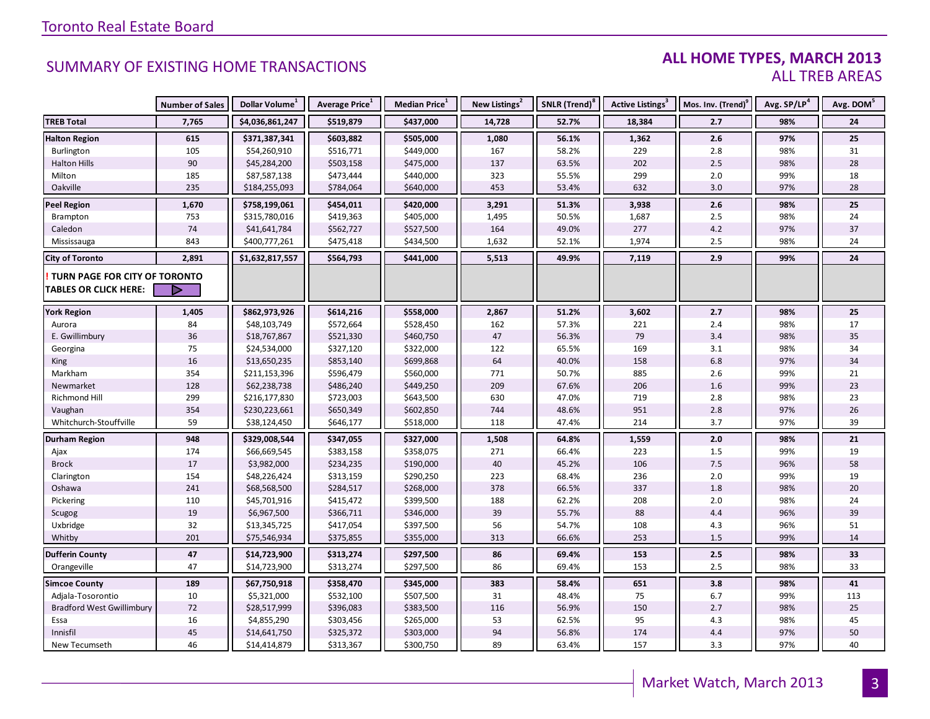#### **ALL HOME TYPES, MARCH 2013** ALL TREB AREAS

|                                  | <b>Number of Sales</b> | Dollar Volume <sup>1</sup> | Average Price <sup>1</sup> | Median Price <sup>1</sup> | New Listings <sup>2</sup> | SNLR (Trend) <sup>8</sup> | Active Listings <sup>3</sup> | Mos. Inv. (Trend) <sup>9</sup> | Avg. SP/LP <sup>4</sup> | Avg. DOM <sup>5</sup> |
|----------------------------------|------------------------|----------------------------|----------------------------|---------------------------|---------------------------|---------------------------|------------------------------|--------------------------------|-------------------------|-----------------------|
| <b>TREB Total</b>                | 7,765                  | \$4,036,861,247            | \$519,879                  | \$437,000                 | 14,728                    | 52.7%                     | 18,384                       | 2.7                            | 98%                     | 24                    |
| <b>Halton Region</b>             | 615                    | \$371,387,341              | \$603,882                  | \$505,000                 | 1,080                     | 56.1%                     | 1,362                        | 2.6                            | 97%                     | 25                    |
| Burlington                       | 105                    | \$54,260,910               | \$516,771                  | \$449,000                 | 167                       | 58.2%                     | 229                          | $2.8\,$                        | 98%                     | 31                    |
| <b>Halton Hills</b>              | 90                     | \$45,284,200               | \$503,158                  | \$475,000                 | 137                       | 63.5%                     | 202                          | 2.5                            | 98%                     | 28                    |
| Milton                           | 185                    | \$87,587,138               | \$473,444                  | \$440,000                 | 323                       | 55.5%                     | 299                          | $2.0\,$                        | 99%                     | 18                    |
| Oakville                         | 235                    | \$184,255,093              | \$784,064                  | \$640,000                 | 453                       | 53.4%                     | 632                          | 3.0                            | 97%                     | 28                    |
| <b>Peel Region</b>               | 1,670                  | \$758,199,061              | \$454,011                  | \$420,000                 | 3,291                     | 51.3%                     | 3,938                        | 2.6                            | 98%                     | 25                    |
| Brampton                         | 753                    | \$315,780,016              | \$419,363                  | \$405,000                 | 1,495                     | 50.5%                     | 1,687                        | 2.5                            | 98%                     | 24                    |
| Caledon                          | 74                     | \$41,641,784               | \$562,727                  | \$527,500                 | 164                       | 49.0%                     | 277                          | 4.2                            | 97%                     | 37                    |
| Mississauga                      | 843                    | \$400,777,261              | \$475,418                  | \$434,500                 | 1,632                     | 52.1%                     | 1,974                        | 2.5                            | 98%                     | 24                    |
| <b>City of Toronto</b>           | 2,891                  | \$1,632,817,557            | \$564,793                  | \$441,000                 | 5,513                     | 49.9%                     | 7,119                        | 2.9                            | 99%                     | 24                    |
| TURN PAGE FOR CITY OF TORONTO    |                        |                            |                            |                           |                           |                           |                              |                                |                         |                       |
| <b>TABLES OR CLICK HERE:</b>     |                        |                            |                            |                           |                           |                           |                              |                                |                         |                       |
| <b>York Region</b>               | 1,405                  | \$862,973,926              | \$614,216                  | \$558,000                 | 2,867                     | 51.2%                     | 3,602                        | 2.7                            | 98%                     | 25                    |
| Aurora                           | 84                     | \$48,103,749               | \$572,664                  | \$528,450                 | 162                       | 57.3%                     | 221                          | 2.4                            | 98%                     | 17                    |
| E. Gwillimbury                   | 36                     | \$18,767,867               | \$521,330                  | \$460,750                 | 47                        | 56.3%                     | 79                           | 3.4                            | 98%                     | 35                    |
| Georgina                         | 75                     | \$24,534,000               | \$327,120                  | \$322,000                 | 122                       | 65.5%                     | 169                          | 3.1                            | 98%                     | 34                    |
| King                             | 16                     | \$13,650,235               | \$853,140                  | \$699,868                 | 64                        | 40.0%                     | 158                          | 6.8                            | 97%                     | 34                    |
| Markham                          | 354                    | \$211,153,396              | \$596,479                  | \$560,000                 | 771                       | 50.7%                     | 885                          | 2.6                            | 99%                     | 21                    |
| Newmarket                        | 128                    | \$62,238,738               | \$486,240                  | \$449,250                 | 209                       | 67.6%                     | 206                          | $1.6\,$                        | 99%                     | 23                    |
| <b>Richmond Hill</b>             | 299                    | \$216,177,830              | \$723,003                  | \$643,500                 | 630                       | 47.0%                     | 719                          | 2.8                            | 98%                     | 23                    |
| Vaughan                          | 354                    | \$230,223,661              | \$650,349                  | \$602,850                 | 744                       | 48.6%                     | 951                          | $2.8\,$                        | 97%                     | 26                    |
| Whitchurch-Stouffville           | 59                     | \$38,124,450               | \$646,177                  | \$518,000                 | 118                       | 47.4%                     | 214                          | 3.7                            | 97%                     | 39                    |
| <b>Durham Region</b>             | 948                    | \$329,008,544              | \$347,055                  | \$327,000                 | 1,508                     | 64.8%                     | 1,559                        | 2.0                            | 98%                     | 21                    |
| Ajax                             | 174                    | \$66,669,545               | \$383,158                  | \$358,075                 | 271                       | 66.4%                     | 223                          | 1.5                            | 99%                     | 19                    |
| <b>Brock</b>                     | 17                     | \$3,982,000                | \$234,235                  | \$190,000                 | 40                        | 45.2%                     | 106                          | $7.5\,$                        | 96%                     | 58                    |
| Clarington                       | 154                    | \$48,226,424               | \$313,159                  | \$290,250                 | 223                       | 68.4%                     | 236                          | 2.0                            | 99%                     | 19                    |
| Oshawa                           | 241                    | \$68,568,500               | \$284,517                  | \$268,000                 | 378                       | 66.5%                     | 337                          | 1.8                            | 98%                     | 20                    |
| Pickering                        | 110                    | \$45,701,916               | \$415,472                  | \$399,500                 | 188                       | 62.2%                     | 208                          | 2.0                            | 98%                     | 24                    |
| Scugog                           | 19                     | \$6,967,500                | \$366,711                  | \$346,000                 | 39                        | 55.7%                     | 88                           | 4.4                            | 96%                     | 39                    |
| Uxbridge                         | 32                     | \$13,345,725               | \$417,054                  | \$397,500                 | 56                        | 54.7%                     | 108                          | 4.3                            | 96%                     | 51                    |
| Whitby                           | 201                    | \$75,546,934               | \$375,855                  | \$355,000                 | 313                       | 66.6%                     | 253                          | 1.5                            | 99%                     | 14                    |
| <b>Dufferin County</b>           | 47                     | \$14,723,900               | \$313,274                  | \$297,500                 | 86                        | 69.4%                     | 153                          | 2.5                            | 98%                     | 33                    |
| Orangeville                      | 47                     | \$14,723,900               | \$313,274                  | \$297,500                 | 86                        | 69.4%                     | 153                          | 2.5                            | 98%                     | 33                    |
| <b>Simcoe County</b>             | 189                    | \$67,750,918               | \$358,470                  | \$345,000                 | 383                       | 58.4%                     | 651                          | 3.8                            | 98%                     | 41                    |
| Adjala-Tosorontio                | 10                     | \$5,321,000                | \$532,100                  | \$507,500                 | 31                        | 48.4%                     | 75                           | 6.7                            | 99%                     | 113                   |
| <b>Bradford West Gwillimbury</b> | 72                     | \$28,517,999               | \$396,083                  | \$383,500                 | 116                       | 56.9%                     | 150                          | 2.7                            | 98%                     | 25                    |
| Essa                             | 16                     | \$4,855,290                | \$303,456                  | \$265,000                 | 53                        | 62.5%                     | 95                           | 4.3                            | 98%                     | 45                    |
| Innisfil                         | 45                     | \$14,641,750               | \$325,372                  | \$303,000                 | 94                        | 56.8%                     | 174                          | 4.4                            | 97%                     | 50                    |
| New Tecumseth                    | 46                     | \$14,414,879               | \$313,367                  | \$300,750                 | 89                        | 63.4%                     | 157                          | 3.3                            | 97%                     | 40                    |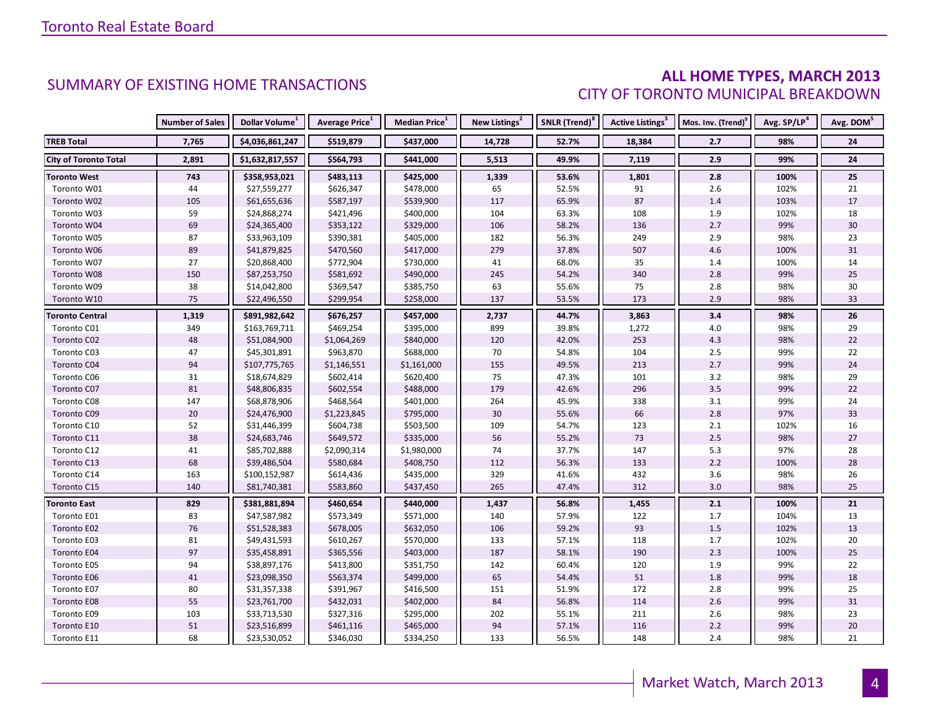#### **ALL HOME TYPES, MARCH 2013** CITY OF TORONTO MUNICIPAL BREAKDOWN

|                              | <b>Number of Sales</b> | Dollar Volume <sup>1</sup> | <b>Average Price</b> <sup>1</sup> | Median Price <sup>1</sup> | New Listings <sup>2</sup> | SNLR (Trend) <sup>8</sup> | Active Listings <sup>3</sup> | Mos. Inv. (Trend) <sup>9</sup> | Avg. SP/LP <sup>4</sup> | Avg. DOM <sup>5</sup> |
|------------------------------|------------------------|----------------------------|-----------------------------------|---------------------------|---------------------------|---------------------------|------------------------------|--------------------------------|-------------------------|-----------------------|
| <b>TREB Total</b>            | 7,765                  | \$4,036,861,247            | \$519,879                         | \$437,000                 | 14,728                    | 52.7%                     | 18,384                       | 2.7                            | 98%                     | 24                    |
| <b>City of Toronto Total</b> | 2,891                  | \$1,632,817,557            | \$564,793                         | \$441,000                 | 5,513                     | 49.9%                     | 7,119                        | 2.9                            | 99%                     | 24                    |
| <b>Toronto West</b>          | 743                    | \$358,953,021              | \$483,113                         | \$425,000                 | 1,339                     | 53.6%                     | 1,801                        | 2.8                            | 100%                    | 25                    |
| Toronto W01                  | 44                     | \$27,559,277               | \$626,347                         | \$478,000                 | 65                        | 52.5%                     | 91                           | 2.6                            | 102%                    | 21                    |
| Toronto W02                  | 105                    | \$61,655,636               | \$587,197                         | \$539,900                 | 117                       | 65.9%                     | 87                           | 1.4                            | 103%                    | 17                    |
| Toronto W03                  | 59                     | \$24,868,274               | \$421,496                         | \$400,000                 | 104                       | 63.3%                     | 108                          | 1.9                            | 102%                    | 18                    |
| Toronto W04                  | 69                     | \$24,365,400               | \$353,122                         | \$329,000                 | 106                       | 58.2%                     | 136                          | 2.7                            | 99%                     | 30                    |
| Toronto W05                  | 87                     | \$33,963,109               | \$390,381                         | \$405,000                 | 182                       | 56.3%                     | 249                          | 2.9                            | 98%                     | 23                    |
| Toronto W06                  | 89                     | \$41,879,825               | \$470,560                         | \$417,000                 | 279                       | 37.8%                     | 507                          | 4.6                            | 100%                    | 31                    |
| Toronto W07                  | 27                     | \$20,868,400               | \$772,904                         | \$730,000                 | 41                        | 68.0%                     | 35                           | 1.4                            | 100%                    | 14                    |
| Toronto W08                  | 150                    | \$87,253,750               | \$581,692                         | \$490,000                 | 245                       | 54.2%                     | 340                          | 2.8                            | 99%                     | 25                    |
| Toronto W09                  | 38                     | \$14,042,800               | \$369,547                         | \$385,750                 | 63                        | 55.6%                     | 75                           | 2.8                            | 98%                     | 30                    |
| Toronto W10                  | 75                     | \$22,496,550               | \$299,954                         | \$258,000                 | 137                       | 53.5%                     | 173                          | 2.9                            | 98%                     | 33                    |
| <b>Toronto Central</b>       | 1,319                  | \$891,982,642              | \$676,257                         | \$457,000                 | 2,737                     | 44.7%                     | 3,863                        | 3.4                            | 98%                     | 26                    |
| Toronto C01                  | 349                    | \$163,769,711              | \$469,254                         | \$395,000                 | 899                       | 39.8%                     | 1,272                        | 4.0                            | 98%                     | 29                    |
| Toronto C02                  | 48                     | \$51,084,900               | \$1,064,269                       | \$840,000                 | 120                       | 42.0%                     | 253                          | $4.3$                          | 98%                     | 22                    |
| Toronto C03                  | 47                     | \$45,301,891               | \$963,870                         | \$688,000                 | 70                        | 54.8%                     | 104                          | $2.5$                          | 99%                     | 22                    |
| Toronto C04                  | 94                     | \$107,775,765              | \$1,146,551                       | \$1,161,000               | 155                       | 49.5%                     | 213                          | 2.7                            | 99%                     | 24                    |
| Toronto C06                  | 31                     | \$18,674,829               | \$602,414                         | \$620,400                 | $75\,$                    | 47.3%                     | 101                          | $3.2$                          | 98%                     | 29                    |
| Toronto C07                  | 81                     | \$48,806,835               | \$602,554                         | \$488,000                 | 179                       | 42.6%                     | 296                          | 3.5                            | 99%                     | 22                    |
| Toronto C08                  | 147                    | \$68,878,906               | \$468,564                         | \$401,000                 | 264                       | 45.9%                     | 338                          | 3.1                            | 99%                     | 24                    |
| Toronto C09                  | 20                     | \$24,476,900               | \$1,223,845                       | \$795,000                 | $30\,$                    | 55.6%                     | 66                           | 2.8                            | 97%                     | 33                    |
| Toronto C10                  | 52                     | \$31,446,399               | \$604,738                         | \$503,500                 | 109                       | 54.7%                     | 123                          | 2.1                            | 102%                    | 16                    |
| Toronto C11                  | 38                     | \$24,683,746               | \$649,572                         | \$335,000                 | 56                        | 55.2%                     | 73                           | $2.5$                          | 98%                     | 27                    |
| Toronto C12                  | 41                     | \$85,702,888               | \$2,090,314                       | \$1,980,000               | 74                        | 37.7%                     | 147                          | 5.3                            | 97%                     | 28                    |
| Toronto C13                  | 68                     | \$39,486,504               | \$580,684                         | \$408,750                 | 112                       | 56.3%                     | 133                          | $2.2\,$                        | 100%                    | 28                    |
| Toronto C14                  | 163                    | \$100,152,987              | \$614,436                         | \$435,000                 | 329                       | 41.6%                     | 432                          | 3.6                            | 98%                     | 26                    |
| Toronto C15                  | 140                    | \$81,740,381               | \$583,860                         | \$437,450                 | 265                       | 47.4%                     | 312                          | 3.0                            | 98%                     | 25                    |
| <b>Toronto East</b>          | 829                    | \$381,881,894              | \$460,654                         | \$440,000                 | 1,437                     | 56.8%                     | 1,455                        | 2.1                            | 100%                    | 21                    |
| Toronto E01                  | 83                     | \$47,587,982               | \$573,349                         | \$571,000                 | 140                       | 57.9%                     | 122                          | 1.7                            | 104%                    | 13                    |
| Toronto E02                  | $76\,$                 | \$51,528,383               | \$678,005                         | \$632,050                 | 106                       | 59.2%                     | 93                           | $1.5$                          | 102%                    | 13                    |
| Toronto E03                  | 81                     | \$49,431,593               | \$610,267                         | \$570,000                 | 133                       | 57.1%                     | 118                          | 1.7                            | 102%                    | 20                    |
| Toronto E04                  | 97                     | \$35,458,891               | \$365,556                         | \$403,000                 | 187                       | 58.1%                     | 190                          | 2.3                            | 100%                    | 25                    |
| Toronto E05                  | 94                     | \$38,897,176               | \$413,800                         | \$351,750                 | 142                       | 60.4%                     | 120                          | 1.9                            | 99%                     | 22                    |
| Toronto E06                  | 41                     | \$23,098,350               | \$563,374                         | \$499,000                 | 65                        | 54.4%                     | 51                           | 1.8                            | 99%                     | 18                    |
| Toronto E07                  | 80                     | \$31,357,338               | \$391,967                         | \$416,500                 | 151                       | 51.9%                     | 172                          | $2.8$                          | 99%                     | 25                    |
| Toronto E08                  | 55                     | \$23,761,700               | \$432,031                         | \$402,000                 | 84                        | 56.8%                     | 114                          | 2.6                            | 99%                     | 31                    |
| Toronto E09                  | 103                    | \$33,713,530               | \$327,316                         | \$295,000                 | 202                       | 55.1%                     | 211                          | 2.6                            | 98%                     | 23                    |
| Toronto E10                  | 51                     | \$23,516,899               | \$461,116                         | \$465,000                 | 94                        | 57.1%                     | 116                          | $2.2$                          | 99%                     | 20                    |
| Toronto E11                  | 68                     | \$23,530,052               | \$346,030                         | \$334,250                 | 133                       | 56.5%                     | 148                          | 2.4                            | 98%                     | 21                    |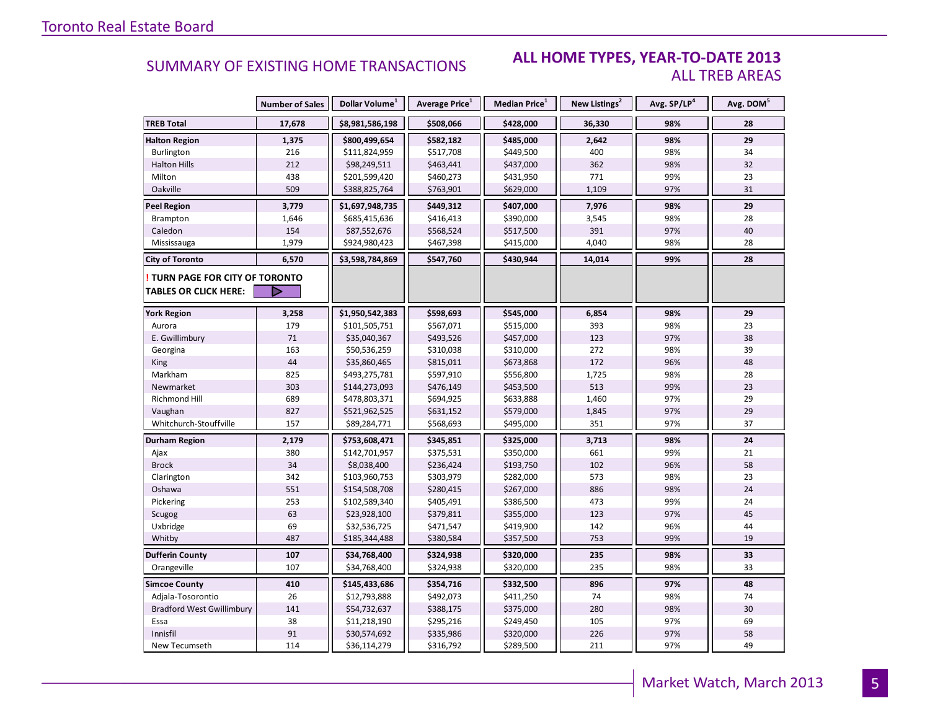#### **ALL HOME TYPES, YEAR-TO-DATE 2013** ALL TREB AREAS

|                                  | <b>Number of Sales</b> | Dollar Volume <sup>1</sup> | Average Price <sup>1</sup> | <b>Median Price</b> <sup>1</sup> | New Listings <sup>2</sup> | Avg. SP/LP <sup>4</sup> | Avg. DOM <sup>5</sup> |
|----------------------------------|------------------------|----------------------------|----------------------------|----------------------------------|---------------------------|-------------------------|-----------------------|
| <b>TREB Total</b>                | 17,678                 | \$8,981,586,198            | \$508,066                  | \$428,000                        | 36,330                    | 98%                     | 28                    |
| <b>Halton Region</b>             | 1,375                  | \$800,499,654              | \$582,182                  | \$485,000                        | 2,642                     | 98%                     | 29                    |
| Burlington                       | 216                    | \$111,824,959              | \$517,708                  | \$449,500                        | 400                       | 98%                     | 34                    |
| <b>Halton Hills</b>              | 212                    | \$98,249,511               | \$463,441                  | \$437,000                        | 362                       | 98%                     | 32                    |
| Milton                           | 438                    | \$201,599,420              | \$460,273                  | \$431,950                        | 771                       | 99%                     | 23                    |
| Oakville                         | 509                    | \$388,825,764              | \$763,901                  | \$629,000                        | 1,109                     | 97%                     | 31                    |
| <b>Peel Region</b>               | 3,779                  | \$1,697,948,735            | \$449,312                  | \$407,000                        | 7,976                     | 98%                     | 29                    |
| Brampton                         | 1,646                  | \$685,415,636              | \$416,413                  | \$390,000                        | 3,545                     | 98%                     | 28                    |
| Caledon                          | 154                    | \$87,552,676               | \$568,524                  | \$517,500                        | 391                       | 97%                     | 40                    |
| Mississauga                      | 1,979                  | \$924,980,423              | \$467,398                  | \$415,000                        | 4,040                     | 98%                     | 28                    |
| <b>City of Toronto</b>           | 6,570                  | \$3,598,784,869            | \$547,760                  | \$430,944                        | 14,014                    | 99%                     | 28                    |
| TURN PAGE FOR CITY OF TORONTO    |                        |                            |                            |                                  |                           |                         |                       |
| <b>TABLES OR CLICK HERE:</b>     | D                      |                            |                            |                                  |                           |                         |                       |
| <b>York Region</b>               | 3,258                  | \$1,950,542,383            | \$598,693                  | \$545,000                        | 6,854                     | 98%                     | 29                    |
| Aurora                           | 179                    | \$101,505,751              | \$567,071                  | \$515,000                        | 393                       | 98%                     | 23                    |
| E. Gwillimbury                   | 71                     | \$35,040,367               | \$493,526                  | \$457,000                        | 123                       | 97%                     | 38                    |
| Georgina                         | 163                    | \$50,536,259               | \$310,038                  | \$310,000                        | 272                       | 98%                     | 39                    |
| <b>King</b>                      | 44                     | \$35,860,465               | \$815,011                  | \$673,868                        | 172                       | 96%                     | 48                    |
| Markham                          | 825                    | \$493,275,781              | \$597,910                  | \$556,800                        | 1,725                     | 98%                     | 28                    |
| Newmarket                        | 303                    | \$144,273,093              | \$476,149                  | \$453,500                        | 513                       | 99%                     | 23                    |
| Richmond Hill                    | 689                    | \$478,803,371              | \$694,925                  | \$633,888                        | 1,460                     | 97%                     | 29                    |
| Vaughan                          | 827                    | \$521,962,525              | \$631,152                  | \$579,000                        | 1,845                     | 97%                     | 29                    |
| Whitchurch-Stouffville           | 157                    | \$89,284,771               | \$568,693                  | \$495,000                        | 351                       | 97%                     | 37                    |
| <b>Durham Region</b>             | 2,179                  | \$753,608,471              | \$345,851                  | \$325,000                        | 3,713                     | 98%                     | 24                    |
| Ajax                             | 380                    | \$142,701,957              | \$375,531                  | \$350,000                        | 661                       | 99%                     | 21                    |
| <b>Brock</b>                     | 34                     | \$8,038,400                | \$236,424                  | \$193,750                        | 102                       | 96%                     | 58                    |
| Clarington                       | 342                    | \$103,960,753              | \$303,979                  | \$282,000                        | 573                       | 98%                     | 23                    |
| Oshawa                           | 551                    | \$154,508,708              | \$280,415                  | \$267,000                        | 886                       | 98%                     | 24                    |
| Pickering                        | 253                    | \$102,589,340              | \$405,491                  | \$386,500                        | 473                       | 99%                     | 24                    |
| Scugog                           | 63                     | \$23,928,100               | \$379,811                  | \$355,000                        | 123                       | 97%                     | 45                    |
| Uxbridge                         | 69                     | \$32,536,725               | \$471,547                  | \$419,900                        | 142                       | 96%                     | 44                    |
| Whitby                           | 487                    | \$185,344,488              | \$380,584                  | \$357,500                        | 753                       | 99%                     | 19                    |
| <b>Dufferin County</b>           | 107                    | \$34,768,400               | \$324,938                  | \$320,000                        | 235                       | 98%                     | 33                    |
| Orangeville                      | 107                    | \$34,768,400               | \$324,938                  | \$320,000                        | 235                       | 98%                     | 33                    |
| <b>Simcoe County</b>             | 410                    | \$145,433,686              | \$354,716                  | \$332,500                        | 896                       | 97%                     | 48                    |
| Adjala-Tosorontio                | 26                     | \$12,793,888               | \$492,073                  | \$411,250                        | 74                        | 98%                     | 74                    |
| <b>Bradford West Gwillimbury</b> | 141                    | \$54,732,637               | \$388,175                  | \$375,000                        | 280                       | 98%                     | 30                    |
| Essa                             | 38                     | \$11,218,190               | \$295,216                  | \$249,450                        | 105                       | 97%                     | 69                    |
| Innisfil                         | 91                     | \$30,574,692               | \$335,986                  | \$320,000                        | 226                       | 97%                     | 58                    |
| New Tecumseth                    | 114                    | \$36,114,279               | \$316,792                  | \$289,500                        | 211                       | 97%                     | 49                    |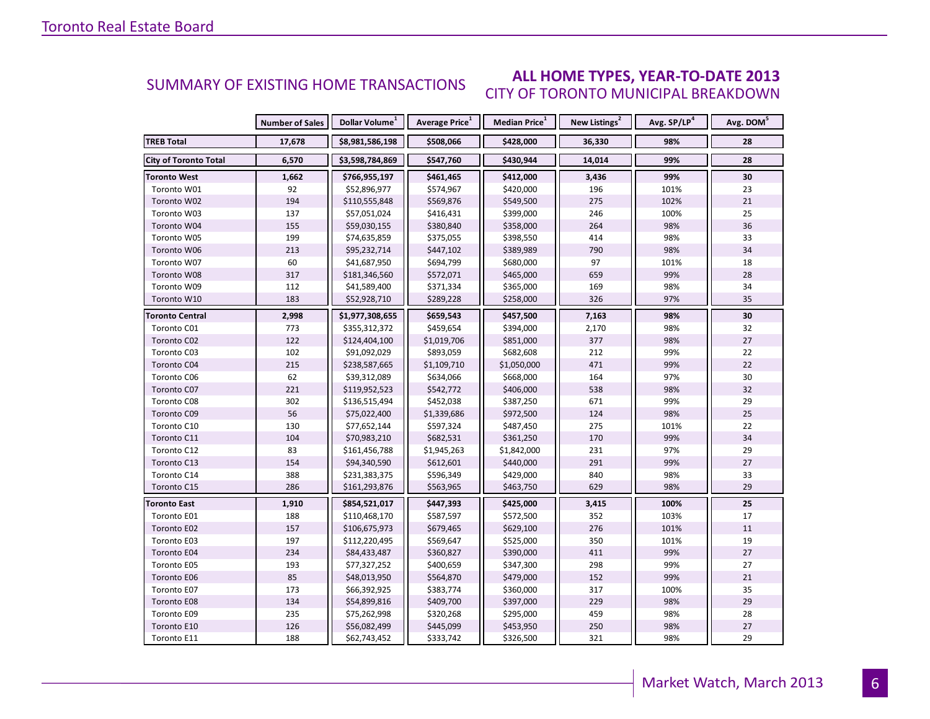#### **ALL HOME TYPES, YEAR-TO-DATE 2013** CITY OF TORONTO MUNICIPAL BREAKDOWN SUMMARY OF EXISTING HOME TRANSACTIONS

|                              | <b>Number of Sales</b> | Dollar Volume <sup>1</sup> | Average Price <sup>1</sup> | Median Price <sup>1</sup> | New Listings <sup>2</sup> | Avg. SP/LP <sup>4</sup> | Avg. DOM <sup>5</sup> |
|------------------------------|------------------------|----------------------------|----------------------------|---------------------------|---------------------------|-------------------------|-----------------------|
| <b>TREB Total</b>            | 17,678                 | \$8,981,586,198            | \$508,066                  | \$428,000                 | 36,330                    | 98%                     | 28                    |
| <b>City of Toronto Total</b> | 6,570                  | \$3,598,784,869            | \$547,760                  | \$430,944                 | 14,014                    | 99%                     | 28                    |
| Toronto West                 | 1,662                  | \$766,955,197              | \$461,465                  | \$412,000                 | 3,436                     | 99%                     | 30                    |
| Toronto W01                  | 92                     | \$52,896,977               | \$574,967                  | \$420,000                 | 196                       | 101%                    | 23                    |
| Toronto W02                  | 194                    | \$110,555,848              | \$569,876                  | \$549,500                 | 275                       | 102%                    | 21                    |
| Toronto W03                  | 137                    | \$57,051,024               | \$416,431                  | \$399,000                 | 246                       | 100%                    | 25                    |
| Toronto W04                  | 155                    | \$59,030,155               | \$380,840                  | \$358,000                 | 264                       | 98%                     | 36                    |
| Toronto W05                  | 199                    | \$74,635,859               | \$375,055                  | \$398,550                 | 414                       | 98%                     | 33                    |
| Toronto W06                  | 213                    | \$95,232,714               | \$447,102                  | \$389,989                 | 790                       | 98%                     | 34                    |
| Toronto W07                  | 60                     | \$41,687,950               | \$694,799                  | \$680,000                 | 97                        | 101%                    | 18                    |
| Toronto W08                  | 317                    | \$181,346,560              | \$572,071                  | \$465,000                 | 659                       | 99%                     | 28                    |
| Toronto W09                  | 112                    | \$41,589,400               | \$371,334                  | \$365,000                 | 169                       | 98%                     | 34                    |
| Toronto W10                  | 183                    | \$52,928,710               | \$289,228                  | \$258,000                 | 326                       | 97%                     | 35                    |
| <b>Toronto Central</b>       | 2,998                  | \$1,977,308,655            | \$659,543                  | \$457,500                 | 7,163                     | 98%                     | 30                    |
| Toronto C01                  | 773                    | \$355,312,372              | \$459,654                  | \$394,000                 | 2,170                     | 98%                     | 32                    |
| Toronto C02                  | 122                    | \$124,404,100              | \$1,019,706                | \$851,000                 | 377                       | 98%                     | 27                    |
| Toronto C03                  | 102                    | \$91,092,029               | \$893,059                  | \$682,608                 | 212                       | 99%                     | 22                    |
| Toronto C04                  | 215                    | \$238,587,665              | \$1,109,710                | \$1,050,000               | 471                       | 99%                     | 22                    |
| Toronto C06                  | 62                     | \$39,312,089               | \$634,066                  | \$668,000                 | 164                       | 97%                     | 30                    |
| Toronto C07                  | 221                    | \$119,952,523              | \$542,772                  | \$406,000                 | 538                       | 98%                     | 32                    |
| Toronto C08                  | 302                    | \$136,515,494              | \$452,038                  | \$387,250                 | 671                       | 99%                     | 29                    |
| Toronto C09                  | 56                     | \$75,022,400               | \$1,339,686                | \$972,500                 | 124                       | 98%                     | 25                    |
| Toronto C10                  | 130                    | \$77,652,144               | \$597,324                  | \$487,450                 | 275                       | 101%                    | 22                    |
| Toronto C11                  | 104                    | \$70,983,210               | \$682,531                  | \$361,250                 | 170                       | 99%                     | 34                    |
| Toronto C12                  | 83                     | \$161,456,788              | \$1,945,263                | \$1,842,000               | 231                       | 97%                     | 29                    |
| Toronto C13                  | 154                    | \$94,340,590               | \$612,601                  | \$440,000                 | 291                       | 99%                     | 27                    |
| Toronto C14                  | 388                    | \$231,383,375              | \$596,349                  | \$429,000                 | 840                       | 98%                     | 33                    |
| Toronto C15                  | 286                    | \$161,293,876              | \$563,965                  | \$463,750                 | 629                       | 98%                     | 29                    |
| <b>Toronto East</b>          | 1,910                  | \$854,521,017              | \$447,393                  | \$425,000                 | 3,415                     | 100%                    | 25                    |
| Toronto E01                  | 188                    | \$110,468,170              | \$587,597                  | \$572,500                 | 352                       | 103%                    | 17                    |
| Toronto E02                  | 157                    | \$106,675,973              | \$679,465                  | \$629,100                 | 276                       | 101%                    | 11                    |
| Toronto E03                  | 197                    | \$112,220,495              | \$569,647                  | \$525,000                 | 350                       | 101%                    | 19                    |
| Toronto E04                  | 234                    | \$84,433,487               | \$360,827                  | \$390,000                 | 411                       | 99%                     | 27                    |
| Toronto E05                  | 193                    | \$77,327,252               | \$400,659                  | \$347,300                 | 298                       | 99%                     | 27                    |
| <b>Toronto E06</b>           | 85                     | \$48,013,950               | \$564,870                  | \$479,000                 | 152                       | 99%                     | 21                    |
| Toronto E07                  | 173                    | \$66,392,925               | \$383,774                  | \$360,000                 | 317                       | 100%                    | 35                    |
| <b>Toronto E08</b>           | 134                    | \$54,899,816               | \$409,700                  | \$397,000                 | 229                       | 98%                     | 29                    |
| Toronto E09                  | 235                    | \$75,262,998               | \$320,268                  | \$295,000                 | 459                       | 98%                     | 28                    |
| Toronto E10                  | 126                    | \$56,082,499               | \$445,099                  | \$453,950                 | 250                       | 98%                     | 27                    |
| Toronto E11                  | 188                    | \$62,743,452               | \$333,742                  | \$326,500                 | 321                       | 98%                     | 29                    |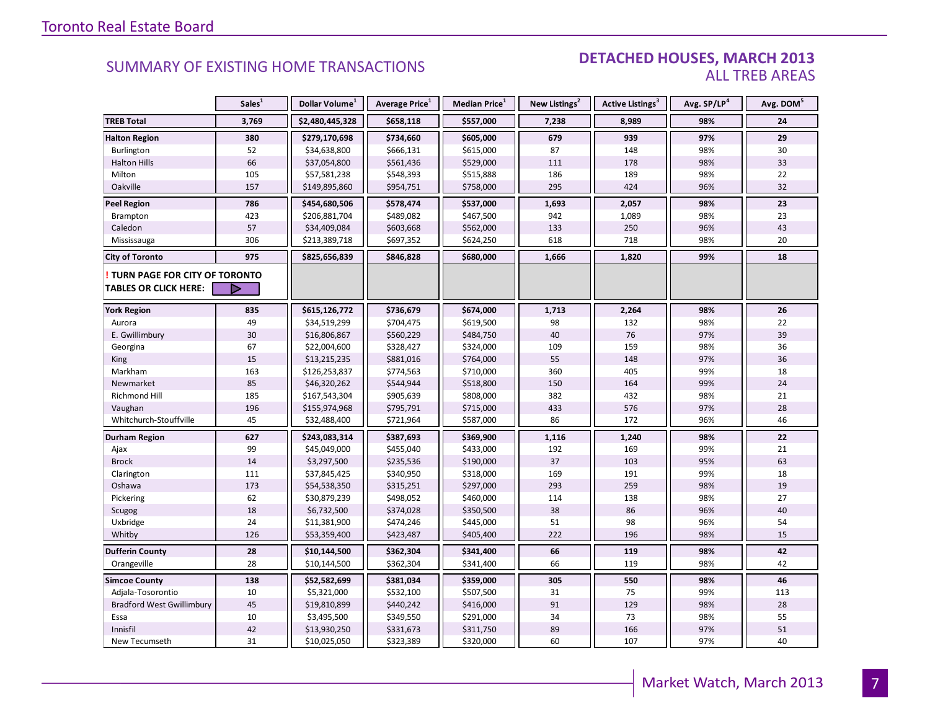#### DETACHED HOUSES, MARCH 2013 ALL TREB AREAS

|                                  | Sales <sup>1</sup> | Dollar Volume <sup>1</sup> | Average Price <sup>1</sup> | Median Price <sup>1</sup> | New Listings <sup>2</sup> | Active Listings <sup>3</sup> | Avg. SP/LP <sup>4</sup> | Avg. DOM <sup>5</sup> |
|----------------------------------|--------------------|----------------------------|----------------------------|---------------------------|---------------------------|------------------------------|-------------------------|-----------------------|
| <b>TREB Total</b>                | 3,769              | \$2,480,445,328            | \$658,118                  | \$557,000                 | 7,238                     | 8,989                        | 98%                     | 24                    |
| <b>Halton Region</b>             | 380                | \$279,170,698              | \$734,660                  | \$605,000                 | 679                       | 939                          | 97%                     | 29                    |
| Burlington                       | 52                 | \$34,638,800               | \$666,131                  | \$615,000                 | 87                        | 148                          | 98%                     | 30                    |
| <b>Halton Hills</b>              | 66                 | \$37,054,800               | \$561,436                  | \$529,000                 | 111                       | 178                          | 98%                     | 33                    |
| Milton                           | 105                | \$57,581,238               | \$548,393                  | \$515,888                 | 186                       | 189                          | 98%                     | 22                    |
| Oakville                         | 157                | \$149,895,860              | \$954,751                  | \$758,000                 | 295                       | 424                          | 96%                     | 32                    |
| <b>Peel Region</b>               | 786                | \$454,680,506              | \$578,474                  | \$537,000                 | 1,693                     | 2,057                        | 98%                     | 23                    |
| Brampton                         | 423                | \$206,881,704              | \$489,082                  | \$467,500                 | 942                       | 1,089                        | 98%                     | 23                    |
| Caledon                          | 57                 | \$34,409,084               | \$603,668                  | \$562,000                 | 133                       | 250                          | 96%                     | 43                    |
| Mississauga                      | 306                | \$213,389,718              | \$697,352                  | \$624,250                 | 618                       | 718                          | 98%                     | 20                    |
| <b>City of Toronto</b>           | 975                | \$825,656,839              | \$846,828                  | \$680,000                 | 1,666                     | 1,820                        | 99%                     | 18                    |
| TURN PAGE FOR CITY OF TORONTO    |                    |                            |                            |                           |                           |                              |                         |                       |
| <b>TABLES OR CLICK HERE:</b>     |                    |                            |                            |                           |                           |                              |                         |                       |
| <b>York Region</b>               | 835                | \$615,126,772              | \$736,679                  | \$674,000                 | 1,713                     | 2,264                        | 98%                     | 26                    |
| Aurora                           | 49                 | \$34,519,299               | \$704,475                  | \$619,500                 | 98                        | 132                          | 98%                     | 22                    |
| E. Gwillimbury                   | 30                 | \$16,806,867               | \$560,229                  | \$484,750                 | 40                        | 76                           | 97%                     | 39                    |
| Georgina                         | 67                 | \$22,004,600               | \$328,427                  | \$324,000                 | 109                       | 159                          | 98%                     | 36                    |
| <b>King</b>                      | 15                 | \$13,215,235               | \$881,016                  | \$764,000                 | 55                        | 148                          | 97%                     | 36                    |
| Markham                          | 163                | \$126,253,837              | \$774,563                  | \$710,000                 | 360                       | 405                          | 99%                     | 18                    |
| Newmarket                        | 85                 | \$46,320,262               | \$544,944                  | \$518,800                 | 150                       | 164                          | 99%                     | 24                    |
| <b>Richmond Hill</b>             | 185                | \$167,543,304              | \$905,639                  | \$808,000                 | 382                       | 432                          | 98%                     | 21                    |
| Vaughan                          | 196                | \$155,974,968              | \$795,791                  | \$715,000                 | 433                       | 576                          | 97%                     | 28                    |
| Whitchurch-Stouffville           | 45                 | \$32,488,400               | \$721,964                  | \$587,000                 | 86                        | 172                          | 96%                     | 46                    |
| <b>Durham Region</b>             | 627                | \$243,083,314              | \$387,693                  | \$369,900                 | 1,116                     | 1,240                        | 98%                     | 22                    |
| Ajax                             | 99                 | \$45,049,000               | \$455,040                  | \$433,000                 | 192                       | 169                          | 99%                     | 21                    |
| <b>Brock</b>                     | 14                 | \$3,297,500                | \$235,536                  | \$190,000                 | 37                        | 103                          | 95%                     | 63                    |
| Clarington                       | 111                | \$37,845,425               | \$340,950                  | \$318,000                 | 169                       | 191                          | 99%                     | 18                    |
| Oshawa                           | 173                | \$54,538,350               | \$315,251                  | \$297,000                 | 293                       | 259                          | 98%                     | 19                    |
| Pickering                        | 62                 | \$30,879,239               | \$498,052                  | \$460,000                 | 114                       | 138                          | 98%                     | 27                    |
| Scugog                           | 18                 | \$6,732,500                | \$374,028                  | \$350,500                 | 38                        | 86                           | 96%                     | 40                    |
| Uxbridge                         | 24                 | \$11,381,900               | \$474,246                  | \$445,000                 | 51                        | 98                           | 96%                     | 54                    |
| Whitby                           | 126                | \$53,359,400               | \$423,487                  | \$405,400                 | 222                       | 196                          | 98%                     | 15                    |
| <b>Dufferin County</b>           | 28                 | \$10,144,500               | \$362,304                  | \$341,400                 | 66                        | 119                          | 98%                     | 42                    |
| Orangeville                      | 28                 | \$10,144,500               | \$362,304                  | \$341,400                 | 66                        | 119                          | 98%                     | 42                    |
| <b>Simcoe County</b>             | 138                | \$52,582,699               | \$381,034                  | \$359,000                 | 305                       | 550                          | 98%                     | 46                    |
| Adjala-Tosorontio                | 10                 | \$5,321,000                | \$532,100                  | \$507,500                 | 31                        | 75                           | 99%                     | 113                   |
| <b>Bradford West Gwillimbury</b> | 45                 | \$19,810,899               | \$440,242                  | \$416,000                 | 91                        | 129                          | 98%                     | 28                    |
| Essa                             | 10                 | \$3,495,500                | \$349,550                  | \$291,000                 | 34                        | 73                           | 98%                     | 55                    |
| Innisfil                         | 42                 | \$13,930,250               | \$331,673                  | \$311,750                 | 89                        | 166                          | 97%                     | 51                    |
| New Tecumseth                    | 31                 | \$10,025,050               | \$323,389                  | \$320,000                 | 60                        | 107                          | 97%                     | 40                    |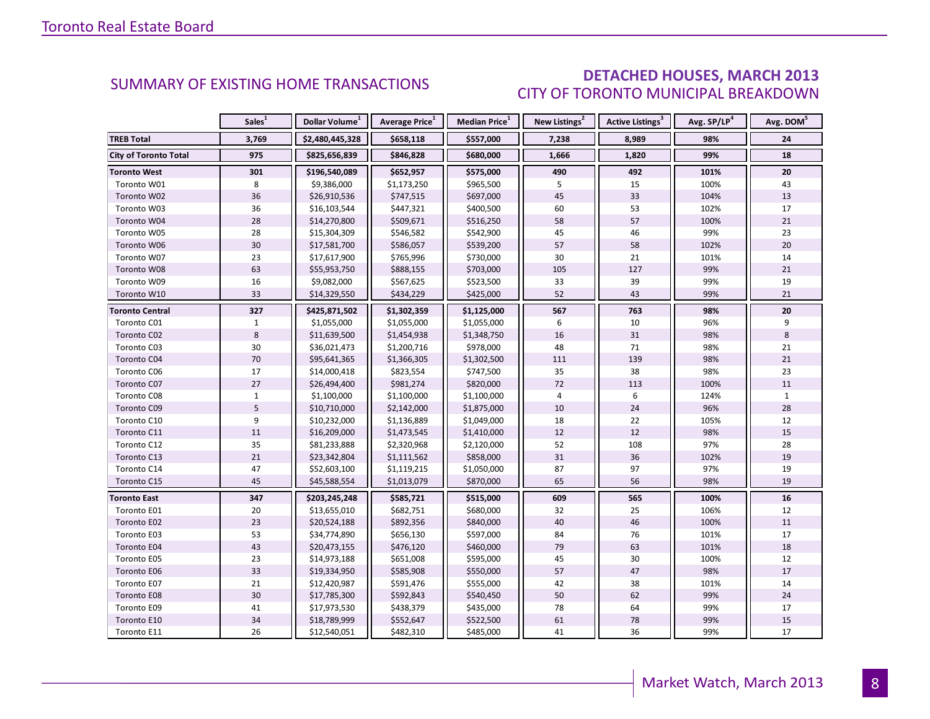### DETACHED HOUSES, MARCH 2013 CITY OF TORONTO MUNICIPAL BREAKDOWN

<span id="page-7-0"></span>

|                              | Sales <sup>1</sup> | Dollar Volume <sup>1</sup> | Average Price <sup>1</sup> | Median Price <sup>1</sup> | New Listings <sup>2</sup> | Active Listings <sup>3</sup> | Avg. SP/LP <sup>4</sup> | Avg. DOM <sup>5</sup> |
|------------------------------|--------------------|----------------------------|----------------------------|---------------------------|---------------------------|------------------------------|-------------------------|-----------------------|
| <b>TREB Total</b>            | 3,769              | \$2,480,445,328            | \$658,118                  | \$557,000                 | 7,238                     | 8,989                        | 98%                     | 24                    |
| <b>City of Toronto Total</b> | 975                | \$825,656,839              | \$846,828                  | \$680,000                 | 1,666                     | 1,820                        | 99%                     | 18                    |
| <b>Toronto West</b>          | 301                | \$196,540,089              | \$652,957                  | \$575,000                 | 490                       | 492                          | 101%                    | 20                    |
| Toronto W01                  | 8                  | \$9,386,000                | \$1,173,250                | \$965,500                 | 5                         | 15                           | 100%                    | 43                    |
| Toronto W02                  | 36                 | \$26,910,536               | \$747,515                  | \$697,000                 | 45                        | 33                           | 104%                    | 13                    |
| Toronto W03                  | 36                 | \$16,103,544               | \$447,321                  | \$400,500                 | 60                        | 53                           | 102%                    | 17                    |
| Toronto W04                  | 28                 | \$14,270,800               | \$509,671                  | \$516,250                 | 58                        | 57                           | 100%                    | $21\,$                |
| Toronto W05                  | 28                 | \$15,304,309               | \$546,582                  | \$542,900                 | 45                        | 46                           | 99%                     | 23                    |
| Toronto W06                  | 30                 | \$17,581,700               | \$586,057                  | \$539,200                 | 57                        | 58                           | 102%                    | $20\,$                |
| Toronto W07                  | 23                 | \$17,617,900               | \$765,996                  | \$730,000                 | 30                        | 21                           | 101%                    | 14                    |
| Toronto W08                  | 63                 | \$55,953,750               | \$888,155                  | \$703,000                 | 105                       | 127                          | 99%                     | 21                    |
| Toronto W09                  | 16                 | \$9,082,000                | \$567,625                  | \$523,500                 | 33                        | 39                           | 99%                     | 19                    |
| Toronto W10                  | 33                 | \$14,329,550               | \$434,229                  | \$425,000                 | 52                        | 43                           | 99%                     | 21                    |
| <b>Toronto Central</b>       | 327                | \$425,871,502              | \$1,302,359                | \$1,125,000               | 567                       | 763                          | 98%                     | 20                    |
| Toronto C01                  | $\mathbf{1}$       | \$1,055,000                | \$1,055,000                | \$1,055,000               | 6                         | 10                           | 96%                     | 9                     |
| Toronto C02                  | 8                  | \$11,639,500               | \$1,454,938                | \$1,348,750               | 16                        | 31                           | 98%                     | 8                     |
| Toronto C03                  | $30\,$             | \$36,021,473               | \$1,200,716                | \$978,000                 | 48                        | 71                           | 98%                     | 21                    |
| Toronto C04                  | 70                 | \$95,641,365               | \$1,366,305                | \$1,302,500               | 111                       | 139                          | 98%                     | 21                    |
| Toronto C06                  | 17                 | \$14,000,418               | \$823,554                  | \$747,500                 | 35                        | 38                           | 98%                     | 23                    |
| Toronto C07                  | 27                 | \$26,494,400               | \$981,274                  | \$820,000                 | 72                        | 113                          | 100%                    | 11                    |
| Toronto C08                  | $\mathbf{1}$       | \$1,100,000                | \$1,100,000                | \$1,100,000               | $\overline{4}$            | $\boldsymbol{6}$             | 124%                    | $\mathbf{1}$          |
| Toronto C09                  | 5                  | \$10,710,000               | \$2,142,000                | \$1,875,000               | 10                        | 24                           | 96%                     | 28                    |
| Toronto C10                  | 9                  | \$10,232,000               | \$1,136,889                | \$1,049,000               | 18                        | 22                           | 105%                    | 12                    |
| Toronto C11                  | 11                 | \$16,209,000               | \$1,473,545                | \$1,410,000               | 12                        | 12                           | 98%                     | 15                    |
| Toronto C12                  | 35                 | \$81,233,888               | \$2,320,968                | \$2,120,000               | 52                        | 108                          | 97%                     | 28                    |
| Toronto C13                  | 21                 | \$23,342,804               | \$1,111,562                | \$858,000                 | 31                        | 36                           | 102%                    | 19                    |
| Toronto C14                  | 47                 | \$52,603,100               | \$1,119,215                | \$1,050,000               | 87                        | 97                           | 97%                     | 19                    |
| Toronto C15                  | 45                 | \$45,588,554               | \$1,013,079                | \$870,000                 | 65                        | 56                           | 98%                     | 19                    |
| <b>Toronto East</b>          | 347                | \$203,245,248              | \$585,721                  | \$515,000                 | 609                       | 565                          | 100%                    | 16                    |
| Toronto E01                  | 20                 | \$13,655,010               | \$682,751                  | \$680,000                 | 32                        | 25                           | 106%                    | 12                    |
| Toronto E02                  | 23                 | \$20,524,188               | \$892,356                  | \$840,000                 | 40                        | 46                           | 100%                    | $11\,$                |
| Toronto E03                  | 53                 | \$34,774,890               | \$656,130                  | \$597,000                 | 84                        | 76                           | 101%                    | 17                    |
| Toronto E04                  | 43                 | \$20,473,155               | \$476,120                  | \$460,000                 | 79                        | 63                           | 101%                    | 18                    |
| Toronto E05                  | 23                 | \$14,973,188               | \$651,008                  | \$595,000                 | 45                        | 30                           | 100%                    | 12                    |
| Toronto E06                  | 33                 | \$19,334,950               | \$585,908                  | \$550,000                 | 57                        | 47                           | 98%                     | 17                    |
| Toronto E07                  | 21                 | \$12,420,987               | \$591,476                  | \$555,000                 | 42                        | 38                           | 101%                    | 14                    |
| Toronto E08                  | 30                 | \$17,785,300               | \$592,843                  | \$540,450                 | 50                        | 62                           | 99%                     | 24                    |
| Toronto E09                  | 41                 | \$17,973,530               | \$438,379                  | \$435,000                 | 78                        | 64                           | 99%                     | 17                    |
| Toronto E10                  | 34                 | \$18,789,999               | \$552,647                  | \$522,500                 | 61                        | ${\bf 78}$                   | 99%                     | 15                    |
| Toronto E11                  | 26                 | \$12,540,051               | \$482,310                  | \$485,000                 | 41                        | 36                           | 99%                     | 17                    |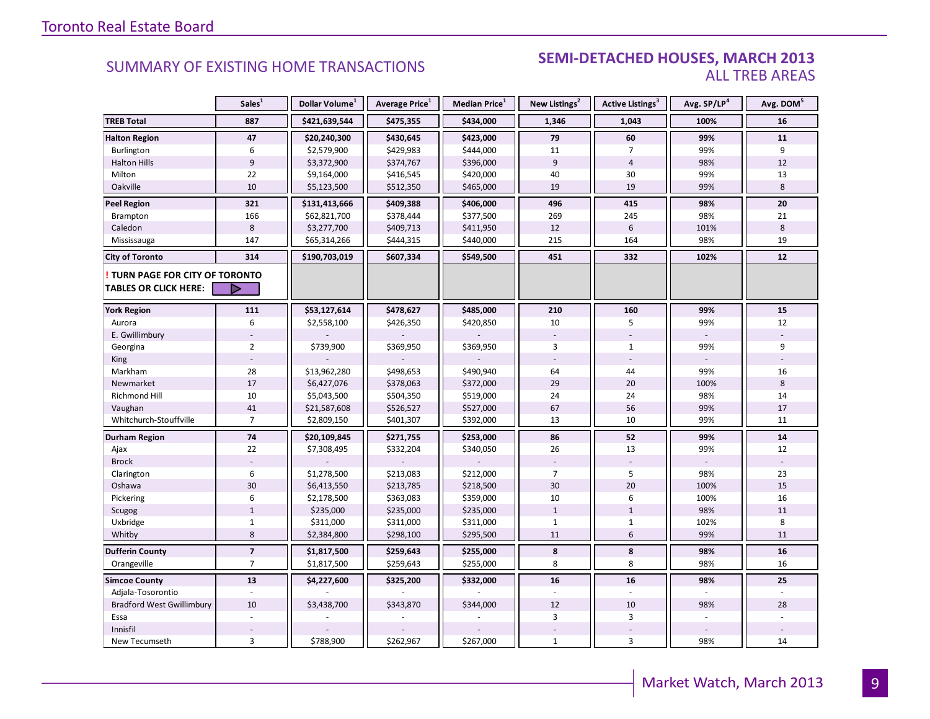#### SEMI-DETACHED HOUSES, MARCH 2013 ALL TREB AREAS

|                                                               | Sales <sup>1</sup> | Dollar Volume <sup>1</sup> | Average Price <sup>1</sup> | Median Price <sup>1</sup> | New Listings <sup>2</sup> | Active Listings <sup>3</sup> | Avg. SP/LP <sup>4</sup> | Avg. DOM <sup>5</sup> |
|---------------------------------------------------------------|--------------------|----------------------------|----------------------------|---------------------------|---------------------------|------------------------------|-------------------------|-----------------------|
| <b>TREB Total</b>                                             | 887                | \$421,639,544              | \$475,355                  | \$434,000                 | 1,346                     | 1,043                        | 100%                    | 16                    |
| <b>Halton Region</b>                                          | 47                 | \$20,240,300               | \$430,645                  | \$423,000                 | 79                        | 60                           | 99%                     | 11                    |
| Burlington                                                    | 6                  | \$2,579,900                | \$429,983                  | \$444,000                 | 11                        | $\overline{7}$               | 99%                     | 9                     |
| <b>Halton Hills</b>                                           | $\overline{9}$     | \$3,372,900                | \$374,767                  | \$396,000                 | 9                         | $\overline{4}$               | 98%                     | 12                    |
| Milton                                                        | 22                 | \$9,164,000                | \$416,545                  | \$420,000                 | 40                        | 30                           | 99%                     | 13                    |
| Oakville                                                      | 10                 | \$5,123,500                | \$512,350                  | \$465,000                 | 19                        | 19                           | 99%                     | 8                     |
| <b>Peel Region</b>                                            | 321                | \$131,413,666              | \$409,388                  | \$406,000                 | 496                       | 415                          | 98%                     | 20                    |
| Brampton                                                      | 166                | \$62,821,700               | \$378,444                  | \$377,500                 | 269                       | 245                          | 98%                     | 21                    |
| Caledon                                                       | 8                  | \$3,277,700                | \$409,713                  | \$411,950                 | 12                        | $6\,$                        | 101%                    | 8                     |
| Mississauga                                                   | 147                | \$65,314,266               | \$444,315                  | \$440,000                 | 215                       | 164                          | 98%                     | 19                    |
| <b>City of Toronto</b>                                        | 314                | \$190,703,019              | \$607,334                  | \$549,500                 | 451                       | 332                          | 102%                    | 12                    |
| TURN PAGE FOR CITY OF TORONTO<br><b>TABLES OR CLICK HERE:</b> |                    |                            |                            |                           |                           |                              |                         |                       |
| <b>York Region</b>                                            | 111                | \$53,127,614               | \$478,627                  | \$485,000                 | 210                       | 160                          | 99%                     | 15                    |
| Aurora                                                        | 6                  | \$2,558,100                | \$426,350                  | \$420,850                 | 10                        | 5                            | 99%                     | 12                    |
| E. Gwillimbury                                                |                    |                            |                            |                           |                           |                              |                         |                       |
| Georgina                                                      | $\overline{2}$     | \$739,900                  | \$369,950                  | \$369,950                 | 3                         | $\mathbf{1}$                 | 99%                     | 9                     |
| King                                                          |                    |                            |                            |                           |                           |                              |                         |                       |
| Markham                                                       | 28                 | \$13,962,280               | \$498,653                  | \$490,940                 | 64                        | 44                           | 99%                     | 16                    |
| Newmarket                                                     | 17                 | \$6,427,076                | \$378,063                  | \$372,000                 | 29                        | 20                           | 100%                    | 8                     |
| Richmond Hill                                                 | 10                 | \$5,043,500                | \$504,350                  | \$519,000                 | 24                        | 24                           | 98%                     | 14                    |
| Vaughan                                                       | 41                 | \$21,587,608               | \$526,527                  | \$527,000                 | 67                        | 56                           | 99%                     | 17                    |
| Whitchurch-Stouffville                                        | $\overline{7}$     | \$2,809,150                | \$401,307                  | \$392,000                 | 13                        | 10                           | 99%                     | 11                    |
| <b>Durham Region</b>                                          | 74                 | \$20,109,845               | \$271,755                  | \$253,000                 | 86                        | 52                           | 99%                     | 14                    |
| Ajax                                                          | 22                 | \$7,308,495                | \$332,204                  | \$340,050                 | 26                        | 13                           | 99%                     | 12                    |
| <b>Brock</b>                                                  |                    |                            |                            |                           |                           |                              |                         |                       |
| Clarington                                                    | 6                  | \$1,278,500                | \$213,083                  | \$212,000                 | $\overline{7}$            | 5                            | 98%                     | 23                    |
| Oshawa                                                        | 30                 | \$6,413,550                | \$213,785                  | \$218,500                 | 30                        | 20                           | 100%                    | 15                    |
| Pickering                                                     | $\boldsymbol{6}$   | \$2,178,500                | \$363,083                  | \$359,000                 | 10                        | 6                            | 100%                    | 16                    |
| Scugog                                                        | $\mathbf{1}$       | \$235,000                  | \$235,000                  | \$235,000                 | $\mathbf{1}$              | $\mathbf{1}$                 | 98%                     | 11                    |
| Uxbridge                                                      | $\mathbf{1}$       | \$311,000                  | \$311,000                  | \$311,000                 | $\mathbf{1}$              | $\mathbf{1}$                 | 102%                    | 8                     |
| Whitby                                                        | 8                  | \$2,384,800                | \$298,100                  | \$295,500                 | 11                        | $6\,$                        | 99%                     | 11                    |
| <b>Dufferin County</b>                                        | $\overline{7}$     | \$1,817,500                | \$259,643                  | \$255,000                 | 8                         | 8                            | 98%                     | 16                    |
| Orangeville                                                   | $\overline{7}$     | \$1,817,500                | \$259,643                  | \$255,000                 | 8                         | 8                            | 98%                     | 16                    |
| <b>Simcoe County</b>                                          | 13                 | \$4,227,600                | \$325,200                  | \$332,000                 | 16                        | 16                           | 98%                     | 25                    |
| Adjala-Tosorontio                                             |                    |                            |                            |                           |                           |                              |                         |                       |
| <b>Bradford West Gwillimbury</b>                              | 10                 | \$3,438,700                | \$343,870                  | \$344,000                 | 12                        | 10                           | 98%                     | 28                    |
| Essa                                                          |                    |                            |                            |                           | 3                         | 3                            |                         |                       |
| Innisfil                                                      |                    |                            |                            |                           |                           |                              |                         |                       |
| New Tecumseth                                                 | $\overline{3}$     | \$788,900                  | \$262,967                  | \$267,000                 | $\mathbf{1}$              | 3                            | 98%                     | 14                    |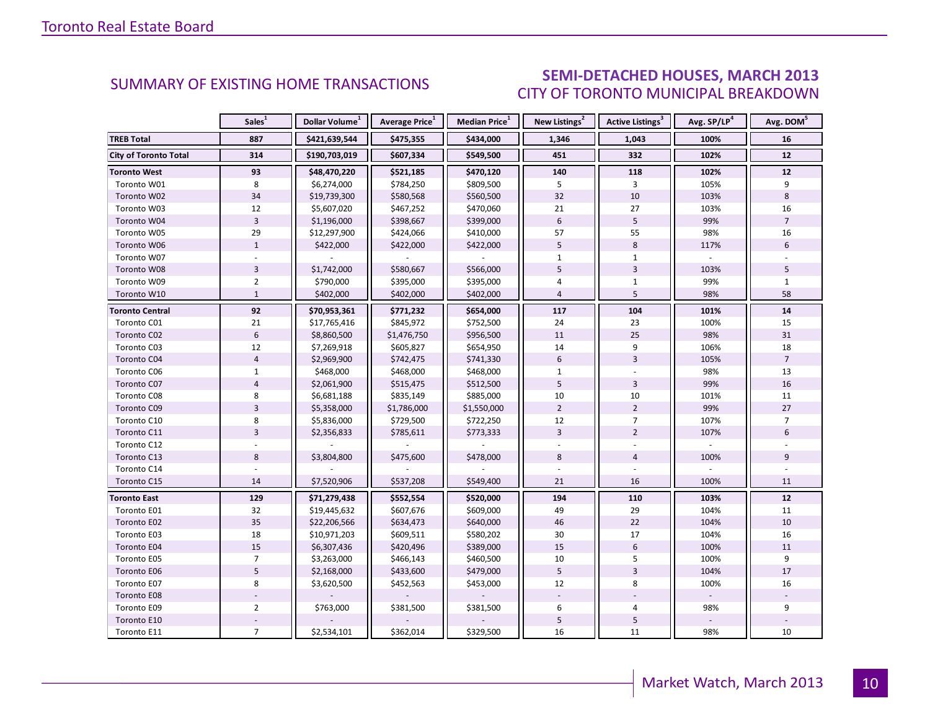### SEMI-DETACHED HOUSES, MARCH 2013 CITY OF TORONTO MUNICIPAL BREAKDOWN

<span id="page-9-0"></span>

|                              | Sales <sup>1</sup> | Dollar Volume <sup>1</sup> | Average Price <sup>1</sup> | Median Price <sup>1</sup> | New Listings <sup>2</sup> | Active Listings <sup>3</sup> | Avg. SP/LP <sup>4</sup> | Avg. DOM <sup>5</sup> |
|------------------------------|--------------------|----------------------------|----------------------------|---------------------------|---------------------------|------------------------------|-------------------------|-----------------------|
| <b>TREB Total</b>            | 887                | \$421,639,544              | \$475,355                  | \$434,000                 | 1,346                     | 1,043                        | 100%                    | 16                    |
| <b>City of Toronto Total</b> | 314                | \$190,703,019              | \$607,334                  | \$549,500                 | 451                       | 332                          | 102%                    | 12                    |
| <b>Toronto West</b>          | 93                 | \$48,470,220               | \$521,185                  | \$470,120                 | 140                       | 118                          | 102%                    | 12                    |
| Toronto W01                  | 8                  | \$6,274,000                | \$784,250                  | \$809,500                 | 5                         | 3                            | 105%                    | 9                     |
| Toronto W02                  | 34                 | \$19,739,300               | \$580,568                  | \$560,500                 | 32                        | 10                           | 103%                    | 8                     |
| Toronto W03                  | 12                 | \$5,607,020                | \$467,252                  | \$470,060                 | 21                        | 27                           | 103%                    | 16                    |
| Toronto W04                  | $\overline{3}$     | \$1,196,000                | \$398,667                  | \$399,000                 | $6\phantom{1}$            | 5                            | 99%                     | $\overline{7}$        |
| Toronto W05                  | 29                 | \$12,297,900               | \$424,066                  | \$410,000                 | 57                        | 55                           | 98%                     | 16                    |
| Toronto W06                  | $\mathbf{1}$       | \$422,000                  | \$422,000                  | \$422,000                 | 5                         | 8                            | 117%                    | 6                     |
| Toronto W07                  |                    |                            |                            |                           | 1                         | $\mathbf{1}$                 |                         |                       |
| Toronto W08                  | $\overline{3}$     | \$1,742,000                | \$580,667                  | \$566,000                 | 5                         | $\overline{3}$               | 103%                    | 5                     |
| Toronto W09                  | $\overline{2}$     | \$790,000                  | \$395,000                  | \$395,000                 | 4                         | $\mathbf{1}$                 | 99%                     | $\mathbf{1}$          |
| Toronto W10                  | $\mathbf{1}$       | \$402,000                  | \$402,000                  | \$402,000                 | $\overline{4}$            | 5                            | 98%                     | 58                    |
| <b>Toronto Central</b>       | 92                 | \$70,953,361               | \$771,232                  | \$654,000                 | 117                       | 104                          | 101%                    | 14                    |
| Toronto C01                  | 21                 | \$17,765,416               | \$845,972                  | \$752,500                 | 24                        | 23                           | 100%                    | 15                    |
| Toronto C02                  | 6                  | \$8,860,500                | \$1,476,750                | \$956,500                 | 11                        | 25                           | 98%                     | 31                    |
| Toronto C03                  | 12                 | \$7,269,918                | \$605,827                  | \$654,950                 | 14                        | 9                            | 106%                    | 18                    |
| Toronto C04                  | $\overline{4}$     | \$2,969,900                | \$742,475                  | \$741,330                 | 6                         | $\overline{3}$               | 105%                    | $\overline{7}$        |
| Toronto C06                  | $\mathbf{1}$       | \$468,000                  | \$468,000                  | \$468,000                 | $\mathbf{1}$              |                              | 98%                     | 13                    |
| Toronto C07                  | $\overline{4}$     | \$2,061,900                | \$515,475                  | \$512,500                 | 5                         | 3                            | 99%                     | 16                    |
| Toronto C08                  | 8                  | \$6,681,188                | \$835,149                  | \$885,000                 | 10                        | 10                           | 101%                    | 11                    |
| Toronto C09                  | $\overline{3}$     | \$5,358,000                | \$1,786,000                | \$1,550,000               | $\overline{2}$            | $\overline{2}$               | 99%                     | 27                    |
| Toronto C10                  | 8                  | \$5,836,000                | \$729,500                  | \$722,250                 | 12                        | $\overline{7}$               | 107%                    | $\overline{7}$        |
| Toronto C11                  | $\overline{3}$     | \$2,356,833                | \$785,611                  | \$773,333                 | $\overline{3}$            | $\overline{2}$               | 107%                    | 6                     |
| Toronto C12                  |                    |                            |                            |                           |                           |                              |                         |                       |
| Toronto C13                  | 8                  | \$3,804,800                | \$475,600                  | \$478,000                 | 8                         | $\overline{4}$               | 100%                    | 9                     |
| Toronto C14                  |                    |                            |                            |                           |                           |                              |                         |                       |
| Toronto C15                  | 14                 | \$7,520,906                | \$537,208                  | \$549,400                 | 21                        | 16                           | 100%                    | 11                    |
| <b>Toronto East</b>          | 129                | \$71,279,438               | \$552,554                  | \$520,000                 | 194                       | 110                          | 103%                    | 12                    |
| Toronto E01                  | 32                 | \$19,445,632               | \$607,676                  | \$609,000                 | 49                        | 29                           | 104%                    | 11                    |
| Toronto E02                  | 35                 | \$22,206,566               | \$634,473                  | \$640,000                 | 46                        | 22                           | 104%                    | 10                    |
| Toronto E03                  | 18                 | \$10,971,203               | \$609,511                  | \$580,202                 | 30                        | 17                           | 104%                    | 16                    |
| Toronto E04                  | 15                 | \$6,307,436                | \$420,496                  | \$389,000                 | 15                        | $6\,$                        | 100%                    | 11                    |
| Toronto E05                  | $\overline{7}$     | \$3,263,000                | \$466,143                  | \$460,500                 | 10                        | 5                            | 100%                    | 9                     |
| Toronto E06                  | 5                  | \$2,168,000                | \$433,600                  | \$479,000                 | 5                         | $\overline{3}$               | 104%                    | 17                    |
| Toronto E07                  | 8                  | \$3,620,500                | \$452,563                  | \$453,000                 | 12                        | 8                            | 100%                    | 16                    |
| Toronto E08                  |                    |                            |                            |                           |                           |                              |                         |                       |
| Toronto E09                  | $\overline{2}$     | \$763,000                  | \$381,500                  | \$381,500                 | 6                         | 4                            | 98%                     | 9                     |
| Toronto E10                  |                    |                            |                            |                           | $\overline{5}$            | 5                            |                         |                       |
| Toronto E11                  | $\overline{7}$     | \$2,534,101                | \$362,014                  | \$329,500                 | 16                        | 11                           | 98%                     | 10                    |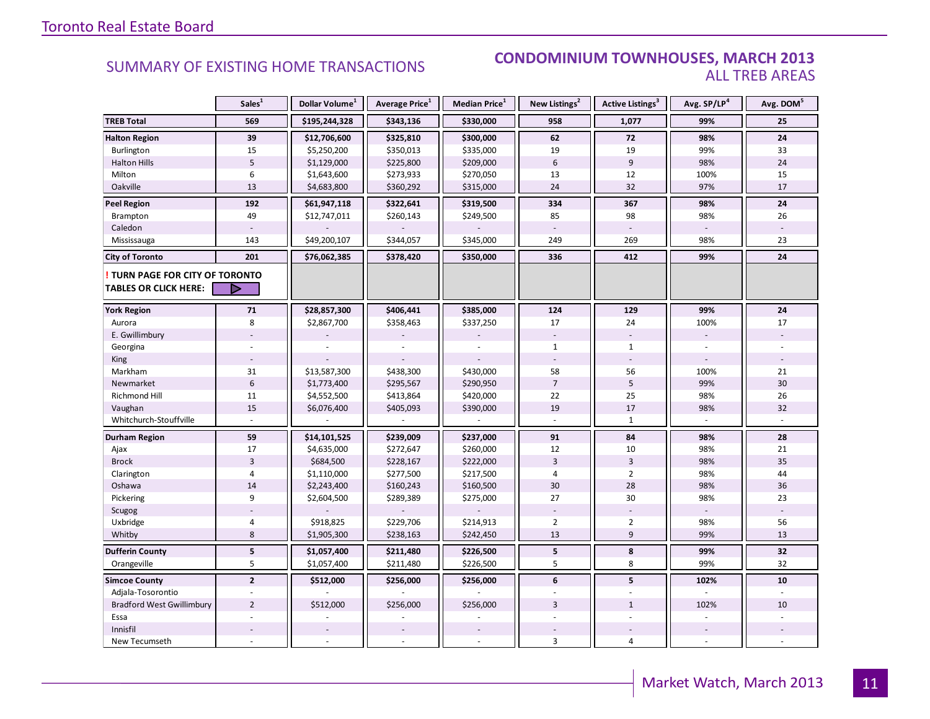#### SUMMARY OF EXISTING HOME TRANSACTIONS **CONDOMINIUM TOWNHOUSES, MARCH 2013** ALL TREB AREAS

|                                                               | Sales <sup>1</sup> | Dollar Volume <sup>1</sup> | Average Price <sup>1</sup> | Median Price <sup>1</sup> | New Listings <sup>2</sup> | <b>Active Listings<sup>3</sup></b>       | Avg. SP/LP <sup>4</sup> | Avg. DOM <sup>5</sup> |
|---------------------------------------------------------------|--------------------|----------------------------|----------------------------|---------------------------|---------------------------|------------------------------------------|-------------------------|-----------------------|
| <b>TREB Total</b>                                             | 569                | \$195,244,328              | \$343,136                  | \$330,000                 | 958                       | 1,077                                    | 99%                     | 25                    |
| <b>Halton Region</b>                                          | 39                 | \$12,706,600               | \$325,810                  | \$300,000                 | 62                        | 72                                       | 98%                     | 24                    |
| Burlington                                                    | 15                 | \$5,250,200                | \$350,013                  | \$335,000                 | 19                        | 19                                       | 99%                     | 33                    |
| <b>Halton Hills</b>                                           | $\overline{5}$     | \$1,129,000                | \$225,800                  | \$209,000                 | $6\phantom{a}$            | 9                                        | 98%                     | 24                    |
| Milton                                                        | 6                  | \$1,643,600                | \$273,933                  | \$270,050                 | 13                        | 12                                       | 100%                    | 15                    |
| Oakville                                                      | 13                 | \$4,683,800                | \$360,292                  | \$315,000                 | 24                        | 32                                       | 97%                     | 17                    |
| <b>Peel Region</b>                                            | 192                | \$61,947,118               | \$322,641                  | \$319,500                 | 334                       | 367                                      | 98%                     | 24                    |
| Brampton                                                      | 49                 | \$12,747,011               | \$260,143                  | \$249,500                 | 85                        | 98                                       | 98%                     | 26                    |
| Caledon                                                       |                    |                            |                            |                           |                           |                                          |                         |                       |
| Mississauga                                                   | 143                | \$49,200,107               | \$344,057                  | \$345,000                 | 249                       | 269                                      | 98%                     | 23                    |
| <b>City of Toronto</b>                                        | 201                | \$76,062,385               | \$378,420                  | \$350,000                 | 336                       | 412                                      | 99%                     | 24                    |
| TURN PAGE FOR CITY OF TORONTO<br><b>TABLES OR CLICK HERE:</b> | D                  |                            |                            |                           |                           |                                          |                         |                       |
|                                                               | 71                 | \$28,857,300               | \$406,441                  | \$385,000                 | 124                       | 129                                      | 99%                     | 24                    |
| <b>York Region</b>                                            |                    |                            |                            |                           | 17                        | 24                                       | 100%                    | 17                    |
| Aurora                                                        | 8                  | \$2,867,700                | \$358,463                  | \$337,250                 |                           |                                          |                         |                       |
| E. Gwillimbury                                                |                    |                            |                            |                           |                           |                                          |                         |                       |
| Georgina                                                      |                    |                            |                            |                           | $\mathbf{1}$              | $\mathbf{1}$<br>$\overline{\phantom{a}}$ |                         |                       |
| King                                                          |                    |                            |                            |                           |                           |                                          |                         |                       |
| Markham                                                       | 31                 | \$13,587,300               | \$438,300                  | \$430,000                 | 58                        | 56                                       | 100%                    | 21                    |
| Newmarket                                                     | $\sqrt{6}$         | \$1,773,400                | \$295,567                  | \$290,950                 | $\overline{7}$<br>22      | 5<br>25                                  | 99%                     | 30                    |
| <b>Richmond Hill</b>                                          | 11                 | \$4,552,500                | \$413,864                  | \$420,000                 |                           |                                          | 98%                     | 26                    |
| Vaughan                                                       | 15                 | \$6,076,400                | \$405,093                  | \$390,000                 | 19                        | 17                                       | 98%                     | 32                    |
| Whitchurch-Stouffville                                        |                    |                            |                            |                           |                           | $\mathbf{1}$                             |                         |                       |
| Durham Region                                                 | 59                 | \$14,101,525               | \$239,009                  | \$237,000                 | 91                        | 84                                       | 98%                     | 28                    |
| Ajax                                                          | 17                 | \$4,635,000                | \$272,647                  | \$260,000                 | 12                        | 10                                       | 98%                     | 21                    |
| <b>Brock</b>                                                  | $\overline{3}$     | \$684,500                  | \$228,167                  | \$222,000                 | $\overline{3}$            | $\overline{3}$                           | 98%                     | 35                    |
| Clarington                                                    | 4                  | \$1,110,000                | \$277,500                  | \$217,500                 | 4                         | $\overline{2}$                           | 98%                     | 44                    |
| Oshawa                                                        | 14                 | \$2,243,400                | \$160,243                  | \$160,500                 | 30                        | 28                                       | 98%                     | 36                    |
| Pickering                                                     | 9                  | \$2,604,500                | \$289,389                  | \$275,000                 | 27                        | 30                                       | 98%                     | 23                    |
| Scugog                                                        |                    |                            |                            |                           |                           |                                          |                         |                       |
| Uxbridge                                                      | $\overline{4}$     | \$918,825                  | \$229,706                  | \$214,913                 | $\overline{2}$            | $\overline{2}$                           | 98%                     | 56                    |
| Whitby                                                        | 8                  | \$1,905,300                | \$238,163                  | \$242,450                 | 13                        | $\overline{9}$                           | 99%                     | 13                    |
| <b>Dufferin County</b>                                        | ${\bf 5}$          | \$1,057,400                | \$211,480                  | \$226,500                 | 5                         | 8                                        | 99%                     | 32                    |
| Orangeville                                                   | 5                  | \$1,057,400                | \$211,480                  | \$226,500                 | 5                         | 8                                        | 99%                     | 32                    |
| <b>Simcoe County</b>                                          | $\overline{2}$     | \$512,000                  | \$256,000                  | \$256,000                 | 6                         | 5                                        | 102%                    | 10                    |
| Adjala-Tosorontio                                             |                    |                            |                            |                           |                           |                                          |                         |                       |
| <b>Bradford West Gwillimbury</b>                              | $\overline{2}$     | \$512,000                  | \$256,000                  | \$256,000                 | $\overline{3}$            | $\mathbf{1}$                             | 102%                    | 10                    |
| Essa                                                          |                    |                            |                            |                           |                           |                                          |                         |                       |
| Innisfil                                                      |                    |                            |                            |                           |                           |                                          |                         |                       |
| New Tecumseth                                                 |                    |                            |                            |                           | 3                         | $\overline{4}$                           |                         |                       |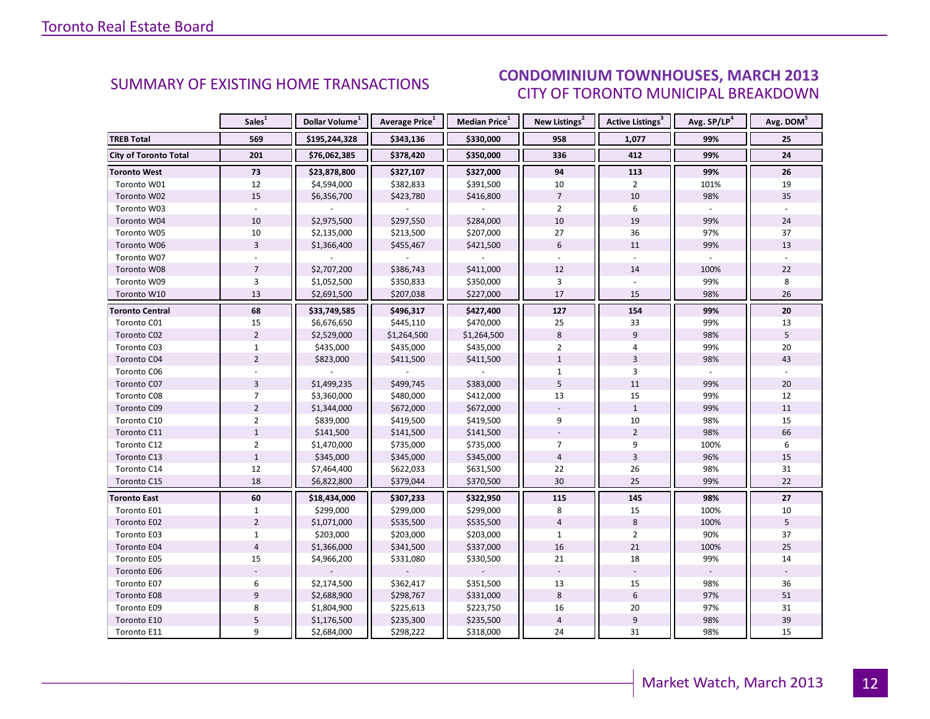#### $\sim$  Madch July CITY OF TORONTO MUNICIPAL BREAKDOWN SUMMARY OF EXISTING HOME TRANSACTIONS **CONDOMINIUM TOWNHOUSES, MARCH 2013**

<span id="page-11-0"></span>

|                              | Sales <sup>1</sup> | Dollar Volume <sup>1</sup> | Average Price <sup>1</sup> | Median Price <sup>1</sup> | New Listings <sup>2</sup> | Active Listings <sup>3</sup> | Avg. SP/LP <sup>4</sup> | Avg. DOM <sup>5</sup> |
|------------------------------|--------------------|----------------------------|----------------------------|---------------------------|---------------------------|------------------------------|-------------------------|-----------------------|
| <b>TREB Total</b>            | 569                | \$195,244,328              | \$343,136                  | \$330,000                 | 958                       | 1,077                        | 99%                     | 25                    |
| <b>City of Toronto Total</b> | 201                | \$76,062,385               | \$378,420                  | \$350,000                 | 336                       | 412                          | 99%                     | 24                    |
| <b>Toronto West</b>          | 73                 | \$23,878,800               | \$327,107                  | \$327,000                 | 94                        | 113                          | 99%                     | 26                    |
| Toronto W01                  | 12                 | \$4,594,000                | \$382,833                  | \$391,500                 | 10                        | $\overline{2}$               | 101%                    | 19                    |
| Toronto W02                  | 15                 | \$6,356,700                | \$423,780                  | \$416,800                 | $\overline{7}$            | 10                           | 98%                     | 35                    |
| Toronto W03                  |                    |                            |                            |                           | $\overline{2}$            | 6                            |                         |                       |
| Toronto W04                  | $10\,$             | \$2,975,500                | \$297,550                  | \$284,000                 | 10                        | 19                           | 99%                     | 24                    |
| Toronto W05                  | 10                 | \$2,135,000                | \$213,500                  | \$207,000                 | 27                        | 36                           | 97%                     | 37                    |
| Toronto W06                  | $\overline{3}$     | \$1,366,400                | \$455,467                  | \$421,500                 | $6\phantom{1}$            | 11                           | 99%                     | 13                    |
| Toronto W07                  |                    |                            |                            |                           |                           |                              |                         |                       |
| Toronto W08                  | $\overline{7}$     | \$2,707,200                | \$386,743                  | \$411,000                 | 12                        | 14                           | 100%                    | 22                    |
| Toronto W09                  | 3                  | \$1,052,500                | \$350,833                  | \$350,000                 | 3                         |                              | 99%                     | 8                     |
| Toronto W10                  | 13                 | \$2,691,500                | \$207,038                  | \$227,000                 | 17                        | 15                           | 98%                     | 26                    |
| <b>Toronto Central</b>       | 68                 | \$33,749,585               | \$496,317                  | \$427,400                 | 127                       | 154                          | 99%                     | 20                    |
| Toronto C01                  | 15                 | \$6,676,650                | \$445,110                  | \$470,000                 | 25                        | 33                           | 99%                     | 13                    |
| Toronto C02                  | $\overline{2}$     | \$2,529,000                | \$1,264,500                | \$1,264,500               | 8                         | 9                            | 98%                     | 5                     |
| Toronto C03                  | $\mathbf{1}$       | \$435,000                  | \$435,000                  | \$435,000                 | $\overline{2}$            | 4                            | 99%                     | 20                    |
| Toronto C04                  | $\overline{2}$     | \$823,000                  | \$411,500                  | \$411,500                 | $\mathbf{1}$              | $\overline{3}$               | 98%                     | 43                    |
| Toronto C06                  |                    |                            |                            |                           | $\mathbf{1}$              | 3                            |                         |                       |
| Toronto C07                  | 3                  | \$1,499,235                | \$499,745                  | \$383,000                 | 5                         | 11                           | 99%                     | 20                    |
| Toronto C08                  | $\overline{7}$     | \$3,360,000                | \$480,000                  | \$412,000                 | 13                        | 15                           | 99%                     | 12                    |
| Toronto C09                  | $\overline{2}$     | \$1,344,000                | \$672,000                  | \$672,000                 |                           | $\mathbf{1}$                 | 99%                     | 11                    |
| Toronto C10                  | $\overline{2}$     | \$839,000                  | \$419,500                  | \$419,500                 | 9                         | 10                           | 98%                     | 15                    |
| Toronto C11                  | $\mathbf{1}$       | \$141,500                  | \$141,500                  | \$141,500                 |                           | $\overline{2}$               | 98%                     | 66                    |
| Toronto C12                  | $\overline{2}$     | \$1,470,000                | \$735,000                  | \$735,000                 | $\overline{7}$            | 9                            | 100%                    | 6                     |
| Toronto C13                  | $\mathbf{1}$       | \$345,000                  | \$345,000                  | \$345,000                 | $\overline{4}$            | $\overline{3}$               | 96%                     | 15                    |
| Toronto C14                  | 12                 | \$7,464,400                | \$622,033                  | \$631,500                 | 22                        | 26                           | 98%                     | 31                    |
| Toronto C15                  | 18                 | \$6,822,800                | \$379,044                  | \$370,500                 | 30                        | 25                           | 99%                     | 22                    |
| <b>Toronto East</b>          | 60                 | \$18,434,000               | \$307,233                  | \$322,950                 | 115                       | 145                          | 98%                     | 27                    |
| Toronto E01                  | $\mathbf{1}$       | \$299,000                  | \$299,000                  | \$299,000                 | 8                         | 15                           | 100%                    | 10                    |
| Toronto E02                  | $\overline{2}$     | \$1,071,000                | \$535,500                  | \$535,500                 | $\overline{4}$            | $\,8\,$                      | 100%                    | 5                     |
| Toronto E03                  | $\mathbf{1}$       | \$203,000                  | \$203,000                  | \$203,000                 | $\mathbf{1}$              | $\overline{2}$               | 90%                     | 37                    |
| Toronto E04                  | $\overline{4}$     | \$1,366,000                | \$341,500                  | \$337,000                 | 16                        | 21                           | 100%                    | 25                    |
| Toronto E05                  | 15                 | \$4,966,200                | \$331,080                  | \$330,500                 | 21                        | 18                           | 99%                     | 14                    |
| Toronto E06                  |                    |                            |                            |                           |                           |                              |                         |                       |
| Toronto E07                  | 6                  | \$2,174,500                | \$362,417                  | \$351,500                 | 13                        | 15                           | 98%                     | 36                    |
| Toronto E08                  | 9                  | \$2,688,900                | \$298,767                  | \$331,000                 | 8                         | $6\phantom{1}6$              | 97%                     | 51                    |
| Toronto E09                  | 8                  | \$1,804,900                | \$225,613                  | \$223,750                 | 16                        | 20                           | 97%                     | 31                    |
| Toronto E10                  | 5                  | \$1,176,500                | \$235,300                  | \$235,500                 | $\sqrt{4}$                | $\boldsymbol{9}$             | 98%                     | 39                    |
| Toronto E11                  | 9                  | \$2,684,000                | \$298,222                  | \$318,000                 | 24                        | 31                           | 98%                     | 15                    |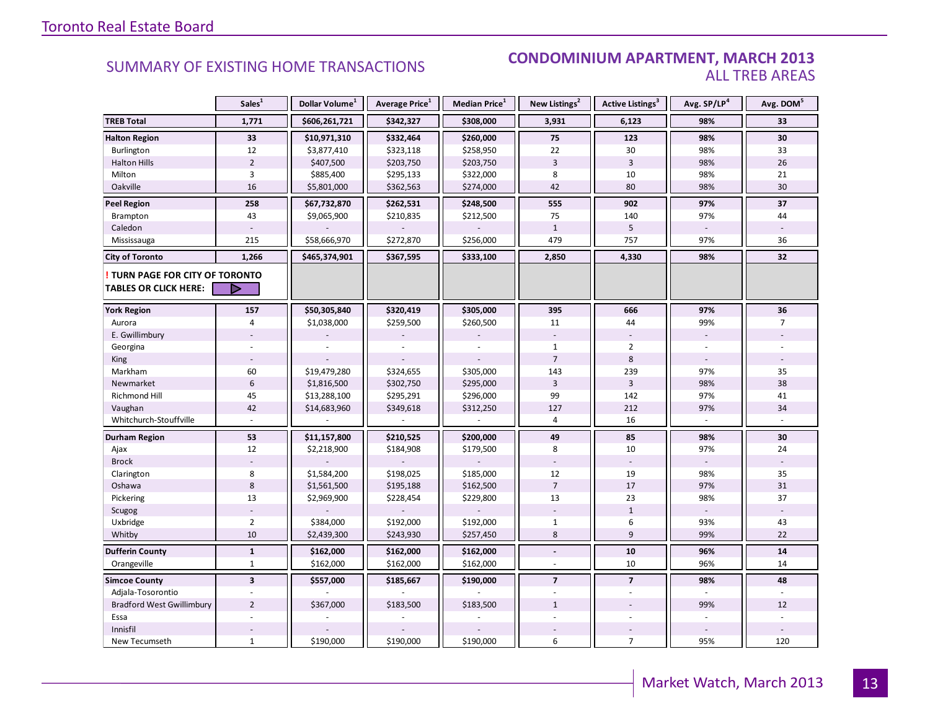#### **INDUSTRIAL CONDOMINIUM APARTMENT, MARCH 2013**<br>ALL TREB AREAS ALL TREB AREAS

|                                  | Sales <sup>1</sup>      | Dollar Volume <sup>1</sup> | Average Price <sup>1</sup> | Median Price <sup>1</sup> | New Listings <sup>2</sup> | <b>Active Listings<sup>3</sup></b> | Avg. SP/LP <sup>4</sup> | Avg. DOM <sup>5</sup> |
|----------------------------------|-------------------------|----------------------------|----------------------------|---------------------------|---------------------------|------------------------------------|-------------------------|-----------------------|
| <b>TREB Total</b>                | 1,771                   | \$606,261,721              | \$342,327                  | \$308,000                 | 3,931                     | 6,123                              | 98%                     | 33                    |
| <b>Halton Region</b>             | 33                      | \$10,971,310               | \$332,464                  | \$260,000                 | 75                        | 123                                | 98%                     | 30                    |
| Burlington                       | 12                      | \$3,877,410                | \$323,118                  | \$258,950                 | 22                        | 30                                 | 98%                     | 33                    |
| <b>Halton Hills</b>              | $\overline{2}$          | \$407,500                  | \$203,750                  | \$203,750                 | 3                         | $\overline{3}$                     | 98%                     | 26                    |
| Milton                           | 3                       | \$885,400                  | \$295,133                  | \$322,000                 | 8                         | 10                                 | 98%                     | 21                    |
| Oakville                         | 16                      | \$5,801,000                | \$362,563                  | \$274,000                 | 42                        | 80                                 | 98%                     | 30                    |
| <b>Peel Region</b>               | 258                     | \$67,732,870               | \$262,531                  | \$248,500                 | 555                       | 902                                | 97%                     | 37                    |
| Brampton                         | 43                      | \$9,065,900                | \$210,835                  | \$212,500                 | 75                        | 140                                | 97%                     | 44                    |
| Caledon                          |                         |                            |                            |                           | $\mathbf{1}$              | 5                                  |                         |                       |
| Mississauga                      | 215                     | \$58,666,970               | \$272,870                  | \$256,000                 | 479                       | 757                                | 97%                     | 36                    |
| <b>City of Toronto</b>           | 1,266                   | \$465,374,901              | \$367,595                  | \$333,100                 | 2,850                     | 4,330                              | 98%                     | 32                    |
| TURN PAGE FOR CITY OF TORONTO    |                         |                            |                            |                           |                           |                                    |                         |                       |
| <b>TABLES OR CLICK HERE:</b>     |                         |                            |                            |                           |                           |                                    |                         |                       |
| <b>York Region</b>               | 157                     | \$50,305,840               | \$320,419                  | \$305,000                 | 395                       | 666                                | 97%                     | 36                    |
| Aurora                           | 4                       | \$1,038,000                | \$259,500                  | \$260,500                 | 11                        | 44                                 | 99%                     | $\overline{7}$        |
| E. Gwillimbury                   |                         |                            |                            |                           |                           |                                    | $\blacksquare$          |                       |
| Georgina                         |                         |                            |                            |                           | $\mathbf{1}$              | $\overline{2}$                     |                         |                       |
| King                             |                         |                            |                            |                           | $\overline{7}$            | 8                                  |                         |                       |
| Markham                          | 60                      | \$19,479,280               | \$324,655                  | \$305,000                 | 143                       | 239                                | 97%                     | 35                    |
| Newmarket                        | $6\phantom{1}$          | \$1,816,500                | \$302,750                  | \$295,000                 | $\overline{3}$            | $\overline{3}$                     | 98%                     | 38                    |
| <b>Richmond Hill</b>             | 45                      | \$13,288,100               | \$295,291                  | \$296,000                 | 99                        | 142                                | 97%                     | 41                    |
| Vaughan                          | 42                      | \$14,683,960               | \$349,618                  | \$312,250                 | 127                       | 212                                | 97%                     | 34                    |
| Whitchurch-Stouffville           |                         |                            |                            |                           | 4                         | 16                                 |                         |                       |
| <b>Durham Region</b>             | 53                      | \$11,157,800               | \$210,525                  | \$200,000                 | 49                        | 85                                 | 98%                     | 30                    |
| Ajax                             | 12                      | \$2,218,900                | \$184,908                  | \$179,500                 | 8                         | 10                                 | 97%                     | 24                    |
| <b>Brock</b>                     |                         |                            |                            |                           |                           |                                    |                         |                       |
| Clarington                       | 8                       | \$1,584,200                | \$198,025                  | \$185,000                 | 12                        | 19                                 | 98%                     | 35                    |
| Oshawa                           | $8\phantom{1}$          | \$1,561,500                | \$195,188                  | \$162,500                 | $\overline{7}$            | 17                                 | 97%                     | 31                    |
| Pickering                        | 13                      | \$2,969,900                | \$228,454                  | \$229,800                 | 13                        | 23                                 | 98%                     | 37                    |
| Scugog                           |                         |                            |                            |                           |                           | $\mathbf{1}$                       |                         |                       |
| Uxbridge                         | $\overline{2}$          | \$384,000                  | \$192,000                  | \$192,000                 | $\mathbf{1}$              | 6                                  | 93%                     | 43                    |
| Whitby                           | 10                      | \$2,439,300                | \$243,930                  | \$257,450                 | 8                         | 9                                  | 99%                     | 22                    |
| <b>Dufferin County</b>           | $\mathbf{1}$            | \$162,000                  | \$162,000                  | \$162,000                 | $\blacksquare$            | 10                                 | 96%                     | 14                    |
| Orangeville                      | $\mathbf{1}$            | \$162,000                  | \$162,000                  | \$162,000                 |                           | 10                                 | 96%                     | 14                    |
| <b>Simcoe County</b>             | $\overline{\mathbf{3}}$ | \$557,000                  | \$185,667                  | \$190,000                 | $\overline{7}$            | $\overline{7}$                     | 98%                     | 48                    |
| Adjala-Tosorontio                |                         |                            |                            |                           |                           |                                    |                         |                       |
| <b>Bradford West Gwillimbury</b> | $\overline{2}$          | \$367,000                  | \$183,500                  | \$183,500                 | $\mathbf{1}$              |                                    | 99%                     | 12                    |
| Essa                             |                         |                            |                            |                           |                           |                                    |                         |                       |
| Innisfil                         |                         |                            |                            |                           |                           |                                    |                         |                       |
| New Tecumseth                    | $\mathbf{1}$            | \$190,000                  | \$190,000                  | \$190,000                 | 6                         | $\overline{7}$                     | 95%                     | 120                   |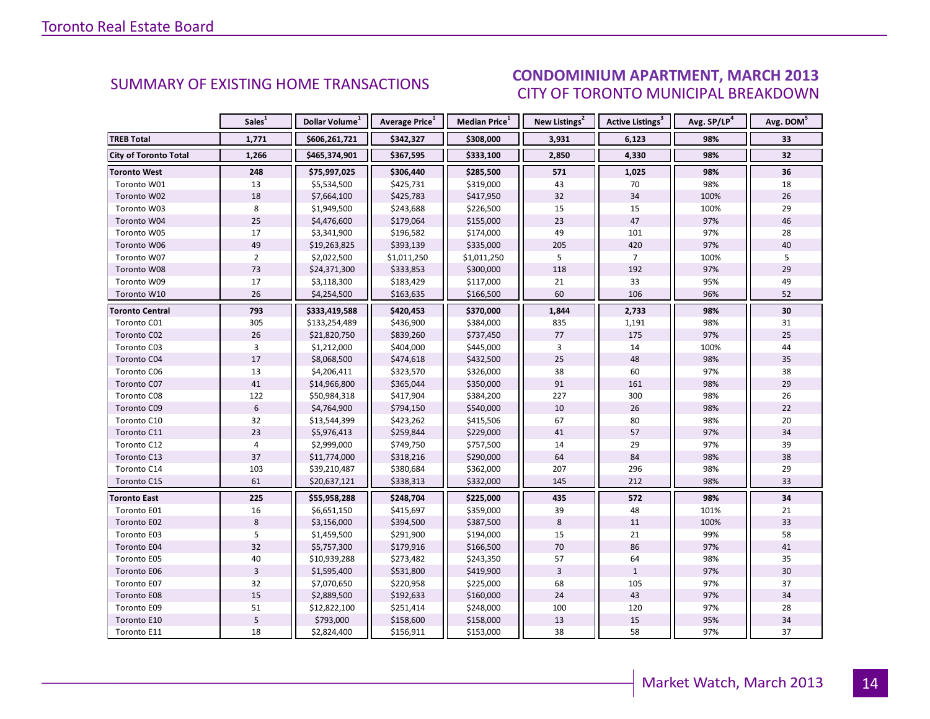### CONDOMINIUM APARTMENT, MARCH 2013 CITY OF TORONTO MUNICIPAL BREAKDOWN

<span id="page-13-0"></span>

|                              | Sales <sup>1</sup> | Dollar Volume <sup>1</sup> | Average Price <sup>1</sup> | Median Price <sup>1</sup> | New Listings <sup>2</sup> | Active Listings <sup>3</sup> | Avg. SP/LP <sup>4</sup> | Avg. DOM <sup>5</sup> |
|------------------------------|--------------------|----------------------------|----------------------------|---------------------------|---------------------------|------------------------------|-------------------------|-----------------------|
| <b>TREB Total</b>            | 1,771              | \$606,261,721              | \$342,327                  | \$308,000                 | 3,931                     | 6,123                        | 98%                     | 33                    |
| <b>City of Toronto Total</b> | 1,266              | \$465,374,901              | \$367,595                  | \$333,100                 | 2,850                     | 4,330                        | 98%                     | 32                    |
| <b>Toronto West</b>          | 248                | \$75,997,025               | \$306,440                  | \$285,500                 | 571                       | 1,025                        | 98%                     | 36                    |
| Toronto W01                  | 13                 | \$5,534,500                | \$425,731                  | \$319,000                 | 43                        | 70                           | 98%                     | 18                    |
| Toronto W02                  | 18                 | \$7,664,100                | \$425,783                  | \$417,950                 | 32                        | 34                           | 100%                    | 26                    |
| Toronto W03                  | 8                  | \$1,949,500                | \$243,688                  | \$226,500                 | 15                        | 15                           | 100%                    | 29                    |
| Toronto W04                  | 25                 | \$4,476,600                | \$179,064                  | \$155,000                 | 23                        | 47                           | 97%                     | 46                    |
| Toronto W05                  | 17                 | \$3,341,900                | \$196,582                  | \$174,000                 | 49                        | 101                          | 97%                     | 28                    |
| Toronto W06                  | 49                 | \$19,263,825               | \$393,139                  | \$335,000                 | 205                       | 420                          | 97%                     | $40\,$                |
| Toronto W07                  | $\overline{2}$     | \$2,022,500                | \$1,011,250                | \$1,011,250               | 5                         | $\overline{7}$               | 100%                    | 5                     |
| Toronto W08                  | 73                 | \$24,371,300               | \$333,853                  | \$300,000                 | 118                       | 192                          | 97%                     | 29                    |
| Toronto W09                  | 17                 | \$3,118,300                | \$183,429                  | \$117,000                 | 21                        | 33                           | 95%                     | 49                    |
| Toronto W10                  | 26                 | \$4,254,500                | \$163,635                  | \$166,500                 | 60                        | 106                          | 96%                     | 52                    |
| <b>Toronto Central</b>       | 793                | \$333,419,588              | \$420,453                  | \$370,000                 | 1,844                     | 2,733                        | 98%                     | 30                    |
| Toronto C01                  | 305                | \$133,254,489              | \$436,900                  | \$384,000                 | 835                       | 1,191                        | 98%                     | 31                    |
| Toronto C02                  | 26                 | \$21,820,750               | \$839,260                  | \$737,450                 | 77                        | 175                          | 97%                     | 25                    |
| Toronto C03                  | $\overline{3}$     | \$1,212,000                | \$404,000                  | \$445,000                 | $\overline{3}$            | 14                           | 100%                    | 44                    |
| Toronto C04                  | 17                 | \$8,068,500                | \$474,618                  | \$432,500                 | 25                        | 48                           | 98%                     | 35                    |
| Toronto C06                  | 13                 | \$4,206,411                | \$323,570                  | \$326,000                 | 38                        | 60                           | 97%                     | 38                    |
| Toronto C07                  | 41                 | \$14,966,800               | \$365,044                  | \$350,000                 | 91                        | 161                          | 98%                     | 29                    |
| Toronto C08                  | 122                | \$50,984,318               | \$417,904                  | \$384,200                 | 227                       | 300                          | 98%                     | 26                    |
| Toronto C09                  | $\boldsymbol{6}$   | \$4,764,900                | \$794,150                  | \$540,000                 | 10                        | 26                           | 98%                     | 22                    |
| Toronto C10                  | 32                 | \$13,544,399               | \$423,262                  | \$415,506                 | 67                        | 80                           | 98%                     | 20                    |
| Toronto C11                  | 23                 | \$5,976,413                | \$259,844                  | \$229,000                 | 41                        | 57                           | 97%                     | 34                    |
| Toronto C12                  | 4                  | \$2,999,000                | \$749,750                  | \$757,500                 | 14                        | 29                           | 97%                     | 39                    |
| Toronto C13                  | 37                 | \$11,774,000               | \$318,216                  | \$290,000                 | 64                        | 84                           | 98%                     | 38                    |
| Toronto C14                  | 103                | \$39,210,487               | \$380,684                  | \$362,000                 | 207                       | 296                          | 98%                     | 29                    |
| Toronto C15                  | 61                 | \$20,637,121               | \$338,313                  | \$332,000                 | 145                       | 212                          | 98%                     | 33                    |
| <b>Toronto East</b>          | 225                | \$55,958,288               | \$248,704                  | \$225,000                 | 435                       | 572                          | 98%                     | 34                    |
| Toronto E01                  | 16                 | \$6,651,150                | \$415,697                  | \$359,000                 | 39                        | 48                           | 101%                    | 21                    |
| Toronto E02                  | 8                  | \$3,156,000                | \$394,500                  | \$387,500                 | $\,8\,$                   | 11                           | 100%                    | 33                    |
| Toronto E03                  | 5                  | \$1,459,500                | \$291,900                  | \$194,000                 | 15                        | 21                           | 99%                     | 58                    |
| Toronto E04                  | 32                 | \$5,757,300                | \$179,916                  | \$166,500                 | 70                        | 86                           | 97%                     | 41                    |
| Toronto E05                  | 40                 | \$10,939,288               | \$273,482                  | \$243,350                 | 57                        | 64                           | 98%                     | 35                    |
| Toronto E06                  | $\overline{3}$     | \$1,595,400                | \$531,800                  | \$419,900                 | $\overline{3}$            | $\mathbf{1}$                 | 97%                     | 30                    |
| Toronto E07                  | 32                 | \$7,070,650                | \$220,958                  | \$225,000                 | 68                        | 105                          | 97%                     | 37                    |
| Toronto E08                  | 15                 | \$2,889,500                | \$192,633                  | \$160,000                 | 24                        | 43                           | 97%                     | 34                    |
| Toronto E09                  | 51                 | \$12,822,100               | \$251,414                  | \$248,000                 | 100                       | 120                          | 97%                     | 28                    |
| Toronto E10                  | 5                  | \$793,000                  | \$158,600                  | \$158,000                 | 13                        | 15                           | 95%                     | 34                    |
| Toronto E11                  | 18                 | \$2,824,400                | \$156,911                  | \$153,000                 | 38                        | 58                           | 97%                     | 37                    |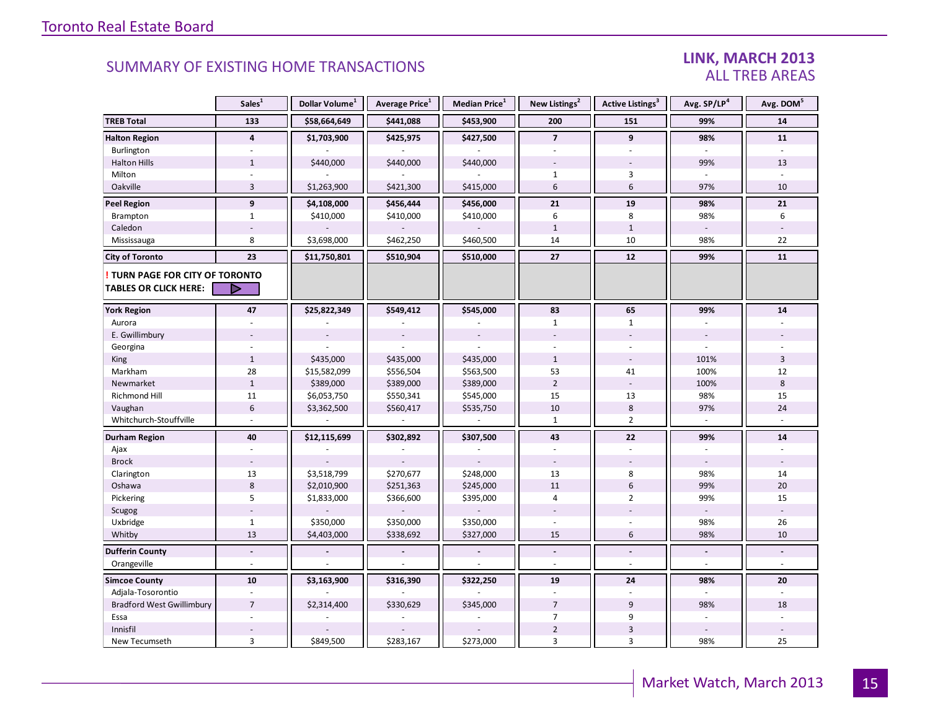#### LINK, MARCH 2013 ALL TREB AREAS

|                                  | Sales <sup>1</sup> | Dollar Volume <sup>1</sup> | Average Price <sup>1</sup> | <b>Median Price</b> <sup>1</sup> | New Listings <sup>2</sup> | Active Listings <sup>3</sup> | Avg. SP/LP4    | Avg. DOM <sup>5</sup> |
|----------------------------------|--------------------|----------------------------|----------------------------|----------------------------------|---------------------------|------------------------------|----------------|-----------------------|
| <b>TREB Total</b>                | 133                | \$58,664,649               | \$441,088                  | \$453,900                        | 200                       | 151                          | 99%            | 14                    |
| <b>Halton Region</b>             | $\overline{4}$     | \$1,703,900                | \$425,975                  | \$427,500                        | $\overline{7}$            | 9                            | 98%            | 11                    |
| Burlington                       | $\mathbf{r}$       |                            |                            |                                  | $\overline{\phantom{a}}$  | $\overline{\phantom{a}}$     |                |                       |
| <b>Halton Hills</b>              | $\mathbf{1}$       | \$440,000                  | \$440,000                  | \$440,000                        |                           |                              | 99%            | 13                    |
| Milton                           |                    |                            |                            |                                  | 1                         | 3                            |                |                       |
| Oakville                         | 3                  | \$1,263,900                | \$421,300                  | \$415,000                        | 6                         | $6\phantom{1}$               | 97%            | 10                    |
| <b>Peel Region</b>               | $\overline{9}$     | \$4,108,000                | \$456,444                  | \$456,000                        | 21                        | 19                           | 98%            | 21                    |
| Brampton                         | $\mathbf{1}$       | \$410,000                  | \$410,000                  | \$410,000                        | 6                         | 8                            | 98%            | 6                     |
| Caledon                          |                    |                            |                            |                                  | $\mathbf{1}$              | $\mathbf{1}$                 |                |                       |
| Mississauga                      | 8                  | \$3,698,000                | \$462,250                  | \$460,500                        | 14                        | 10                           | 98%            | 22                    |
| <b>City of Toronto</b>           | 23                 | \$11,750,801               | \$510,904                  | \$510,000                        | 27                        | 12                           | 99%            | 11                    |
| TURN PAGE FOR CITY OF TORONTO    |                    |                            |                            |                                  |                           |                              |                |                       |
| TABLES OR CLICK HERE:            | D                  |                            |                            |                                  |                           |                              |                |                       |
| <b>York Region</b>               | 47                 | \$25,822,349               | \$549,412                  | \$545,000                        | 83                        | 65                           | 99%            | 14                    |
| Aurora                           |                    |                            |                            |                                  | $\mathbf{1}$              | $\mathbf{1}$                 |                |                       |
| E. Gwillimbury                   |                    |                            |                            |                                  |                           |                              |                |                       |
| Georgina                         |                    |                            |                            |                                  |                           |                              |                |                       |
| King                             | $\mathbf{1}$       | \$435,000                  | \$435,000                  | \$435,000                        | $\mathbf{1}$              |                              | 101%           | 3                     |
| Markham                          | 28                 | \$15,582,099               | \$556,504                  | \$563,500                        | 53                        | 41                           | 100%           | 12                    |
| Newmarket                        | $\mathbf{1}$       | \$389,000                  | \$389,000                  | \$389,000                        | $\overline{2}$            |                              | 100%           | $\,8\,$               |
| <b>Richmond Hill</b>             | 11                 | \$6,053,750                | \$550,341                  | \$545,000                        | 15                        | 13                           | 98%            | 15                    |
| Vaughan                          | $6\,$              | \$3,362,500                | \$560,417                  | \$535,750                        | 10                        | 8                            | 97%            | 24                    |
| Whitchurch-Stouffville           |                    |                            |                            |                                  | $\mathbf{1}$              | $\overline{2}$               |                |                       |
| Durham Region                    | 40                 | \$12,115,699               | \$302,892                  | \$307,500                        | 43                        | 22                           | 99%            | 14                    |
| Ajax                             |                    |                            |                            |                                  |                           |                              |                |                       |
| <b>Brock</b>                     |                    |                            |                            |                                  | $\overline{\phantom{a}}$  |                              |                |                       |
| Clarington                       | 13                 | \$3,518,799                | \$270,677                  | \$248,000                        | 13                        | 8                            | 98%            | 14                    |
| Oshawa                           | $\,$ 8 $\,$        | \$2,010,900                | \$251,363                  | \$245,000                        | 11                        | $6\phantom{1}$               | 99%            | 20                    |
| Pickering                        | 5                  | \$1,833,000                | \$366,600                  | \$395,000                        | 4                         | $\overline{2}$               | 99%            | 15                    |
| Scugog                           |                    |                            |                            |                                  |                           |                              | $\sim$         |                       |
| Uxbridge                         | $\mathbf{1}$       | \$350,000                  | \$350,000                  | \$350,000                        |                           |                              | 98%            | 26                    |
| Whitby                           | 13                 | \$4,403,000                | \$338,692                  | \$327,000                        | 15                        | $6\,$                        | 98%            | 10                    |
| <b>Dufferin County</b>           | $\blacksquare$     |                            | $\overline{a}$             | $\blacksquare$                   | $\overline{\phantom{a}}$  | $\overline{a}$               | $\blacksquare$ | L.                    |
| Orangeville                      | $\omega$           |                            |                            |                                  | ÷.                        | $\sim$                       | $\overline{a}$ | ÷.                    |
| <b>Simcoe County</b>             | 10                 | \$3,163,900                | \$316,390                  | \$322,250                        | 19                        | 24                           | 98%            | 20                    |
| Adjala-Tosorontio                |                    |                            |                            |                                  |                           |                              |                |                       |
| <b>Bradford West Gwillimbury</b> | $\overline{7}$     | \$2,314,400                | \$330,629                  | \$345,000                        | $\overline{7}$            | 9                            | 98%            | 18                    |
| Essa                             |                    |                            |                            |                                  | $\overline{7}$            | 9                            |                |                       |
| Innisfil                         |                    |                            |                            |                                  | $\overline{2}$            | $\ensuremath{\mathsf{3}}$    |                |                       |
| New Tecumseth                    | $\overline{3}$     | \$849,500                  | \$283,167                  | \$273,000                        | 3                         | 3                            | 98%            | 25                    |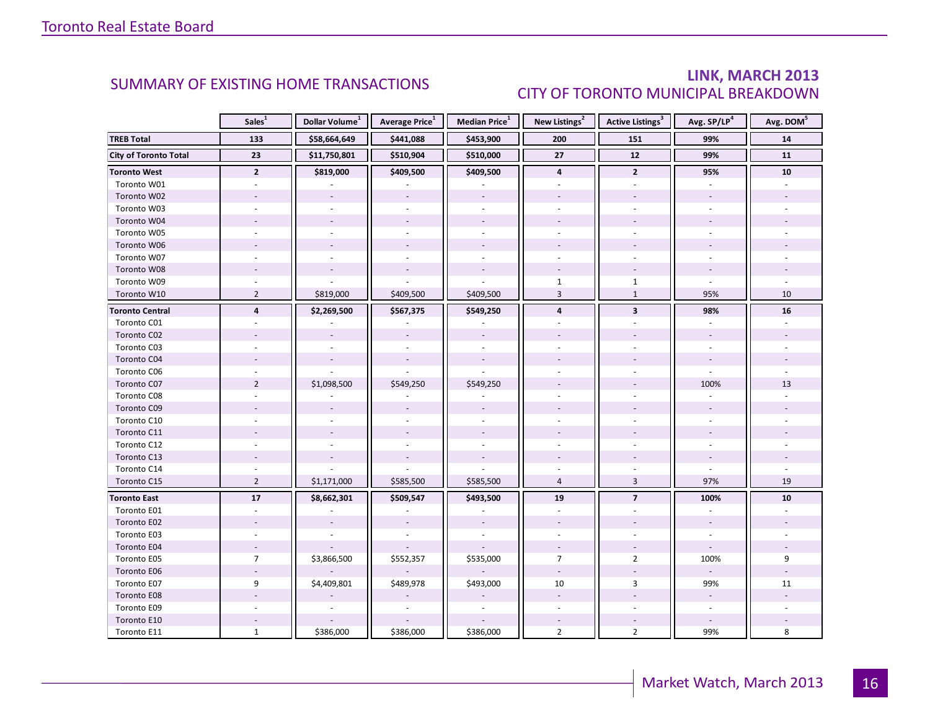### LINK, MARCH 2013 CITY OF TORONTO MUNICIPAL BREAKDOWN

<span id="page-15-0"></span>

|                              | Sales <sup>1</sup>       | Dollar Volume <sup>1</sup> | <b>Average Price</b> <sup>1</sup> | Median Price <sup>1</sup> | New Listings <sup>2</sup> | Active Listings <sup>3</sup> | Avg. SP/LP <sup>4</sup>  | Avg. DOM <sup>5</sup> |
|------------------------------|--------------------------|----------------------------|-----------------------------------|---------------------------|---------------------------|------------------------------|--------------------------|-----------------------|
| <b>TREB Total</b>            | 133                      | \$58,664,649               | \$441,088                         | \$453,900                 | 200                       | 151                          | 99%                      | ${\bf 14}$            |
| <b>City of Toronto Total</b> | 23                       | \$11,750,801               | \$510,904                         | \$510,000                 | 27                        | 12                           | 99%                      | 11                    |
| <b>Toronto West</b>          | $\mathbf{2}$             | \$819,000                  | \$409,500                         | \$409,500                 | $\overline{\mathbf{4}}$   | $\overline{2}$               | 95%                      | ${\bf 10}$            |
| Toronto W01                  |                          |                            |                                   |                           |                           |                              |                          |                       |
| Toronto W02                  |                          | $\sim$                     | $\overline{\phantom{a}}$          | $\overline{\phantom{a}}$  |                           |                              |                          |                       |
| Toronto W03                  | ÷.                       | $\sim$                     |                                   | $\sim$                    |                           | ÷                            |                          |                       |
| Toronto W04                  |                          |                            |                                   |                           |                           |                              |                          |                       |
| Toronto W05                  |                          |                            |                                   |                           |                           |                              |                          |                       |
| Toronto W06                  |                          | $\sim$                     | $\overline{\phantom{a}}$          |                           |                           |                              |                          |                       |
| Toronto W07                  | ٠                        |                            |                                   | ÷.                        |                           |                              |                          |                       |
| Toronto W08                  |                          |                            |                                   | $\sim$                    |                           |                              |                          |                       |
| Toronto W09                  |                          |                            |                                   |                           | $\mathbf{1}$              | $\mathbf{1}$                 |                          |                       |
| Toronto W10                  | $\overline{2}$           | \$819,000                  | \$409,500                         | \$409,500                 | $\overline{3}$            | $\mathbf{1}$                 | 95%                      | 10                    |
| <b>Toronto Central</b>       | $\overline{4}$           | \$2,269,500                | \$567,375                         | \$549,250                 | 4                         | $\overline{\mathbf{3}}$      | 98%                      | 16                    |
| Toronto C01                  |                          |                            |                                   |                           |                           |                              |                          |                       |
| Toronto C02                  |                          |                            |                                   |                           |                           |                              |                          |                       |
| Toronto C03                  |                          |                            |                                   |                           |                           |                              |                          |                       |
| Toronto C04                  |                          |                            |                                   |                           |                           |                              |                          |                       |
| Toronto C06                  |                          |                            |                                   |                           |                           |                              |                          |                       |
| Toronto C07                  | $\overline{2}$           | \$1,098,500                | \$549,250                         | \$549,250                 |                           |                              | 100%                     | 13                    |
| Toronto C08                  |                          |                            |                                   |                           |                           |                              |                          |                       |
| Toronto C09                  |                          |                            |                                   |                           |                           |                              |                          |                       |
| Toronto C10                  |                          |                            |                                   |                           |                           |                              |                          |                       |
| Toronto C11                  |                          |                            |                                   |                           |                           |                              |                          |                       |
| Toronto C12                  |                          |                            |                                   |                           |                           |                              |                          |                       |
| Toronto C13                  |                          |                            |                                   |                           |                           |                              |                          |                       |
| Toronto C14                  |                          |                            |                                   |                           |                           |                              | $\overline{a}$           |                       |
| Toronto C15                  | $\overline{2}$           | \$1,171,000                | \$585,500                         | \$585,500                 | $\overline{4}$            | $\overline{3}$               | 97%                      | 19                    |
| <b>Toronto East</b>          | $\overline{17}$          | \$8,662,301                | \$509,547                         | \$493,500                 | 19                        | $\overline{7}$               | 100%                     | 10                    |
| Toronto E01                  | $\blacksquare$           |                            |                                   |                           | $\sim$                    | ä,                           |                          |                       |
| Toronto E02                  |                          |                            |                                   |                           |                           |                              |                          |                       |
| Toronto E03                  |                          |                            |                                   |                           |                           |                              |                          |                       |
| Toronto E04                  | $\overline{\phantom{a}}$ |                            |                                   |                           | $\bar{a}$                 |                              | $\omega$                 |                       |
| Toronto E05                  | $\overline{7}$           | \$3,866,500                | \$552,357                         | \$535,000                 | $\overline{7}$            | $\overline{2}$               | 100%                     | 9                     |
| Toronto E06                  |                          |                            |                                   |                           | $\overline{\phantom{a}}$  |                              | $\sim$                   |                       |
| Toronto E07                  | 9                        | \$4,409,801                | \$489,978                         | \$493,000                 | 10                        | 3                            | 99%                      | 11                    |
| Toronto E08                  |                          |                            |                                   |                           | $\overline{\phantom{a}}$  |                              | $\omega$                 |                       |
| Toronto E09                  |                          |                            |                                   |                           | $\overline{\phantom{a}}$  | $\sim$                       | $\overline{\phantom{a}}$ |                       |
| Toronto E10                  |                          |                            |                                   |                           |                           |                              |                          |                       |
| Toronto E11                  | $\mathbf{1}$             | \$386,000                  | \$386,000                         | \$386,000                 | $\overline{2}$            | $\overline{2}$               | 99%                      | 8                     |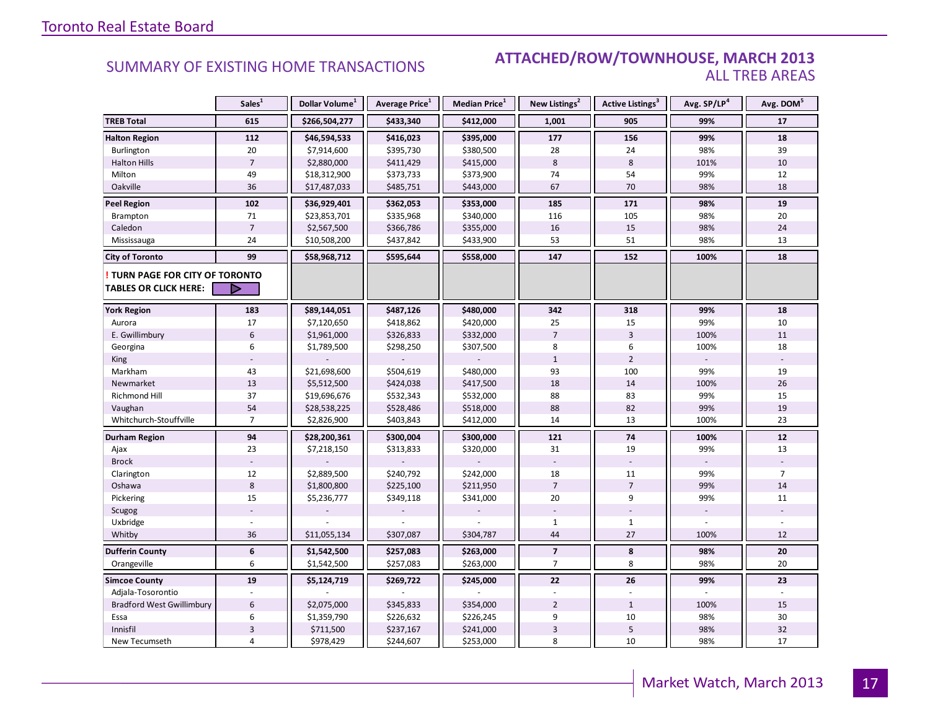#### SUMMARY OF EXISTING HOME TRANSACTIONS **ATTACHED/ROW/TOWNHOUSE, MARCH 2013** ALL TREB AREAS

|                                                               | Sales <sup>1</sup> | Dollar Volume <sup>1</sup> | Average Price <sup>1</sup> | Median Price <sup>1</sup> | New Listings <sup>2</sup> | Active Listings <sup>3</sup> | Avg. SP/LP <sup>4</sup> | Avg. DOM <sup>5</sup> |
|---------------------------------------------------------------|--------------------|----------------------------|----------------------------|---------------------------|---------------------------|------------------------------|-------------------------|-----------------------|
| <b>TREB Total</b>                                             | 615                | \$266,504,277              | \$433,340                  | \$412,000                 | 1,001                     | 905                          | 99%                     | 17                    |
| <b>Halton Region</b>                                          | 112                | \$46,594,533               | \$416,023                  | \$395,000                 | 177                       | 156                          | 99%                     | 18                    |
| Burlington                                                    | 20                 | \$7,914,600                | \$395,730                  | \$380,500                 | 28                        | 24                           | 98%                     | 39                    |
| <b>Halton Hills</b>                                           | $\overline{7}$     | \$2,880,000                | \$411,429                  | \$415,000                 | 8                         | 8                            | 101%                    | 10                    |
| Milton                                                        | 49                 | \$18,312,900               | \$373,733                  | \$373,900                 | 74                        | 54                           | 99%                     | 12                    |
| Oakville                                                      | 36                 | \$17,487,033               | \$485,751                  | \$443,000                 | 67                        | 70                           | 98%                     | 18                    |
| <b>Peel Region</b>                                            | 102                | \$36,929,401               | \$362,053                  | \$353,000                 | 185                       | 171                          | 98%                     | 19                    |
| Brampton                                                      | 71                 | \$23,853,701               | \$335,968                  | \$340,000                 | 116                       | 105                          | 98%                     | 20                    |
| Caledon                                                       | $\overline{7}$     | \$2,567,500                | \$366,786                  | \$355,000                 | $16\,$                    | 15                           | 98%                     | 24                    |
| Mississauga                                                   | 24                 | \$10,508,200               | \$437,842                  | \$433,900                 | 53                        | 51                           | 98%                     | 13                    |
| <b>City of Toronto</b>                                        | 99                 | \$58,968,712               | \$595,644                  | \$558,000                 | 147                       | 152                          | 100%                    | 18                    |
| TURN PAGE FOR CITY OF TORONTO<br><b>TABLES OR CLICK HERE:</b> | D                  |                            |                            |                           |                           |                              |                         |                       |
|                                                               |                    |                            |                            |                           |                           |                              |                         |                       |
| <b>York Region</b>                                            | 183                | \$89,144,051               | \$487,126                  | \$480,000                 | 342                       | 318                          | 99%                     | 18                    |
| Aurora                                                        | 17                 | \$7,120,650                | \$418,862                  | \$420,000                 | 25                        | 15                           | 99%                     | 10                    |
| E. Gwillimbury                                                | $6\phantom{1}6$    | \$1,961,000                | \$326,833                  | \$332,000                 | $\overline{7}$            | $\overline{3}$               | 100%                    | 11                    |
| Georgina                                                      | 6                  | \$1,789,500                | \$298,250                  | \$307,500                 | 8                         | 6                            | 100%                    | 18                    |
| King                                                          |                    |                            |                            |                           | $\mathbf{1}$              | $\overline{2}$               |                         |                       |
| Markham                                                       | 43                 | \$21,698,600               | \$504,619                  | \$480,000                 | 93                        | 100                          | 99%                     | 19                    |
| Newmarket                                                     | 13                 | \$5,512,500                | \$424,038                  | \$417,500                 | 18                        | 14                           | 100%                    | 26                    |
| <b>Richmond Hill</b>                                          | 37                 | \$19,696,676               | \$532,343                  | \$532,000                 | 88                        | 83                           | 99%                     | 15                    |
| Vaughan                                                       | 54                 | \$28,538,225               | \$528,486                  | \$518,000                 | 88                        | 82                           | 99%                     | 19                    |
| Whitchurch-Stouffville                                        | $\overline{7}$     | \$2,826,900                | \$403,843                  | \$412,000                 | 14                        | 13                           | 100%                    | 23                    |
| Durham Region                                                 | 94                 | \$28,200,361               | \$300,004                  | \$300,000                 | 121                       | 74                           | 100%                    | ${\bf 12}$            |
| Ajax                                                          | 23                 | \$7,218,150                | \$313,833                  | \$320,000                 | 31                        | 19                           | 99%                     | 13                    |
| <b>Brock</b>                                                  |                    |                            |                            |                           |                           |                              |                         |                       |
| Clarington                                                    | 12                 | \$2,889,500                | \$240,792                  | \$242,000                 | 18                        | 11                           | 99%                     | $\overline{7}$        |
| Oshawa                                                        | 8                  | \$1,800,800                | \$225,100                  | \$211,950                 | $\overline{7}$            | $\overline{7}$               | 99%                     | 14                    |
| Pickering                                                     | 15                 | \$5,236,777                | \$349,118                  | \$341,000                 | 20                        | 9                            | 99%                     | 11                    |
| Scugog                                                        |                    |                            |                            |                           |                           |                              |                         |                       |
| Uxbridge                                                      |                    |                            |                            |                           | $\mathbf{1}$              | $\mathbf{1}$                 |                         |                       |
| Whitby                                                        | 36                 | \$11,055,134               | \$307,087                  | \$304,787                 | 44                        | 27                           | 100%                    | 12                    |
| <b>Dufferin County</b>                                        | 6                  | \$1,542,500                | \$257,083                  | \$263,000                 | $\overline{\phantom{a}}$  | 8                            | 98%                     | 20                    |
| Orangeville                                                   | 6                  | \$1,542,500                | \$257,083                  | \$263,000                 | $\overline{7}$            | 8                            | 98%                     | 20                    |
| <b>Simcoe County</b>                                          | 19                 | \$5,124,719                | \$269,722                  | \$245,000                 | 22                        | 26                           | 99%                     | 23                    |
| Adjala-Tosorontio                                             |                    |                            |                            |                           |                           |                              |                         |                       |
| <b>Bradford West Gwillimbury</b>                              | 6                  | \$2,075,000                | \$345,833                  | \$354,000                 | $\overline{2}$            | $\mathbf{1}$                 | 100%                    | 15                    |
| Essa                                                          | 6                  | \$1,359,790                | \$226,632                  | \$226,245                 | 9                         | 10                           | 98%                     | 30                    |
| Innisfil                                                      | $\overline{3}$     | \$711,500                  | \$237,167                  | \$241,000                 | $\overline{3}$            | 5                            | 98%                     | 32                    |
| New Tecumseth                                                 | 4                  | \$978,429                  | \$244,607                  | \$253,000                 | 8                         | 10                           | 98%                     | 17                    |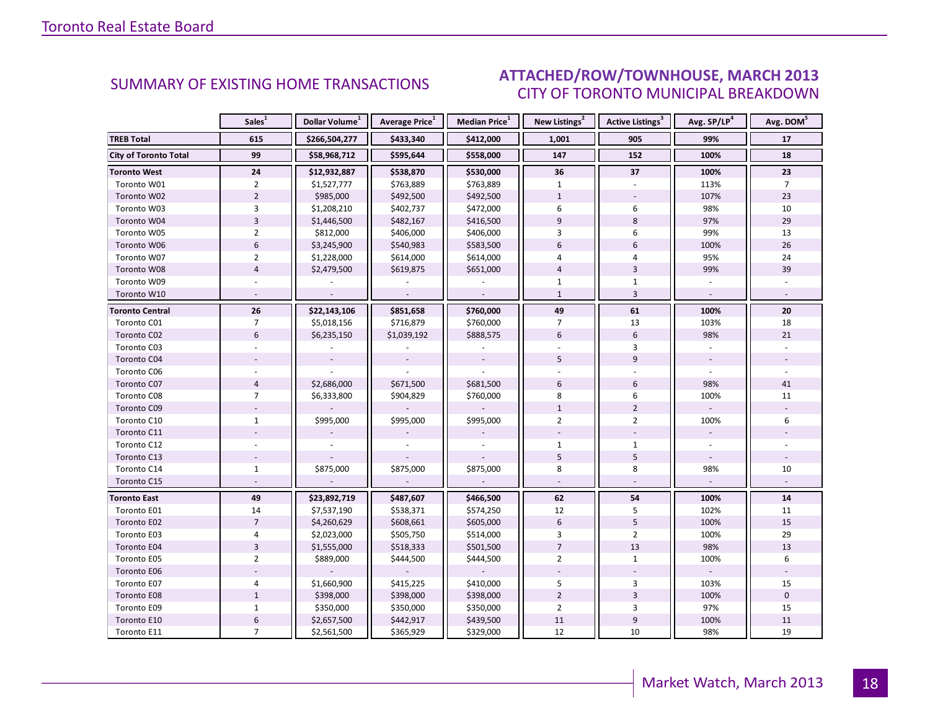#### E NANDCH 2013 CITY OF TORONTO MUNICIPAL BREAKDOWN SUMMARY OF EXISTING HOME TRANSACTIONS **ATTACHED/ROW/TOWNHOUSE, MARCH 2013**

<span id="page-17-0"></span>

|                              | Sales <sup>1</sup> | Dollar Volume <sup>1</sup> | Average Price <sup>1</sup> | Median Price <sup>1</sup> | New Listings <sup>2</sup> | Active Listings <sup>3</sup> | Avg. SP/LP <sup>4</sup> | Avg. DOM <sup>5</sup> |
|------------------------------|--------------------|----------------------------|----------------------------|---------------------------|---------------------------|------------------------------|-------------------------|-----------------------|
| <b>TREB Total</b>            | 615                | \$266,504,277              | \$433,340                  | \$412,000                 | 1,001                     | 905                          | 99%                     | 17                    |
| <b>City of Toronto Total</b> | 99                 | \$58,968,712               | \$595,644                  | \$558,000                 | 147                       | 152                          | 100%                    | 18                    |
| <b>Toronto West</b>          | 24                 | \$12,932,887               | \$538,870                  | \$530,000                 | 36                        | 37                           | 100%                    | 23                    |
| Toronto W01                  | $\overline{2}$     | \$1,527,777                | \$763,889                  | \$763,889                 | $\mathbf{1}$              |                              | 113%                    | $\overline{7}$        |
| Toronto W02                  | $\overline{2}$     | \$985,000                  | \$492,500                  | \$492,500                 | $\mathbf{1}$              |                              | 107%                    | 23                    |
| Toronto W03                  | 3                  | \$1,208,210                | \$402,737                  | \$472,000                 | 6                         | 6                            | 98%                     | 10                    |
| Toronto W04                  | $\overline{3}$     | \$1,446,500                | \$482,167                  | \$416,500                 | 9                         | 8                            | 97%                     | 29                    |
| Toronto W05                  | $\overline{2}$     | \$812,000                  | \$406,000                  | \$406,000                 | 3                         | 6                            | 99%                     | 13                    |
| Toronto W06                  | 6                  | \$3,245,900                | \$540,983                  | \$583,500                 | 6                         | $6\phantom{1}$               | 100%                    | 26                    |
| Toronto W07                  | $\overline{2}$     | \$1,228,000                | \$614,000                  | \$614,000                 | 4                         | $\overline{4}$               | 95%                     | 24                    |
| Toronto W08                  | $\overline{4}$     | \$2,479,500                | \$619,875                  | \$651,000                 | $\overline{4}$            | $\overline{3}$               | 99%                     | 39                    |
| Toronto W09                  |                    |                            |                            |                           | $\mathbf{1}$              | $\mathbf{1}$                 |                         |                       |
| Toronto W10                  |                    |                            |                            |                           | $\mathbf{1}$              | $\overline{3}$               |                         |                       |
| <b>Toronto Central</b>       | 26                 | \$22,143,106               | \$851,658                  | \$760,000                 | 49                        | 61                           | 100%                    | 20                    |
| Toronto C01                  | $\overline{7}$     | \$5,018,156                | \$716,879                  | \$760,000                 | $\overline{7}$            | 13                           | 103%                    | 18                    |
| Toronto C02                  | 6                  | \$6,235,150                | \$1,039,192                | \$888,575                 | 6                         | 6                            | 98%                     | 21                    |
| Toronto C03                  |                    |                            |                            |                           |                           | $\overline{3}$               |                         |                       |
| Toronto C04                  |                    |                            |                            |                           | 5                         | 9                            |                         |                       |
| Toronto C06                  |                    |                            |                            |                           |                           |                              |                         |                       |
| Toronto C07                  | $\overline{4}$     | \$2,686,000                | \$671,500                  | \$681,500                 | 6                         | 6                            | 98%                     | 41                    |
| Toronto C08                  | $\overline{7}$     | \$6,333,800                | \$904,829                  | \$760,000                 | 8                         | 6                            | 100%                    | 11                    |
| Toronto C09                  |                    |                            |                            |                           | $\mathbf{1}$              | $\overline{2}$               |                         |                       |
| Toronto C10                  | $\mathbf{1}$       | \$995,000                  | \$995,000                  | \$995,000                 | $\overline{2}$            | $\overline{2}$               | 100%                    | 6                     |
| Toronto C11                  |                    |                            |                            |                           |                           |                              |                         |                       |
| Toronto C12                  |                    |                            |                            |                           | $\mathbf{1}$              | $\mathbf{1}$                 |                         |                       |
| Toronto C13                  | $\omega$           |                            |                            |                           | 5                         | 5                            | $\mathcal{L}$           |                       |
| Toronto C14                  | $\mathbf{1}$       | \$875,000                  | \$875,000                  | \$875,000                 | 8                         | 8                            | 98%                     | 10                    |
| Toronto C15                  |                    |                            |                            |                           |                           |                              |                         |                       |
| <b>Toronto East</b>          | 49                 | \$23,892,719               | \$487,607                  | \$466,500                 | 62                        | 54                           | 100%                    | 14                    |
| Toronto E01                  | 14                 | \$7,537,190                | \$538,371                  | \$574,250                 | 12                        | 5                            | 102%                    | 11                    |
| Toronto E02                  | $\overline{7}$     | \$4,260,629                | \$608,661                  | \$605,000                 | 6                         | 5                            | 100%                    | 15                    |
| Toronto E03                  | 4                  | \$2,023,000                | \$505,750                  | \$514,000                 | 3                         | $\overline{2}$               | 100%                    | 29                    |
| Toronto E04                  | $\overline{3}$     | \$1,555,000                | \$518,333                  | \$501,500                 | $\overline{7}$            | 13                           | 98%                     | 13                    |
| Toronto E05                  | $\overline{2}$     | \$889,000                  | \$444,500                  | \$444,500                 | $\overline{2}$            | $\mathbf{1}$                 | 100%                    | 6                     |
| Toronto E06                  |                    |                            |                            |                           |                           |                              |                         |                       |
| Toronto E07                  | 4                  | \$1,660,900                | \$415,225                  | \$410,000                 | 5                         | 3                            | 103%                    | 15                    |
| Toronto E08                  | $\mathbf{1}$       | \$398,000                  | \$398,000                  | \$398,000                 | $\overline{2}$            | $\overline{3}$               | 100%                    | $\mathbf{0}$          |
| Toronto E09                  | $\mathbf{1}$       | \$350,000                  | \$350,000                  | \$350,000                 | $\overline{2}$            | 3                            | 97%                     | 15                    |
| Toronto E10                  | $\boldsymbol{6}$   | \$2,657,500                | \$442,917                  | \$439,500                 | 11                        | $\boldsymbol{9}$             | 100%                    | 11                    |
| Toronto E11                  | $\overline{7}$     | \$2,561,500                | \$365,929                  | \$329,000                 | 12                        | 10                           | 98%                     | 19                    |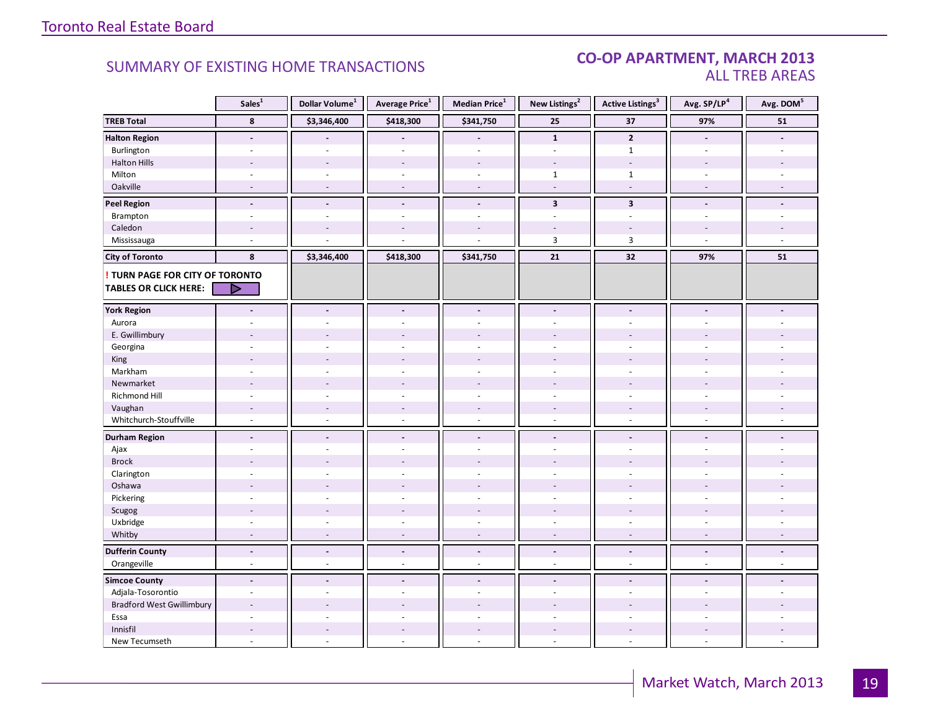#### CO-OP APARTMENT, MARCH 2013 ALL TREB AREAS

|                                  | Sales <sup>1</sup>       | Dollar Volume <sup>1</sup> | Average Price <sup>1</sup> | Median Price <sup>1</sup> | New Listings <sup>2</sup> | <b>Active Listings<sup>3</sup></b> | Avg. SP/LP <sup>4</sup>  | Avg. DOM <sup>5</sup> |
|----------------------------------|--------------------------|----------------------------|----------------------------|---------------------------|---------------------------|------------------------------------|--------------------------|-----------------------|
| <b>TREB Total</b>                | 8                        | \$3,346,400                | \$418,300                  | \$341,750                 | 25                        | 37                                 | 97%                      | ${\bf 51}$            |
| <b>Halton Region</b>             | $\sim$                   |                            |                            |                           | $\mathbf{1}$              | $\mathbf{2}$                       | $\sim$                   |                       |
| Burlington                       |                          |                            |                            |                           |                           | $\mathbf{1}$                       |                          |                       |
| <b>Halton Hills</b>              | $\overline{a}$           | $\overline{\phantom{a}}$   | $\overline{a}$             | $\overline{\phantom{a}}$  |                           | $\overline{a}$                     |                          |                       |
| Milton                           | $\sim$                   | ÷.                         | $\overline{a}$             | $\sim$                    | $\mathbf{1}$              | $\mathbf{1}$                       |                          |                       |
| Oakville                         | $\overline{\phantom{a}}$ | $\overline{\phantom{a}}$   | $\overline{a}$             | $\overline{\phantom{a}}$  | $\overline{\phantom{a}}$  | $\overline{\phantom{a}}$           | $\sim$                   |                       |
| <b>Peel Region</b>               | $\blacksquare$           | $\blacksquare$             | $\centerdot$               | $\blacksquare$            | 3                         | $\overline{\mathbf{3}}$            |                          |                       |
| Brampton                         | $\sim$                   |                            |                            | ÷,                        | ÷.                        | L.                                 |                          |                       |
| Caledon                          |                          |                            |                            |                           |                           |                                    |                          |                       |
| Mississauga                      |                          |                            |                            |                           | 3                         | 3                                  |                          |                       |
| <b>City of Toronto</b>           | 8                        | \$3,346,400                | \$418,300                  | \$341,750                 | 21                        | 32                                 | 97%                      | 51                    |
| TURN PAGE FOR CITY OF TORONTO    |                          |                            |                            |                           |                           |                                    |                          |                       |
| <b>TABLES OR CLICK HERE:</b>     | ▷                        |                            |                            |                           |                           |                                    |                          |                       |
|                                  |                          |                            |                            |                           |                           |                                    |                          |                       |
| <b>York Region</b>               | $\blacksquare$           | $\overline{\phantom{a}}$   | $\overline{\phantom{a}}$   | $\overline{\phantom{a}}$  | $\overline{\phantom{a}}$  | $\overline{\phantom{a}}$           | $\overline{\phantom{a}}$ |                       |
| Aurora                           | ÷.                       |                            |                            | $\overline{a}$            | ÷.                        | ä,                                 |                          |                       |
| E. Gwillimbury                   |                          |                            |                            |                           |                           |                                    |                          |                       |
| Georgina                         |                          |                            |                            |                           |                           |                                    |                          |                       |
| King                             |                          |                            |                            |                           |                           |                                    |                          |                       |
| Markham                          | $\overline{a}$           |                            | ä,                         | $\overline{a}$            | $\overline{a}$            | ÷.                                 |                          |                       |
| Newmarket                        |                          |                            |                            |                           |                           |                                    |                          |                       |
| Richmond Hill                    | $\sim$                   |                            |                            |                           |                           | $\overline{a}$                     |                          |                       |
| Vaughan                          | $\sim$                   | $\overline{a}$             | $\overline{a}$             | $\overline{a}$            | $\sim$                    | $\overline{a}$                     |                          |                       |
| Whitchurch-Stouffville           | ÷,                       | $\bar{a}$                  | ä,                         | $\omega$                  | $\omega$                  | $\sim$                             | $\sim$                   |                       |
| <b>Durham Region</b>             | $\overline{\phantom{a}}$ | $\blacksquare$             | $\overline{a}$             | $\blacksquare$            | $\blacksquare$            | $\overline{\phantom{a}}$           | $\blacksquare$           |                       |
| Ajax                             | ÷.                       |                            |                            | ÷.                        | ÷                         |                                    |                          |                       |
| <b>Brock</b>                     |                          |                            |                            |                           |                           |                                    |                          |                       |
| Clarington                       | $\sim$                   |                            | ä,                         | $\sim$                    | $\overline{\phantom{a}}$  | ä,                                 |                          |                       |
| Oshawa                           |                          |                            |                            |                           |                           |                                    |                          |                       |
| Pickering                        |                          |                            |                            |                           |                           |                                    |                          |                       |
| Scugog                           |                          |                            |                            |                           |                           |                                    |                          |                       |
| Uxbridge                         | $\sim$                   | $\overline{a}$             | ÷                          | $\mathcal{L}$             | $\sim$                    | ä,                                 | ÷                        |                       |
| Whitby                           | $\overline{\phantom{a}}$ | $\overline{\phantom{a}}$   | $\overline{a}$             | $\overline{\phantom{a}}$  | $\bar{a}$                 | $\overline{\phantom{a}}$           | $\overline{\phantom{a}}$ |                       |
| <b>Dufferin County</b>           | $\blacksquare$           | $\blacksquare$             | $\blacksquare$             | $\blacksquare$            | $\blacksquare$            | $\blacksquare$                     | $\blacksquare$           | $\overline{a}$        |
| Orangeville                      | $\omega$                 | $\overline{a}$             | $\overline{a}$             | $\overline{\phantom{a}}$  | $\omega$                  | $\omega$                           | $\omega$                 | $\omega$              |
| <b>Simcoe County</b>             | $\blacksquare$           | $\blacksquare$             | $\overline{\phantom{a}}$   | $\blacksquare$            | $\blacksquare$            | $\overline{a}$                     |                          |                       |
| Adjala-Tosorontio                | ÷,                       |                            | L                          | ÷,                        | ÷,                        | ä,                                 |                          |                       |
| <b>Bradford West Gwillimbury</b> |                          |                            |                            |                           |                           |                                    |                          |                       |
| Essa                             |                          |                            |                            |                           |                           |                                    |                          |                       |
| Innisfil                         |                          |                            | $\overline{a}$             |                           |                           |                                    |                          |                       |
| New Tecumseth                    |                          |                            |                            |                           |                           |                                    |                          |                       |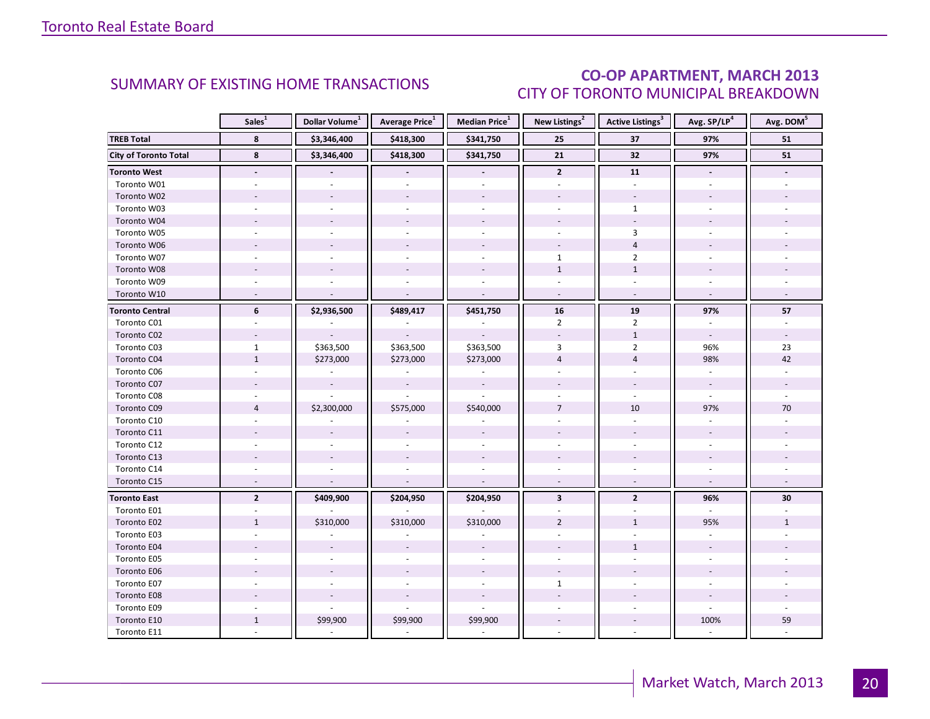### CO-OP APARTMENT, MARCH 2013 CITY OF TORONTO MUNICIPAL BREAKDOWN

<span id="page-19-0"></span>

|                              | Sales <sup>1</sup>       | Dollar Volume <sup>1</sup> | Average Price <sup>1</sup> | Median Price <sup>1</sup> | New Listings <sup>2</sup> | <b>Active Listings<sup>3</sup></b> | Avg. SP/LP <sup>4</sup>  | Avg. DOM <sup>5</sup> |
|------------------------------|--------------------------|----------------------------|----------------------------|---------------------------|---------------------------|------------------------------------|--------------------------|-----------------------|
| <b>TREB Total</b>            | 8                        | \$3,346,400                | \$418,300                  | \$341,750                 | 25                        | 37                                 | 97%                      | 51                    |
| <b>City of Toronto Total</b> | 8                        | \$3,346,400                | \$418,300                  | \$341,750                 | ${\bf 21}$                | 32                                 | 97%                      | ${\bf 51}$            |
| <b>Toronto West</b>          | $\overline{a}$           |                            |                            |                           | $\mathbf{2}$              | 11                                 | $\blacksquare$           |                       |
| Toronto W01                  |                          |                            |                            |                           |                           | $\omega$                           |                          |                       |
| Toronto W02                  |                          |                            |                            | $\overline{\phantom{a}}$  |                           | $\omega$                           |                          |                       |
| Toronto W03                  |                          |                            |                            | $\sim$                    |                           | $\mathbf{1}$                       |                          |                       |
| Toronto W04                  |                          |                            |                            |                           |                           |                                    |                          |                       |
| Toronto W05                  |                          |                            |                            |                           |                           | 3                                  |                          |                       |
| Toronto W06                  |                          |                            |                            |                           | $\overline{\phantom{a}}$  | $\overline{4}$                     |                          |                       |
| Toronto W07                  |                          |                            |                            | $\sim$                    | $\mathbf{1}$              | $\overline{2}$                     |                          |                       |
| Toronto W08                  |                          |                            |                            |                           | $\mathbf{1}$              | $\mathbf{1}$                       |                          |                       |
| Toronto W09                  |                          |                            |                            |                           |                           |                                    |                          |                       |
| Toronto W10                  |                          |                            |                            |                           | $\overline{\phantom{a}}$  | $\omega$                           | $\sim$                   |                       |
| <b>Toronto Central</b>       | 6                        | \$2,936,500                | \$489,417                  | \$451,750                 | 16                        | 19                                 | 97%                      | 57                    |
| Toronto C01                  |                          |                            |                            |                           | $\overline{2}$            | $\overline{2}$                     |                          |                       |
| Toronto C02                  |                          |                            |                            |                           |                           | $\mathbf{1}$                       | $\overline{\phantom{a}}$ |                       |
| Toronto C03                  | $\mathbf{1}$             | \$363,500                  | \$363,500                  | \$363,500                 | 3                         | $\overline{2}$                     | 96%                      | 23                    |
| Toronto C04                  | $\mathbf{1}$             | \$273,000                  | \$273,000                  | \$273,000                 | $\overline{4}$            | $\overline{4}$                     | 98%                      | 42                    |
| Toronto C06                  |                          |                            |                            |                           |                           |                                    |                          |                       |
| Toronto C07                  |                          | $\sim$                     | $\overline{\phantom{a}}$   | $\overline{\phantom{a}}$  |                           |                                    | $\sim$                   |                       |
| Toronto C08                  |                          |                            |                            |                           |                           |                                    |                          |                       |
| Toronto C09                  | $\overline{4}$           | \$2,300,000                | \$575,000                  | \$540,000                 | $\overline{7}$            | 10                                 | 97%                      | 70                    |
| Toronto C10                  |                          |                            |                            |                           |                           |                                    |                          |                       |
| Toronto C11                  |                          |                            |                            |                           |                           |                                    |                          |                       |
| Toronto C12                  |                          |                            |                            |                           |                           |                                    |                          |                       |
| Toronto C13                  |                          |                            |                            |                           |                           |                                    |                          |                       |
| Toronto C14                  |                          |                            |                            |                           |                           |                                    |                          |                       |
| Toronto C15                  | $\overline{\phantom{a}}$ |                            |                            | $\overline{\phantom{a}}$  | $\sim$                    | $\overline{\phantom{a}}$           | $\sim$                   |                       |
| <b>Toronto East</b>          | $\mathbf{2}$             | \$409,900                  | \$204,950                  | \$204,950                 | $\overline{\mathbf{3}}$   | $\overline{2}$                     | 96%                      | 30                    |
| Toronto E01                  |                          |                            |                            |                           |                           |                                    | $\overline{a}$           |                       |
| Toronto E02                  | $\mathbf{1}$             | \$310,000                  | \$310,000                  | \$310,000                 | $\overline{2}$            | $\mathbf{1}$                       | 95%                      | $\mathbf{1}$          |
| Toronto E03                  |                          |                            |                            |                           |                           |                                    |                          |                       |
| Toronto E04                  |                          |                            |                            |                           |                           | $\mathbf{1}$                       |                          |                       |
| Toronto E05                  |                          |                            |                            |                           |                           |                                    |                          |                       |
| Toronto E06                  |                          |                            |                            |                           |                           |                                    |                          |                       |
| Toronto E07                  |                          |                            |                            | $\sim$                    | $\mathbf{1}$              |                                    |                          |                       |
| Toronto E08                  |                          |                            |                            |                           |                           |                                    |                          |                       |
| Toronto E09                  |                          |                            |                            |                           |                           |                                    |                          |                       |
| Toronto E10                  | $\mathbf{1}$             | \$99,900                   | \$99,900                   | \$99,900                  |                           |                                    | 100%                     | 59                    |
| Toronto E11                  |                          |                            |                            |                           |                           |                                    |                          |                       |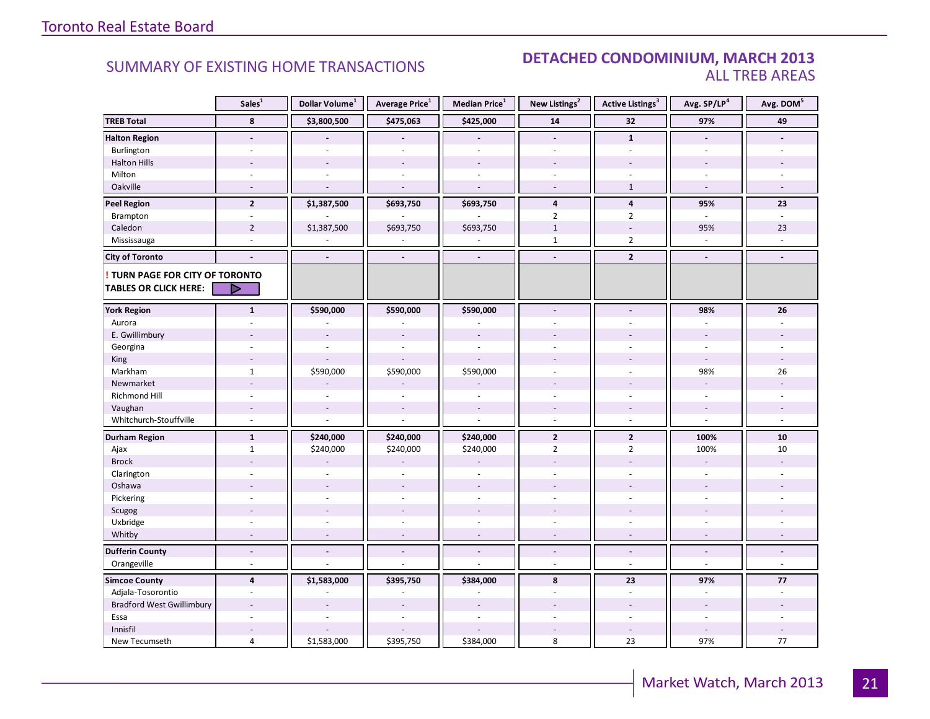#### SUMMARY OF EXISTING HOME TRANSACTIONS **DETACHED CONDOMINIUM, MARCH 2013** ALL TREB AREAS

|                                  | Sales <sup>1</sup>       | Dollar Volume <sup>1</sup> | Average Price <sup>1</sup> | Median Price $^1$        | New Listings <sup>2</sup> | Active Listings <sup>3</sup> | Avg. SP/LP <sup>4</sup>  | Avg. DOM <sup>5</sup> |
|----------------------------------|--------------------------|----------------------------|----------------------------|--------------------------|---------------------------|------------------------------|--------------------------|-----------------------|
| <b>TREB Total</b>                | 8                        | \$3,800,500                | \$475,063                  | \$425,000                | 14                        | 32                           | 97%                      | 49                    |
| <b>Halton Region</b>             | $\overline{\phantom{a}}$ |                            |                            |                          | $\overline{\phantom{a}}$  | $\mathbf{1}$                 | $\blacksquare$           |                       |
| Burlington                       |                          |                            |                            |                          | ٠                         |                              |                          |                       |
| <b>Halton Hills</b>              |                          |                            |                            |                          |                           |                              |                          |                       |
| Milton                           | $\sim$                   |                            | $\overline{\phantom{a}}$   | $\omega$                 | ä,                        | $\sim$                       | $\sim$                   |                       |
| Oakville                         | $\overline{a}$           | $\overline{a}$             | $\overline{a}$             | $\sim$                   | $\overline{a}$            | $\mathbf{1}$                 | $\sim$                   | $\overline{a}$        |
| <b>Peel Region</b>               | $\overline{2}$           | \$1,387,500                | \$693,750                  | \$693,750                | 4                         | 4                            | 95%                      | 23                    |
| Brampton                         | ÷,                       |                            |                            |                          | $\overline{2}$            | $\overline{2}$               | ÷.                       | u,                    |
| Caledon                          | $\overline{2}$           | \$1,387,500                | \$693,750                  | \$693,750                | $\mathbf{1}$              | $\sim$                       | 95%                      | 23                    |
| Mississauga                      | ÷,                       |                            |                            |                          | $\mathbf{1}$              | $\overline{2}$               |                          |                       |
| <b>City of Toronto</b>           | $\overline{a}$           | $\blacksquare$             | $\overline{a}$             | $\overline{\phantom{a}}$ | $\overline{\phantom{a}}$  | $\overline{2}$               | $\blacksquare$           |                       |
| TURN PAGE FOR CITY OF TORONTO    |                          |                            |                            |                          |                           |                              |                          |                       |
| <b>TABLES OR CLICK HERE:</b>     | D                        |                            |                            |                          |                           |                              |                          |                       |
| <b>York Region</b>               | $\mathbf{1}$             | \$590,000                  | \$590,000                  | \$590,000                | $\overline{a}$            |                              | 98%                      | 26                    |
| Aurora                           | ÷                        |                            |                            |                          |                           |                              |                          |                       |
| E. Gwillimbury                   |                          | $\sim$                     |                            |                          |                           |                              |                          |                       |
| Georgina                         |                          |                            |                            |                          |                           |                              |                          |                       |
| King                             |                          |                            |                            |                          |                           |                              | $\overline{a}$           |                       |
| Markham                          | $\mathbf{1}$             | \$590,000                  | \$590,000                  | \$590,000                | ÷,                        | $\overline{\phantom{a}}$     | 98%                      | 26                    |
| Newmarket                        | $\overline{a}$           |                            |                            |                          |                           |                              |                          |                       |
| Richmond Hill                    |                          |                            |                            |                          |                           |                              |                          |                       |
| Vaughan                          |                          | $\overline{\phantom{a}}$   |                            |                          |                           |                              |                          |                       |
| Whitchurch-Stouffville           | $\sim$                   | ÷,                         | $\overline{a}$             | $\overline{a}$           | $\overline{a}$            | $\sim$                       | $\overline{a}$           | ÷                     |
| <b>Durham Region</b>             | $\mathbf{1}$             | \$240,000                  | \$240,000                  | \$240,000                | $\mathbf{2}$              | $\overline{2}$               | 100%                     | 10                    |
| Ajax                             | $\mathbf{1}$             | \$240,000                  | \$240,000                  | \$240,000                | $\overline{2}$            | $\overline{2}$               | 100%                     | 10                    |
| <b>Brock</b>                     |                          |                            |                            |                          |                           |                              | $\sim$                   |                       |
| Clarington                       |                          | ÷.                         |                            |                          |                           |                              | ÷.                       |                       |
| Oshawa                           |                          |                            |                            |                          |                           |                              |                          |                       |
| Pickering                        | ÷.                       | $\overline{a}$             | $\overline{a}$             | $\overline{a}$           | ÷.                        | $\overline{a}$               | $\overline{a}$           |                       |
| Scugog                           |                          |                            |                            |                          |                           |                              |                          |                       |
| Uxbridge                         | ÷.                       | $\overline{a}$             | ÷.                         |                          | ٠                         | $\sim$                       | $\sim$                   |                       |
| Whitby                           | ÷,                       |                            |                            |                          |                           |                              |                          |                       |
| <b>Dufferin County</b>           | $\overline{a}$           | $\overline{a}$             | $\overline{a}$             | $\sim$                   | ٠                         | $\overline{\phantom{a}}$     | $\overline{a}$           | ÷.                    |
| Orangeville                      | $\sim$                   | $\overline{a}$             | L.                         |                          | $\overline{a}$            | $\sim$                       | $\overline{a}$           | $\omega$              |
| <b>Simcoe County</b>             | $\overline{4}$           | \$1,583,000                | \$395,750                  | \$384,000                | 8                         | 23                           | 97%                      | 77                    |
| Adjala-Tosorontio                | $\sim$                   |                            |                            |                          |                           | $\sim$                       | $\overline{\phantom{a}}$ |                       |
| <b>Bradford West Gwillimbury</b> |                          |                            |                            |                          |                           |                              |                          |                       |
| Essa                             | L.                       | ÷,                         | L.                         | ÷.                       |                           | $\overline{a}$               | ÷.                       | ÷.                    |
| Innisfil                         |                          |                            |                            |                          |                           |                              |                          |                       |
| New Tecumseth                    | 4                        | \$1,583,000                | \$395,750                  | \$384,000                | 8                         | 23                           | 97%                      | 77                    |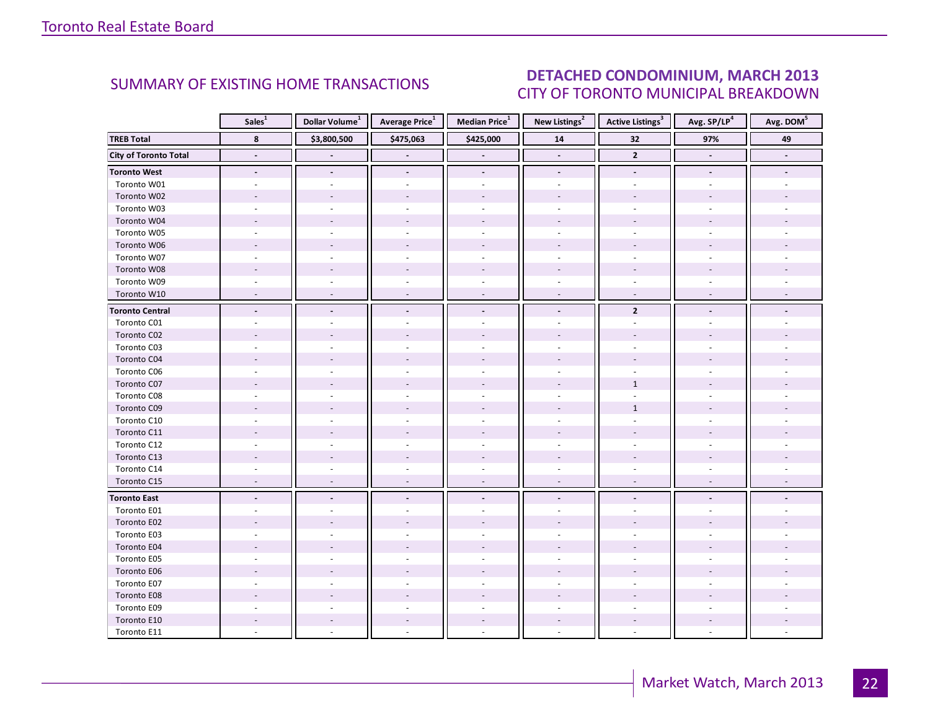### DETACHED CONDOMINIUM, MARCH 2013 CITY OF TORONTO MUNICIPAL BREAKDOWN

<span id="page-21-0"></span>

|                        | Sales <sup>1</sup>       | Dollar Volume <sup>1</sup> | Average Price <sup>1</sup> | Median Price <sup>1</sup> | New Listings <sup>2</sup> | <b>Active Listings</b> <sup>3</sup> | Avg. SP/LP <sup>4</sup> | Avg. DOM <sup>5</sup> |
|------------------------|--------------------------|----------------------------|----------------------------|---------------------------|---------------------------|-------------------------------------|-------------------------|-----------------------|
| <b>TREB Total</b>      | 8                        | \$3,800,500                | \$475,063                  | \$425,000                 | 14                        | 32                                  | 97%                     | 49                    |
| City of Toronto Total  |                          |                            |                            |                           |                           | $\overline{2}$                      |                         |                       |
| <b>Toronto West</b>    | $\blacksquare$           |                            | $\blacksquare$             | $\overline{a}$            | $\blacksquare$            | $\blacksquare$                      | $\blacksquare$          |                       |
| Toronto W01            |                          |                            |                            |                           |                           |                                     |                         |                       |
| Toronto W02            |                          |                            |                            |                           |                           |                                     |                         |                       |
| Toronto W03            |                          |                            |                            | $\overline{\phantom{a}}$  |                           |                                     |                         |                       |
| Toronto W04            |                          |                            |                            |                           |                           |                                     |                         |                       |
| Toronto W05            |                          |                            |                            |                           |                           |                                     |                         |                       |
| Toronto W06            |                          |                            |                            |                           |                           |                                     |                         |                       |
| Toronto W07            | $\overline{a}$           |                            | ÷.                         | $\sim$                    | $\sim$                    | $\sim$                              |                         |                       |
| Toronto W08            |                          |                            |                            |                           |                           |                                     |                         |                       |
| Toronto W09            |                          |                            |                            |                           |                           |                                     |                         |                       |
| Toronto W10            | ÷,                       | $\overline{a}$             | $\overline{\phantom{a}}$   | $\overline{\phantom{a}}$  | $\overline{\phantom{a}}$  | $\overline{\phantom{a}}$            | $\overline{a}$          |                       |
| <b>Toronto Central</b> | $\overline{a}$           |                            | $\overline{\phantom{a}}$   | $\blacksquare$            | $\sim$                    | $\overline{2}$                      |                         |                       |
| Toronto C01            |                          |                            |                            |                           |                           |                                     |                         |                       |
| Toronto C02            |                          |                            |                            |                           |                           |                                     |                         |                       |
| Toronto C03            |                          |                            |                            | $\sim$                    |                           |                                     |                         |                       |
| Toronto C04            |                          |                            |                            |                           |                           |                                     |                         |                       |
| Toronto C06            |                          |                            |                            |                           |                           |                                     |                         |                       |
| Toronto C07            |                          |                            |                            |                           |                           | $\mathbf{1}$                        |                         |                       |
| Toronto C08            |                          |                            |                            |                           |                           |                                     |                         |                       |
| Toronto C09            |                          |                            |                            |                           |                           | $\mathbf 1$                         |                         |                       |
| Toronto C10            |                          |                            |                            |                           |                           |                                     |                         |                       |
| Toronto C11            |                          |                            |                            |                           |                           |                                     |                         |                       |
| Toronto C12            |                          |                            |                            | $\bar{a}$                 |                           |                                     |                         |                       |
| Toronto C13            |                          |                            |                            |                           |                           |                                     |                         |                       |
| Toronto C14            |                          |                            |                            |                           |                           |                                     |                         |                       |
| Toronto C15            | $\overline{\phantom{a}}$ | $\sim$                     | $\sim$                     | $\overline{\phantom{a}}$  | $\overline{\phantom{a}}$  | $\overline{\phantom{a}}$            | $\sim$                  |                       |
| <b>Toronto East</b>    | $\blacksquare$           | $\overline{\phantom{a}}$   | $\blacksquare$             | $\blacksquare$            |                           | $\overline{a}$                      |                         |                       |
| Toronto E01            |                          |                            |                            |                           |                           |                                     |                         |                       |
| Toronto E02            |                          |                            |                            |                           |                           |                                     |                         |                       |
| Toronto E03            |                          |                            |                            |                           |                           |                                     |                         |                       |
| Toronto E04            |                          |                            |                            |                           |                           |                                     |                         |                       |
| Toronto E05            | ÷.                       |                            |                            | $\overline{a}$            |                           |                                     |                         |                       |
| Toronto E06            |                          |                            |                            |                           |                           |                                     |                         |                       |
| Toronto E07            |                          |                            |                            |                           |                           |                                     |                         |                       |
| Toronto E08            |                          |                            |                            |                           |                           |                                     |                         |                       |
| Toronto E09            |                          |                            |                            |                           |                           |                                     |                         |                       |
| Toronto E10            |                          |                            |                            | $\sim$                    |                           | $\sim$                              |                         |                       |
| Toronto E11            |                          |                            |                            |                           |                           |                                     |                         |                       |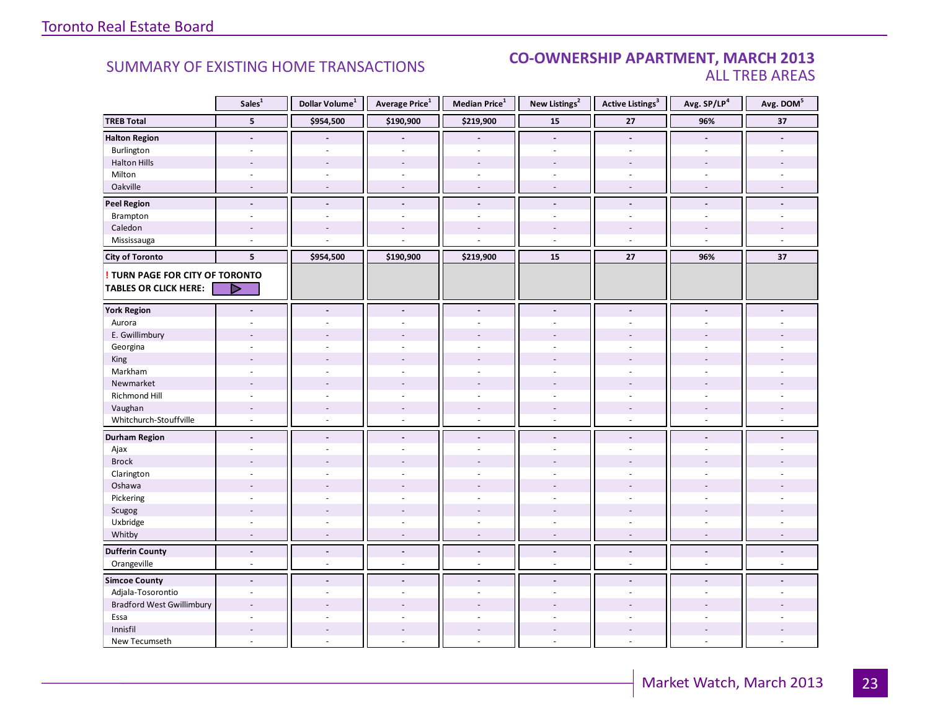#### **Industrial Leasing CO-OWNERSHIP APARTMENT, MARCH 2013**<br>ALL TREB AREAS ALL TREB AREAS

|                                  | Sales <sup>1</sup>       | Dollar Volume <sup>1</sup> | Average Price <sup>1</sup> | Median Price <sup>1</sup> | New Listings <sup>2</sup> | <b>Active Listings<sup>3</sup></b> | Avg. SP/LP <sup>4</sup> | Avg. DOM <sup>5</sup> |
|----------------------------------|--------------------------|----------------------------|----------------------------|---------------------------|---------------------------|------------------------------------|-------------------------|-----------------------|
| <b>TREB Total</b>                | $5\phantom{.0}$          | \$954,500                  | \$190,900                  | \$219,900                 | 15                        | 27                                 | 96%                     | 37                    |
| <b>Halton Region</b>             | $\overline{\phantom{a}}$ |                            |                            | $\overline{\phantom{a}}$  | $\blacksquare$            | $\overline{a}$                     | $\blacksquare$          |                       |
| Burlington                       | ٠                        |                            |                            | $\overline{a}$            | $\sim$                    | $\overline{a}$                     | $\overline{a}$          |                       |
| <b>Halton Hills</b>              | $\sim$                   | $\sim$                     | ÷,                         | $\overline{\phantom{a}}$  | $\sim$                    | $\blacksquare$                     |                         |                       |
| Milton                           | $\overline{\phantom{a}}$ | $\sim$                     | $\overline{\phantom{a}}$   | $\overline{\phantom{a}}$  | $\overline{\phantom{a}}$  | $\overline{\phantom{a}}$           | $\sim$                  |                       |
| Oakville                         | $\overline{a}$           | $\sim$                     | $\overline{\phantom{a}}$   | $\overline{\phantom{a}}$  | $\blacksquare$            | $\sim$                             | $\sim$                  | $\sim$                |
| <b>Peel Region</b>               | $\overline{\phantom{a}}$ | $\overline{\phantom{a}}$   | $\blacksquare$             | $\overline{\phantom{a}}$  | $\overline{\phantom{a}}$  | $\blacksquare$                     | $\blacksquare$          |                       |
| Brampton                         | $\overline{\phantom{a}}$ |                            | ä,                         | ä,                        | $\sim$                    | $\bar{\phantom{a}}$                | $\sim$                  |                       |
| Caledon                          | $\overline{a}$           |                            | $\overline{a}$             | ÷.                        | $\overline{a}$            | $\overline{a}$                     |                         |                       |
| Mississauga                      | ÷,                       |                            |                            |                           | $\sim$                    | ÷,                                 |                         |                       |
| <b>City of Toronto</b>           | 5                        | \$954,500                  | \$190,900                  | \$219,900                 | 15                        | 27                                 | 96%                     | 37                    |
| TURN PAGE FOR CITY OF TORONTO    |                          |                            |                            |                           |                           |                                    |                         |                       |
| <b>TABLES OR CLICK HERE:</b>     | D                        |                            |                            |                           |                           |                                    |                         |                       |
|                                  |                          |                            |                            |                           |                           |                                    |                         |                       |
| <b>York Region</b>               | $\overline{a}$           | $\blacksquare$             | $\overline{a}$             | $\overline{a}$            | $\blacksquare$            | $\blacksquare$                     | $\blacksquare$          |                       |
| Aurora                           | ÷.                       |                            | ä,                         | ÷                         | $\sim$                    | ÷.                                 |                         |                       |
| E. Gwillimbury                   |                          |                            |                            |                           |                           |                                    |                         |                       |
| Georgina                         |                          |                            |                            | ÷,                        |                           |                                    |                         |                       |
| King                             | $\overline{a}$           |                            | $\overline{a}$             | $\overline{a}$            |                           |                                    |                         |                       |
| Markham                          | $\overline{\phantom{a}}$ | $\sim$                     | $\bar{a}$                  | $\bar{a}$                 | $\sim$                    | $\bar{\phantom{a}}$                | $\sim$                  |                       |
| Newmarket                        | $\overline{a}$           |                            | $\overline{a}$             | $\overline{a}$            |                           |                                    |                         |                       |
| Richmond Hill                    |                          |                            |                            |                           |                           |                                    |                         |                       |
| Vaughan                          | $\overline{\phantom{a}}$ |                            | $\frac{1}{2}$              | ÷,                        |                           |                                    |                         |                       |
| Whitchurch-Stouffville           | $\omega$                 | $\sim$                     | $\overline{a}$             | $\sim$                    | $\sim$                    | ÷.                                 | $\sim$                  |                       |
| <b>Durham Region</b>             | $\blacksquare$           | $\blacksquare$             | $\blacksquare$             | $\blacksquare$            | $\overline{\phantom{a}}$  | $\blacksquare$                     | $\sim$                  |                       |
| Ajax                             | $\sim$                   |                            | ÷,                         | $\overline{\phantom{a}}$  | ÷.                        | $\overline{\phantom{a}}$           | $\sim$                  |                       |
| <b>Brock</b>                     | $\overline{a}$           |                            | $\overline{a}$             | $\overline{a}$            |                           | ٠                                  |                         |                       |
| Clarington                       | ÷,                       |                            |                            | ÷,                        |                           | L.                                 |                         |                       |
| Oshawa                           | ÷,                       |                            |                            |                           |                           |                                    |                         |                       |
| Pickering                        | $\bar{a}$                |                            | L.                         | $\overline{\phantom{a}}$  | $\sim$                    | $\overline{\phantom{a}}$           |                         |                       |
| Scugog                           |                          |                            |                            |                           |                           |                                    |                         |                       |
| Uxbridge                         | ÷.                       |                            | ä,                         | ÷.                        | $\overline{a}$            | ÷.                                 | $\overline{a}$          |                       |
| Whitby                           | $\overline{\phantom{a}}$ |                            | ÷,                         | $\overline{\phantom{a}}$  | $\sim$                    | $\overline{\phantom{a}}$           |                         |                       |
| <b>Dufferin County</b>           | $\overline{a}$           | $\overline{a}$             | $\overline{a}$             | $\mathbf{v}$              | $\blacksquare$            | $\overline{a}$                     | $\blacksquare$          | $\overline{a}$        |
| Orangeville                      | $\omega$                 | $\sim$                     | ä,                         | $\omega$                  | $\sim$                    | ÷.                                 | $\overline{a}$          | ÷                     |
| <b>Simcoe County</b>             | $\blacksquare$           | $\blacksquare$             | $\blacksquare$             | $\blacksquare$            | $\blacksquare$            | $\blacksquare$                     | $\sim$                  |                       |
| Adjala-Tosorontio                | $\sim$                   |                            | ä,                         | $\sim$                    | ÷.                        | ä,                                 |                         |                       |
| <b>Bradford West Gwillimbury</b> |                          |                            |                            |                           |                           |                                    |                         |                       |
| Essa                             | ä,                       |                            | $\overline{a}$             | ä,                        | $\mathbf{r}$              | $\mathbf{r}$                       |                         |                       |
| Innisfil                         |                          |                            |                            |                           |                           |                                    |                         |                       |
| New Tecumseth                    | $\overline{a}$           |                            | ä,                         | $\overline{a}$            | $\sim$                    | $\overline{a}$                     | $\sim$                  |                       |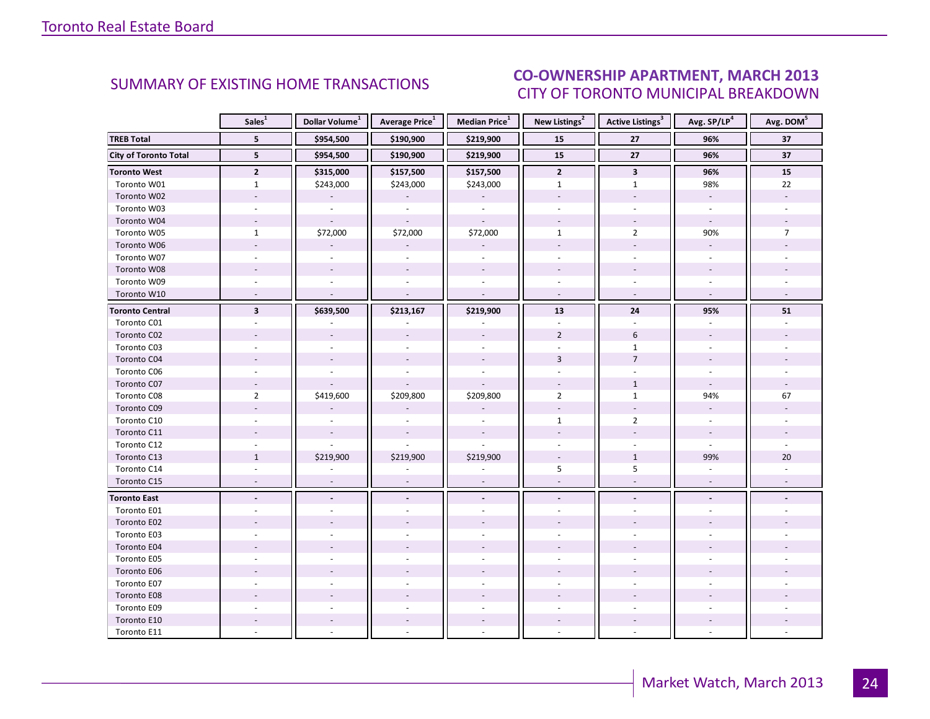### CO-OWNERSHIP APARTMENT, MARCH 2013 CITY OF TORONTO MUNICIPAL BREAKDOWN

<span id="page-23-0"></span>

|                              | Sales <sup>1</sup>       | Dollar Volume <sup>1</sup> | Average Price <sup>1</sup> | Median Price <sup>1</sup> | New Listings <sup>2</sup> | <b>Active Listings<sup>3</sup></b> | Avg. SP/LP <sup>4</sup>  | Avg. DOM <sup>5</sup> |
|------------------------------|--------------------------|----------------------------|----------------------------|---------------------------|---------------------------|------------------------------------|--------------------------|-----------------------|
| <b>TREB Total</b>            | 5 <sup>5</sup>           | \$954,500                  | \$190,900                  | \$219,900                 | 15                        | 27                                 | 96%                      | 37                    |
| <b>City of Toronto Total</b> | 5                        | \$954,500                  | \$190,900                  | \$219,900                 | 15                        | $27$                               | 96%                      | 37                    |
| <b>Toronto West</b>          | $\overline{2}$           | \$315,000                  | \$157,500                  | \$157,500                 | $\mathbf{2}$              | $\mathbf{3}$                       | 96%                      | 15                    |
| Toronto W01                  | $\mathbf{1}$             | \$243,000                  | \$243,000                  | \$243,000                 | $\mathbf{1}$              | $\mathbf{1}$                       | 98%                      | 22                    |
| Toronto W02                  | $\overline{\phantom{a}}$ |                            |                            |                           |                           | $\overline{\phantom{a}}$           | $\omega$                 |                       |
| Toronto W03                  | $\overline{\phantom{a}}$ | $\sim$                     | $\omega$                   | $\overline{\phantom{a}}$  |                           |                                    | $\omega$                 |                       |
| Toronto W04                  | $\sim$                   |                            |                            | $\sim$                    |                           |                                    | $\sim$                   |                       |
| Toronto W05                  | $\mathbf{1}$             | \$72,000                   | \$72,000                   | \$72,000                  | $\mathbf{1}$              | $\overline{2}$                     | 90%                      | $\overline{7}$        |
| Toronto W06                  | $\sim$                   |                            |                            | $\overline{\phantom{a}}$  |                           | $\sim$                             | $\sim$                   |                       |
| Toronto W07                  | $\overline{a}$           | $\overline{a}$             | ÷.                         | $\omega$                  | $\sim$                    | $\sim$                             | ÷.                       |                       |
| Toronto W08                  |                          |                            |                            | $\sim$                    |                           |                                    |                          |                       |
| Toronto W09                  |                          |                            |                            |                           |                           |                                    |                          |                       |
| Toronto W10                  | $\overline{\phantom{a}}$ | $\sim$                     | $\sim$                     | $\sim$                    | $\overline{\phantom{a}}$  | $\overline{\phantom{a}}$           | $\omega$                 |                       |
| <b>Toronto Central</b>       | $\overline{\mathbf{3}}$  | \$639,500                  | \$213,167                  | \$219,900                 | 13                        | 24                                 | 95%                      | 51                    |
| Toronto C01                  |                          |                            |                            |                           |                           |                                    |                          |                       |
| Toronto C02                  |                          |                            |                            | $\overline{\phantom{a}}$  | $\overline{2}$            | 6                                  |                          |                       |
| Toronto C03                  |                          |                            |                            | $\sim$                    |                           | $\mathbf{1}$                       |                          |                       |
| Toronto C04                  |                          |                            |                            |                           | $\overline{3}$            | $\overline{7}$                     |                          |                       |
| Toronto C06                  |                          |                            |                            |                           |                           |                                    |                          |                       |
| Toronto C07                  |                          |                            |                            |                           |                           | $\mathbf{1}$                       |                          |                       |
| Toronto C08                  | $\overline{2}$           | \$419,600                  | \$209,800                  | \$209,800                 | $\overline{2}$            | $\mathbf{1}$                       | 94%                      | 67                    |
| Toronto C09                  |                          |                            |                            |                           |                           |                                    |                          |                       |
| Toronto C10                  |                          |                            |                            |                           | $\mathbf{1}$              | $\overline{2}$                     |                          |                       |
| Toronto C11                  |                          |                            |                            |                           |                           |                                    |                          |                       |
| Toronto C12                  |                          |                            |                            |                           |                           |                                    |                          |                       |
| Toronto C13                  | $\mathbf{1}$             | \$219,900                  | \$219,900                  | \$219,900                 |                           | $\mathbf{1}$                       | 99%                      | 20                    |
| Toronto C14                  |                          |                            |                            |                           | 5                         | 5                                  |                          |                       |
| Toronto C15                  | $\overline{\phantom{a}}$ | $\overline{\phantom{a}}$   | $\overline{\phantom{a}}$   | ÷,                        | $\overline{\phantom{a}}$  | ÷,                                 | $\overline{\phantom{a}}$ |                       |
| <b>Toronto East</b>          | $\blacksquare$           | $\blacksquare$             | $\blacksquare$             | $\blacksquare$            | $\blacksquare$            | $\blacksquare$                     | $\blacksquare$           |                       |
| Toronto E01                  | $\overline{a}$           |                            |                            | $\overline{a}$            |                           |                                    |                          |                       |
| Toronto E02                  |                          |                            |                            |                           |                           |                                    |                          |                       |
| Toronto E03                  |                          |                            |                            |                           |                           |                                    |                          |                       |
| Toronto E04                  |                          |                            |                            | $\overline{a}$            |                           |                                    |                          |                       |
| Toronto E05                  | ÷.                       |                            |                            | $\bar{a}$                 |                           |                                    |                          |                       |
| Toronto E06                  |                          |                            |                            |                           |                           |                                    |                          |                       |
| Toronto E07                  |                          |                            |                            |                           |                           |                                    |                          |                       |
| Toronto E08                  |                          |                            |                            |                           |                           |                                    |                          |                       |
| Toronto E09                  |                          |                            |                            | $\bar{a}$                 |                           | ÷                                  |                          |                       |
| Toronto E10                  |                          |                            |                            | $\overline{\phantom{a}}$  |                           | $\sim$                             |                          |                       |
| Toronto E11                  |                          |                            |                            |                           |                           |                                    |                          |                       |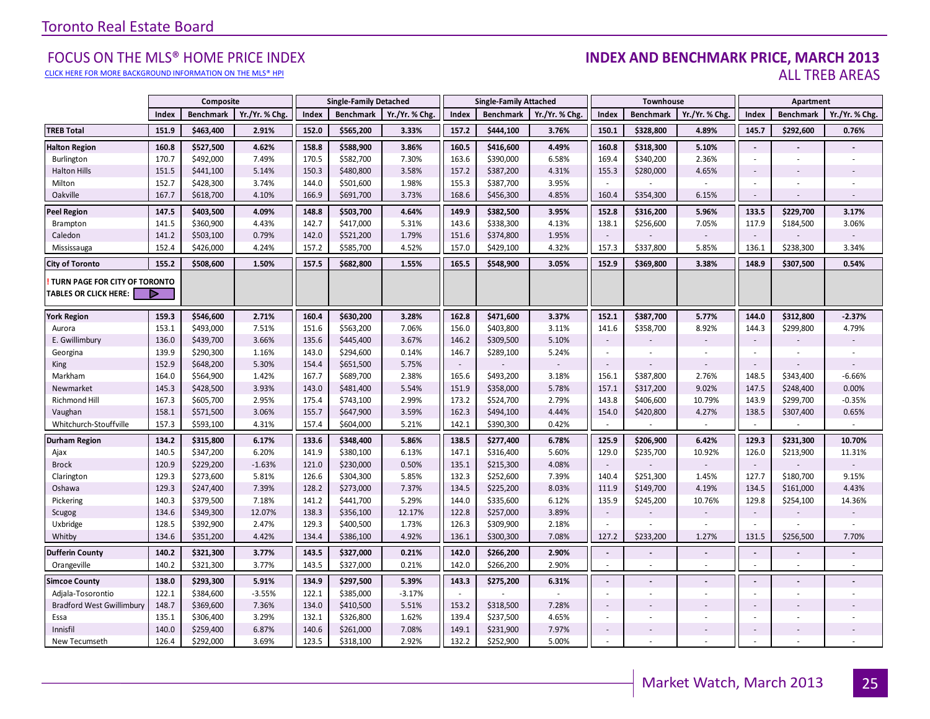#### [CLICK HERE FOR MORE BACKGROUND INFORMATION ON THE MLS® HPI](http://www.torontorealestateboard.com/market_news/home_price_index/index.htm)

#### FOCUS ON THE MLS® HOME PRICE INDEX **INDEX AND BENCHMARK PRICE, MARCH 2013**<br>Elick here for more background information on the mls® hpi ALL TREB AREAS

|                                                               |       | Composite        |                |       | <b>Single-Family Detached</b> |                |        | <b>Single-Family Attached</b> |                |                          | Townhouse        |                          |                | Apartment                |                |
|---------------------------------------------------------------|-------|------------------|----------------|-------|-------------------------------|----------------|--------|-------------------------------|----------------|--------------------------|------------------|--------------------------|----------------|--------------------------|----------------|
|                                                               | Index | <b>Benchmark</b> | Yr./Yr. % Chg. | Index | <b>Benchmark</b>              | Yr./Yr. % Chg. | Index  | <b>Benchmark</b>              | Yr./Yr. % Chg. | Index                    | <b>Benchmark</b> | Yr./Yr. % Chg            | Index          | <b>Benchmark</b>         | Yr./Yr. % Chg. |
| <b>TREB Total</b>                                             | 151.9 | \$463,400        | 2.91%          | 152.0 | \$565,200                     | 3.33%          | 157.2  | \$444,100                     | 3.76%          | 150.1                    | \$328,800        | 4.89%                    | 145.7          | \$292,600                | 0.76%          |
| <b>Halton Region</b>                                          | 160.8 | \$527,500        | 4.62%          | 158.8 | \$588,900                     | 3.86%          | 160.5  | \$416,600                     | 4.49%          | 160.8                    | \$318,300        | 5.10%                    | $\blacksquare$ |                          |                |
| Burlington                                                    | 170.7 | \$492,000        | 7.49%          | 170.5 | \$582,700                     | 7.30%          | 163.6  | \$390,000                     | 6.58%          | 169.4                    | \$340,200        | 2.36%                    | ×.             |                          |                |
| <b>Halton Hills</b>                                           | 151.5 | \$441,100        | 5.14%          | 150.3 | \$480,800                     | 3.58%          | 157.2  | \$387,200                     | 4.31%          | 155.3                    | \$280,000        | 4.65%                    | $\sim$         | ٠                        |                |
| Milton                                                        | 152.7 | \$428,300        | 3.74%          | 144.0 | \$501,600                     | 1.98%          | 155.3  | \$387,700                     | 3.95%          | ÷                        |                  |                          | $\sim$         | ×.                       |                |
| Oakville                                                      | 167.7 | \$618,700        | 4.10%          | 166.9 | \$691,700                     | 3.73%          | 168.6  | \$456,300                     | 4.85%          | 160.4                    | \$354,300        | 6.15%                    | $\sim$         | $\overline{\phantom{a}}$ | $\sim$         |
| <b>Peel Region</b>                                            | 147.5 | \$403,500        | 4.09%          | 148.8 | \$503,700                     | 4.64%          | 149.9  | \$382,500                     | 3.95%          | 152.8                    | \$316,200        | 5.96%                    | 133.5          | \$229,700                | 3.17%          |
| Brampton                                                      | 141.5 | \$360,900        | 4.43%          | 142.7 | \$417,000                     | 5.31%          | 143.6  | \$338,300                     | 4.13%          | 138.1                    | \$256,600        | 7.05%                    | 117.9          | \$184,500                | 3.06%          |
| Caledon                                                       | 141.2 | \$503,100        | 0.79%          | 142.0 | \$521,200                     | 1.79%          | 151.6  | \$374,800                     | 1.95%          | $\sim$                   |                  |                          | $\sim$         |                          |                |
| Mississauga                                                   | 152.4 | \$426,000        | 4.24%          | 157.2 | \$585,700                     | 4.52%          | 157.0  | \$429,100                     | 4.32%          | 157.3                    | \$337,800        | 5.85%                    | 136.1          | \$238,300                | 3.34%          |
| <b>City of Toronto</b>                                        | 155.2 | \$508,600        | 1.50%          | 157.5 | \$682,800                     | 1.55%          | 165.5  | \$548,900                     | 3.05%          | 152.9                    | \$369,800        | 3.38%                    | 148.9          | \$307,500                | 0.54%          |
| TURN PAGE FOR CITY OF TORONTO<br><b>TABLES OR CLICK HERE:</b> |       |                  |                |       |                               |                |        |                               |                |                          |                  |                          |                |                          |                |
| York Region                                                   | 159.3 | \$546,600        | 2.71%          | 160.4 | \$630,200                     | 3.28%          | 162.8  | \$471,600                     | 3.37%          | 152.1                    | \$387,700        | 5.77%                    | 144.0          | \$312,800                | $-2.37%$       |
| Aurora                                                        | 153.1 | \$493,000        | 7.51%          | 151.6 | \$563,200                     | 7.06%          | 156.0  | \$403,800                     | 3.11%          | 141.6                    | \$358,700        | 8.92%                    | 144.3          | \$299,800                | 4.79%          |
| E. Gwillimbury                                                | 136.0 | \$439,700        | 3.66%          | 135.6 | \$445,400                     | 3.67%          | 146.2  | \$309,500                     | 5.10%          | $\sim$                   |                  |                          | $\sim$         |                          |                |
| Georgina                                                      | 139.9 | \$290,300        | 1.16%          | 143.0 | \$294,600                     | 0.14%          | 146.7  | \$289,100                     | 5.24%          | $\overline{\phantom{a}}$ |                  | ÷.                       | $\sim$         | $\overline{\phantom{a}}$ |                |
| King                                                          | 152.9 | \$648,200        | 5.30%          | 154.4 | \$651,500                     | 5.75%          | $\sim$ |                               |                | $\sim$                   |                  |                          |                |                          |                |
| Markham                                                       | 164.0 | \$564,900        | 1.42%          | 167.7 | \$689,700                     | 2.38%          | 165.6  | \$493,200                     | 3.18%          | 156.1                    | \$387,800        | 2.76%                    | 148.5          | \$343,400                | $-6.66%$       |
| Newmarket                                                     | 145.3 | \$428,500        | 3.93%          | 143.0 | \$481,400                     | 5.54%          | 151.9  | \$358,000                     | 5.78%          | 157.1                    | \$317,200        | 9.02%                    | 147.5          | \$248,400                | 0.00%          |
| Richmond Hill                                                 | 167.3 | \$605,700        | 2.95%          | 175.4 | \$743,100                     | 2.99%          | 173.2  | \$524,700                     | 2.79%          | 143.8                    | \$406,600        | 10.79%                   | 143.9          | \$299,700                | $-0.35%$       |
| Vaughan                                                       | 158.1 | \$571,500        | 3.06%          | 155.7 | \$647,900                     | 3.59%          | 162.3  | \$494,100                     | 4.44%          | 154.0                    | \$420,800        | 4.27%                    | 138.5          | \$307,400                | 0.65%          |
| Whitchurch-Stouffville                                        | 157.3 | \$593,100        | 4.31%          | 157.4 | \$604,000                     | 5.21%          | 142.1  | \$390,300                     | 0.42%          | $\sim$                   |                  | $\sim$                   | $\sim$         | $\sim$                   | $\sim$         |
| Durham Region                                                 | 134.2 | \$315,800        | 6.17%          | 133.6 | \$348,400                     | 5.86%          | 138.5  | \$277,400                     | 6.78%          | 125.9                    | \$206,900        | 6.42%                    | 129.3          | \$231,300                | 10.70%         |
| Ajax                                                          | 140.5 | \$347,200        | 6.20%          | 141.9 | \$380,100                     | 6.13%          | 147.1  | \$316,400                     | 5.60%          | 129.0                    | \$235,700        | 10.92%                   | 126.0          | \$213,900                | 11.31%         |
| <b>Brock</b>                                                  | 120.9 | \$229,200        | $-1.63%$       | 121.0 | \$230,000                     | 0.50%          | 135.1  | \$215,300                     | 4.08%          | $\sim$                   |                  |                          | $\sim$         |                          |                |
| Clarington                                                    | 129.3 | \$273,600        | 5.81%          | 126.6 | \$304,300                     | 5.85%          | 132.3  | \$252,600                     | 7.39%          | 140.4                    | \$251,300        | 1.45%                    | 127.7          | \$180,700                | 9.15%          |
| Oshawa                                                        | 129.3 | \$247,400        | 7.39%          | 128.2 | \$273,000                     | 7.37%          | 134.5  | \$225,200                     | 8.03%          | 111.9                    | \$149,700        | 4.19%                    | 134.5          | \$161,000                | 4.43%          |
| Pickering                                                     | 140.3 | \$379,500        | 7.18%          | 141.2 | \$441,700                     | 5.29%          | 144.0  | \$335,600                     | 6.12%          | 135.9                    | \$245,200        | 10.76%                   | 129.8          | \$254,100                | 14.36%         |
| Scugog                                                        | 134.6 | \$349,300        | 12.07%         | 138.3 | \$356,100                     | 12.17%         | 122.8  | \$257,000                     | 3.89%          | $\sim$                   |                  |                          | $\sim$         |                          |                |
| Uxbridge                                                      | 128.5 | \$392,900        | 2.47%          | 129.3 | \$400,500                     | 1.73%          | 126.3  | \$309,900                     | 2.18%          |                          |                  |                          |                |                          |                |
| Whitby                                                        | 134.6 | \$351,200        | 4.42%          | 134.4 | \$386,100                     | 4.92%          | 136.1  | \$300,300                     | 7.08%          | 127.2                    | \$233,200        | 1.27%                    | 131.5          | \$256,500                | 7.70%          |
| Dufferin County                                               | 140.2 | \$321,300        | 3.77%          | 143.5 | \$327,000                     | 0.21%          | 142.0  | \$266,200                     | 2.90%          | $\Box$                   |                  | $\overline{\phantom{a}}$ | $\sim$         | $\blacksquare$           |                |
| Orangeville                                                   | 140.2 | \$321,300        | 3.77%          | 143.5 | \$327,000                     | 0.21%          | 142.0  | \$266,200                     | 2.90%          | $\omega$                 | ×.               | $\mathbf{r}$             | ×.             | ×.                       | $\sim$         |
| <b>Simcoe County</b>                                          | 138.0 | \$293,300        | 5.91%          | 134.9 | \$297,500                     | 5.39%          | 143.3  | \$275,200                     | 6.31%          | $\blacksquare$           |                  |                          | $\blacksquare$ | $\overline{a}$           |                |
| Adjala-Tosorontio                                             | 122.1 | \$384,600        | $-3.55%$       | 122.1 | \$385,000                     | $-3.17%$       | $\sim$ |                               |                | $\sim$                   | ÷.               | $\sim$                   | ÷              | $\blacksquare$           |                |
| <b>Bradford West Gwillimbury</b>                              | 148.7 | \$369,600        | 7.36%          | 134.0 | \$410,500                     | 5.51%          | 153.2  | \$318,500                     | 7.28%          | $\sim$                   |                  |                          | $\sim$         |                          |                |
| Essa                                                          | 135.1 | \$306,400        | 3.29%          | 132.1 | \$326,800                     | 1.62%          | 139.4  | \$237,500                     | 4.65%          | ×.                       |                  |                          | ÷              |                          |                |
| Innisfil                                                      | 140.0 | \$259,400        | 6.87%          | 140.6 | \$261,000                     | 7.08%          | 149.1  | \$231,900                     | 7.97%          | $\sim$                   |                  | ÷                        | $\sim$         |                          |                |
| New Tecumseth                                                 | 126.4 | \$292,000        | 3.69%          | 123.5 | \$318,100                     | 2.92%          | 132.2  | \$252,900                     | 5.00%          | $\blacksquare$           |                  | ÷,                       |                |                          |                |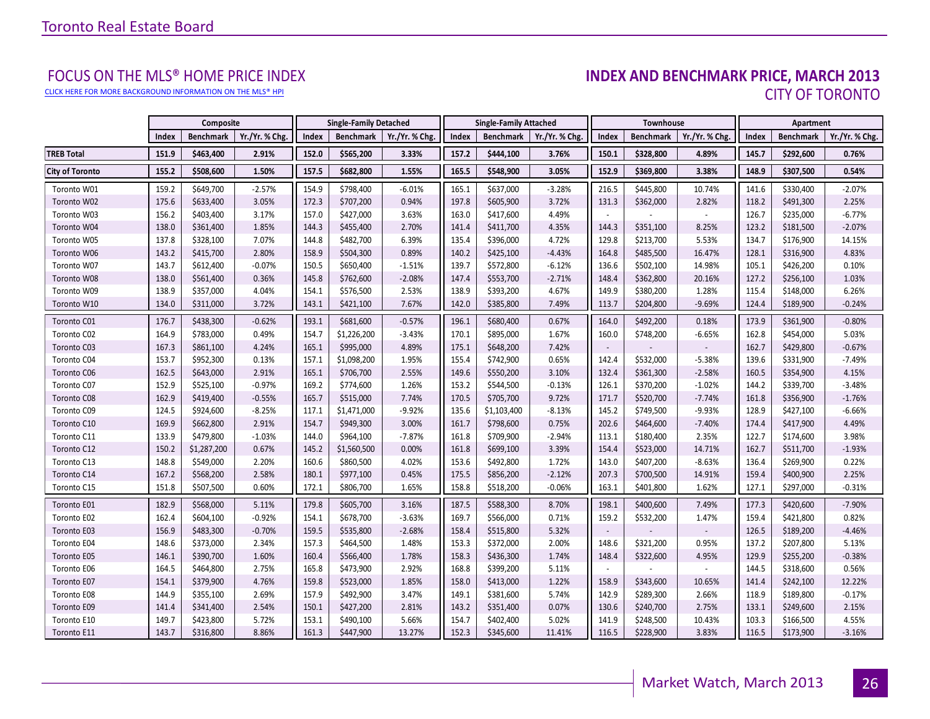[CLICK HERE FOR MORE BACKGROUND INFORMATION ON THE MLS® HPI](http://www.torontorealestateboard.com/market_news/home_price_index/index.htm)

# FOCUS ON THE MLS® HOME PRICE INDEX<br>INDEX AND BENCHMARK PRICE, MARCH 2013 CITY OF TORONTO

|                        |       | Composite        |                |       | <b>Single-Family Detached</b> |                |       | <b>Single-Family Attached</b> |                | <b>Townhouse</b>         |                  |                | Apartment |                  |                |
|------------------------|-------|------------------|----------------|-------|-------------------------------|----------------|-------|-------------------------------|----------------|--------------------------|------------------|----------------|-----------|------------------|----------------|
|                        | Index | <b>Benchmark</b> | Yr./Yr. % Chg. | Index | <b>Benchmark</b>              | Yr./Yr. % Chg. | Index | <b>Benchmark</b>              | Yr./Yr. % Chg. | Index                    | <b>Benchmark</b> | Yr./Yr. % Chg. | Index     | <b>Benchmark</b> | Yr./Yr. % Chg. |
| <b>TREB Total</b>      | 151.9 | \$463,400        | 2.91%          | 152.0 | \$565,200                     | 3.33%          | 157.2 | \$444,100                     | 3.76%          | 150.1                    | \$328,800        | 4.89%          | 145.7     | \$292,600        | 0.76%          |
| <b>City of Toronto</b> | 155.2 | \$508,600        | 1.50%          | 157.5 | \$682,800                     | 1.55%          | 165.5 | \$548,900                     | 3.05%          | 152.9                    | \$369,800        | 3.38%          | 148.9     | \$307,500        | 0.54%          |
| Toronto W01            | 159.2 | \$649,700        | $-2.57%$       | 154.9 | \$798,400                     | $-6.01%$       | 165.1 | \$637,000                     | $-3.28%$       | 216.5                    | \$445,800        | 10.74%         | 141.6     | \$330,400        | $-2.07%$       |
| Toronto W02            | 175.6 | \$633,400        | 3.05%          | 172.3 | \$707,200                     | 0.94%          | 197.8 | \$605,900                     | 3.72%          | 131.3                    | \$362,000        | 2.82%          | 118.2     | \$491,300        | 2.25%          |
| Toronto W03            | 156.2 | \$403,400        | 3.17%          | 157.0 | \$427,000                     | 3.63%          | 163.0 | \$417,600                     | 4.49%          | $\overline{\phantom{a}}$ |                  |                | 126.7     | \$235,000        | $-6.77%$       |
| Toronto W04            | 138.0 | \$361,400        | 1.85%          | 144.3 | \$455,400                     | 2.70%          | 141.4 | \$411,700                     | 4.35%          | 144.3                    | \$351,100        | 8.25%          | 123.2     | \$181,500        | $-2.07%$       |
| Toronto W05            | 137.8 | \$328,100        | 7.07%          | 144.8 | \$482,700                     | 6.39%          | 135.4 | \$396,000                     | 4.72%          | 129.8                    | \$213,700        | 5.53%          | 134.7     | \$176,900        | 14.15%         |
| Toronto W06            | 143.2 | \$415,700        | 2.80%          | 158.9 | \$504,300                     | 0.89%          | 140.2 | \$425,100                     | $-4.43%$       | 164.8                    | \$485,500        | 16.47%         | 128.1     | \$316,900        | 4.83%          |
| Toronto W07            | 143.7 | \$612,400        | $-0.07%$       | 150.5 | \$650,400                     | $-1.51%$       | 139.7 | \$572,800                     | $-6.12%$       | 136.6                    | \$502,100        | 14.98%         | 105.1     | \$426,200        | 0.10%          |
| Toronto W08            | 138.0 | \$561,400        | 0.36%          | 145.8 | \$762,600                     | $-2.08%$       | 147.4 | \$553,700                     | $-2.71%$       | 148.4                    | \$362,800        | 20.16%         | 127.2     | \$256,100        | 1.03%          |
| Toronto W09            | 138.9 | \$357,000        | 4.04%          | 154.1 | \$576,500                     | 2.53%          | 138.9 | \$393,200                     | 4.67%          | 149.9                    | \$380,200        | 1.28%          | 115.4     | \$148,000        | 6.26%          |
| Toronto W10            | 134.0 | \$311,000        | 3.72%          | 143.1 | \$421,100                     | 7.67%          | 142.0 | \$385,800                     | 7.49%          | 113.7                    | \$204,800        | $-9.69%$       | 124.4     | \$189,900        | $-0.24%$       |
| Toronto C01            | 176.7 | \$438,300        | $-0.62%$       | 193.1 | \$681,600                     | $-0.57%$       | 196.1 | \$680,400                     | 0.67%          | 164.0                    | \$492,200        | 0.18%          | 173.9     | \$361,900        | $-0.80%$       |
| Toronto C02            | 164.9 | \$783,000        | 0.49%          | 154.7 | \$1,226,200                   | $-3.43%$       | 170.1 | \$895,000                     | 1.67%          | 160.0                    | \$748,200        | $-6.65%$       | 162.8     | \$454,000        | 5.03%          |
| Toronto C03            | 167.3 | \$861,100        | 4.24%          | 165.1 | \$995,000                     | 4.89%          | 175.1 | \$648,200                     | 7.42%          |                          |                  |                | 162.7     | \$429,800        | $-0.67%$       |
| Toronto C04            | 153.7 | \$952,300        | 0.13%          | 157.1 | \$1,098,200                   | 1.95%          | 155.4 | \$742,900                     | 0.65%          | 142.4                    | \$532,000        | $-5.38%$       | 139.6     | \$331,900        | $-7.49%$       |
| Toronto C06            | 162.5 | \$643,000        | 2.91%          | 165.1 | \$706,700                     | 2.55%          | 149.6 | \$550,200                     | 3.10%          | 132.4                    | \$361,300        | $-2.58%$       | 160.5     | \$354,900        | 4.15%          |
| Toronto C07            | 152.9 | \$525,100        | $-0.97%$       | 169.2 | \$774,600                     | 1.26%          | 153.2 | \$544,500                     | $-0.13%$       | 126.1                    | \$370,200        | $-1.02%$       | 144.2     | \$339,700        | $-3.48%$       |
| Toronto C08            | 162.9 | \$419,400        | $-0.55%$       | 165.7 | \$515,000                     | 7.74%          | 170.5 | \$705,700                     | 9.72%          | 171.7                    | \$520,700        | $-7.74%$       | 161.8     | \$356,900        | $-1.76%$       |
| Toronto C09            | 124.5 | \$924,600        | $-8.25%$       | 117.1 | \$1,471,000                   | $-9.92%$       | 135.6 | \$1,103,400                   | $-8.13%$       | 145.2                    | \$749,500        | $-9.93%$       | 128.9     | \$427,100        | $-6.66%$       |
| Toronto C10            | 169.9 | \$662,800        | 2.91%          | 154.7 | \$949,300                     | 3.00%          | 161.7 | \$798,600                     | 0.75%          | 202.6                    | \$464,600        | $-7.40%$       | 174.4     | \$417,900        | 4.49%          |
| Toronto C11            | 133.9 | \$479,800        | $-1.03%$       | 144.0 | \$964,100                     | $-7.87%$       | 161.8 | \$709,900                     | $-2.94%$       | 113.1                    | \$180,400        | 2.35%          | 122.7     | \$174,600        | 3.98%          |
| Toronto C12            | 150.2 | \$1,287,200      | 0.67%          | 145.2 | \$1,560,500                   | 0.00%          | 161.8 | \$699,100                     | 3.39%          | 154.4                    | \$523,000        | 14.71%         | 162.7     | \$511,700        | $-1.93%$       |
| Toronto C13            | 148.8 | \$549,000        | 2.20%          | 160.6 | \$860,500                     | 4.02%          | 153.6 | \$492,800                     | 1.72%          | 143.0                    | \$407,200        | $-8.63%$       | 136.4     | \$269,900        | 0.22%          |
| Toronto C14            | 167.2 | \$568,200        | 2.58%          | 180.1 | \$977,100                     | 0.45%          | 175.5 | \$856,200                     | $-2.12%$       | 207.3                    | \$700,500        | 14.91%         | 159.4     | \$400,900        | 2.25%          |
| Toronto C15            | 151.8 | \$507,500        | 0.60%          | 172.1 | \$806,700                     | 1.65%          | 158.8 | \$518,200                     | $-0.06%$       | 163.1                    | \$401,800        | 1.62%          | 127.1     | \$297,000        | $-0.31%$       |
| Toronto E01            | 182.9 | \$568,000        | 5.11%          | 179.8 | \$605,700                     | 3.16%          | 187.5 | \$588,300                     | 8.70%          | 198.1                    | \$400,600        | 7.49%          | 177.3     | \$420,600        | $-7.90%$       |
| Toronto E02            | 162.4 | \$604,100        | $-0.92%$       | 154.1 | \$678,700                     | $-3.63%$       | 169.7 | \$566,000                     | 0.71%          | 159.2                    | \$532,200        | 1.47%          | 159.4     | \$421,800        | 0.82%          |
| Toronto E03            | 156.9 | \$483,300        | $-0.70%$       | 159.5 | \$535,800                     | $-2.68%$       | 158.4 | \$515,800                     | 5.32%          | $\overline{\phantom{a}}$ |                  |                | 126.5     | \$189,200        | $-4.46%$       |
| Toronto E04            | 148.6 | \$373,000        | 2.34%          | 157.3 | \$464,500                     | 1.48%          | 153.3 | \$372,000                     | 2.00%          | 148.6                    | \$321,200        | 0.95%          | 137.2     | \$207,800        | 5.13%          |
| Toronto E05            | 146.1 | \$390,700        | 1.60%          | 160.4 | \$566,400                     | 1.78%          | 158.3 | \$436,300                     | 1.74%          | 148.4                    | \$322,600        | 4.95%          | 129.9     | \$255,200        | $-0.38%$       |
| Toronto E06            | 164.5 | \$464,800        | 2.75%          | 165.8 | \$473,900                     | 2.92%          | 168.8 | \$399,200                     | 5.11%          |                          |                  |                | 144.5     | \$318,600        | 0.56%          |
| Toronto E07            | 154.1 | \$379,900        | 4.76%          | 159.8 | \$523,000                     | 1.85%          | 158.0 | \$413,000                     | 1.22%          | 158.9                    | \$343,600        | 10.65%         | 141.4     | \$242,100        | 12.22%         |
| Toronto E08            | 144.9 | \$355,100        | 2.69%          | 157.9 | \$492,900                     | 3.47%          | 149.1 | \$381,600                     | 5.74%          | 142.9                    | \$289,300        | 2.66%          | 118.9     | \$189,800        | $-0.17%$       |
| Toronto E09            | 141.4 | \$341,400        | 2.54%          | 150.1 | \$427,200                     | 2.81%          | 143.2 | \$351,400                     | 0.07%          | 130.6                    | \$240,700        | 2.75%          | 133.1     | \$249,600        | 2.15%          |
| Toronto E10            | 149.7 | \$423,800        | 5.72%          | 153.1 | \$490,100                     | 5.66%          | 154.7 | \$402,400                     | 5.02%          | 141.9                    | \$248,500        | 10.43%         | 103.3     | \$166,500        | 4.55%          |
| Toronto E11            | 143.7 | \$316,800        | 8.86%          | 161.3 | \$447,900                     | 13.27%         | 152.3 | \$345,600                     | 11.41%         | 116.5                    | \$228,900        | 3.83%          | 116.5     | \$173,900        | $-3.16%$       |